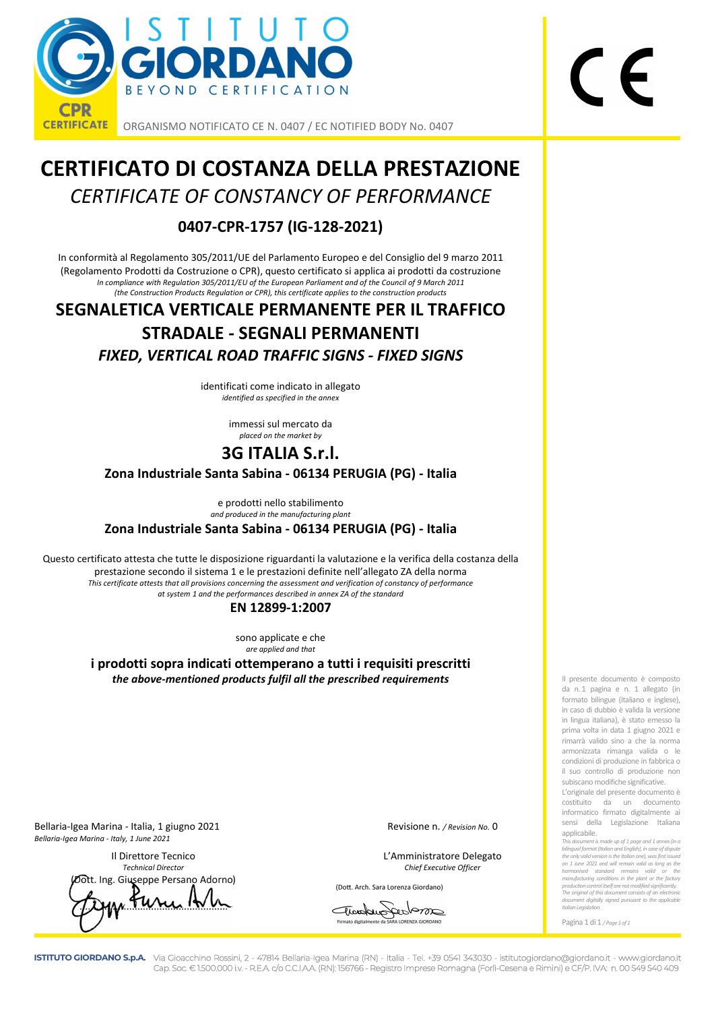

ORGANISMO NOTIFICATO CE N. 0407 / EC NOTIFIED BODY No. 0407

# **CERTIFICATO DI COSTANZA DELLA PRESTAZIONE**  *CERTIFICATE OF CONSTANCY OF PERFORMANCE*

#### **0407-CPR-1757 (IG-128-2021)**

In conformità al Regolamento 305/2011/UE del Parlamento Europeo e del Consiglio del 9 marzo 2011 (Regolamento Prodotti da Costruzione o CPR), questo certificato si applica ai prodotti da costruzione *In compliance with Regulation 305/2011/EU of the European Parliament and of the Council of 9 March 2011 (the Construction Products Regulation or CPR), this certificate applies to the construction products* 

## **SEGNALETICA VERTICALE PERMANENTE PER IL TRAFFICO STRADALE - SEGNALI PERMANENTI**  *FIXED, VERTICAL ROAD TRAFFIC SIGNS - FIXED SIGNS*

identificati come indicato in allegato *identified as specified in the annex* 

> immessi sul mercato da *placed on the market by*

### **3G ITALIA S.r.l.**

**Zona Industriale Santa Sabina - 06134 PERUGIA (PG) - Italia** 

e prodotti nello stabilimento *and produced in the manufacturing plant* 

**Zona Industriale Santa Sabina - 06134 PERUGIA (PG) - Italia** 

Questo certificato attesta che tutte le disposizione riguardanti la valutazione e la verifica della costanza della prestazione secondo il sistema 1 e le prestazioni definite nell'allegato ZA della norma *This certificate attests that all provisions concerning the assessment and verification of constancy of performance at system 1 and the performances described in annex ZA of the standard* 

#### **EN 12899-1:2007**

sono applicate e che *are applied and that* 

**i prodotti sopra indicati ottemperano a tutti i requisiti prescritti**  *the above-mentioned products fulfil all the prescribed requirements* 

Bellaria-Igea Marina - Italia, 1 giugno 2021 Revisione n. */ Revision No.* 0 *Bellaria-Igea Marina - Italy, 1 June 2021* 

 Il Direttore Tecnico L'Amministratore Delegato  *Technical Director Chief Executive Officer*  Giuseppe Persano Adorno)

 $71.0444 \times 10^{14}$ 

(Dott. Arch. Sara Lorenza Giordano)

archargedom Firmato digitalmente da SARA LORENZA GIORDANO

Il presente documento è composto da n. 1 pagina e n. 1 allegato (in formato bilingue (italiano e inglese), in caso di dubbio è valida la versione in lingua italiana), è stato emesso la prima volta in data 1 giugno 2021 e rimarrà valido sino a che la norma armonizzata rimanga valida o le condizioni di produzione in fabbrica o il suo controllo di produzione non subiscano modifiche significative.

L'originale del presente documento è costituito da un documento informatico firmato digitalmente ai sensi della Legislazione Italiana applicabile.

*This document is made up of 1 page and 1 annex (in a bilingual format (Italian and English), in case of dispute the only valid version is the Italian one), was first issued on 1 June 2021 and will remain valid as long as the harmonised standard remains valid or the manufacturing conditions in the plant or the factory production control itself are not modified significantly. The original of this document consists of an electronic document digitally signed pursuant to the applicable Italian Legislation.* 

Pagina 1 di 1 */ Page 1 of 1*

**ISTITUTO GIORDANO S.p.A.** Via Gioacchino Rossini, 2 - 47814 Bellaria-Igea Marina (RN) - Italia - Tel. +39 0541 343030 - istitutogiordano@giordano.it - www.giordano.it Cap. Soc. € 1.500.000 i.v. - R.E.A. c/o C.C.I.A.A. (RN): 156766 - Registro Imprese Romagna (Forlì-Cesena e Rimini) e CF/P. IVA: n. 00 549 540 409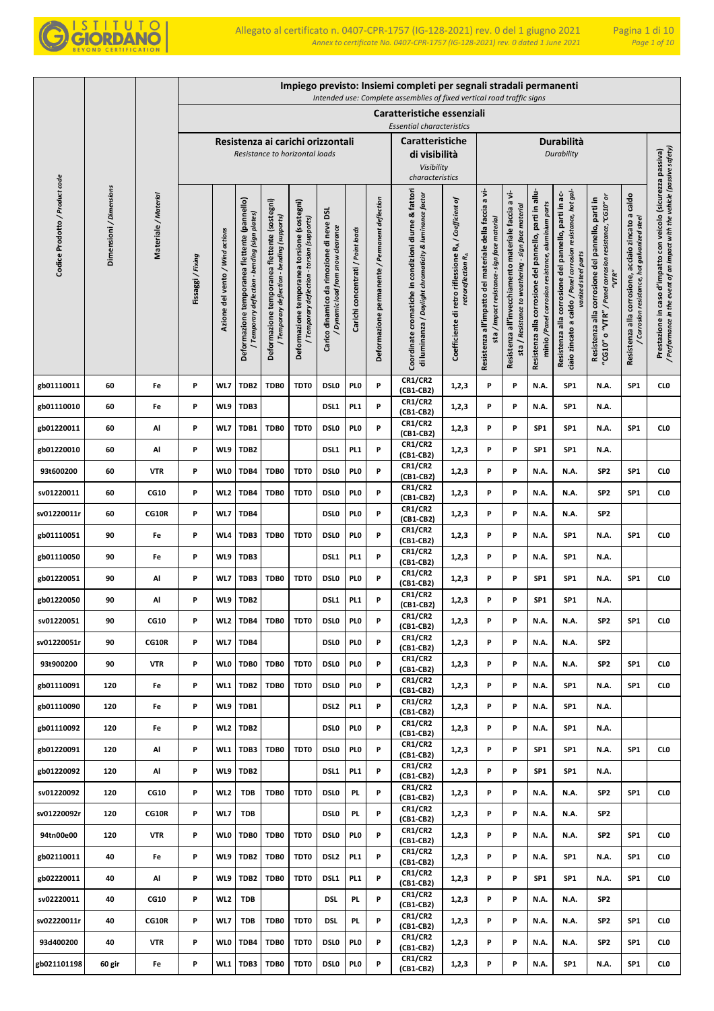

|                                |                         |                      |                 |                                 |                                                                                              |                                                                                             |                                                                                            |                                                                              |                                   |                                                | Impiego previsto: Insiemi completi per segnali stradali permanenti<br>Intended use: Complete assemblies of fixed vertical road traffic signs |                                                                                         |                                                                                                           |                                                                                                                |                                                                                                               |                                                                                                                                              |                                                                                                                      |                                                                                                        |                                                                                                                                            |
|--------------------------------|-------------------------|----------------------|-----------------|---------------------------------|----------------------------------------------------------------------------------------------|---------------------------------------------------------------------------------------------|--------------------------------------------------------------------------------------------|------------------------------------------------------------------------------|-----------------------------------|------------------------------------------------|----------------------------------------------------------------------------------------------------------------------------------------------|-----------------------------------------------------------------------------------------|-----------------------------------------------------------------------------------------------------------|----------------------------------------------------------------------------------------------------------------|---------------------------------------------------------------------------------------------------------------|----------------------------------------------------------------------------------------------------------------------------------------------|----------------------------------------------------------------------------------------------------------------------|--------------------------------------------------------------------------------------------------------|--------------------------------------------------------------------------------------------------------------------------------------------|
|                                |                         |                      |                 |                                 |                                                                                              |                                                                                             |                                                                                            |                                                                              |                                   |                                                | Caratteristiche essenziali                                                                                                                   |                                                                                         |                                                                                                           |                                                                                                                |                                                                                                               |                                                                                                                                              |                                                                                                                      |                                                                                                        |                                                                                                                                            |
|                                |                         |                      |                 |                                 |                                                                                              |                                                                                             | Resistenza ai carichi orizzontali                                                          |                                                                              |                                   |                                                | <b>Essential characteristics</b><br><b>Caratteristiche</b>                                                                                   |                                                                                         |                                                                                                           |                                                                                                                |                                                                                                               | Durabilità                                                                                                                                   |                                                                                                                      |                                                                                                        |                                                                                                                                            |
|                                |                         |                      |                 |                                 |                                                                                              |                                                                                             | Resistance to horizontal loads                                                             |                                                                              |                                   |                                                | di visibilità                                                                                                                                |                                                                                         |                                                                                                           |                                                                                                                |                                                                                                               | Durability                                                                                                                                   |                                                                                                                      |                                                                                                        |                                                                                                                                            |
|                                |                         |                      |                 |                                 |                                                                                              |                                                                                             |                                                                                            |                                                                              |                                   |                                                | Visibility<br>characteristics                                                                                                                |                                                                                         |                                                                                                           |                                                                                                                |                                                                                                               |                                                                                                                                              |                                                                                                                      |                                                                                                        |                                                                                                                                            |
| Codice Prodotto / Product code | Dimensioni / Dimensions | Materiale / Material | Fissaggi/Fixing | Azione del vento / Wind actions | Deformazione temporanea flettente (pannello)<br>Temporary deflection - bending (sign plates) | Deformazione temporanea flettente (sostegni)<br>/ Temporary deflection - bending (supports) | Deformazione temporanea torsione (sostegni)<br>/ Temporary deflection - torsion (supports) | Carico dinamico da rimozione di neve DSL<br>Dynamic load from snow clearance | Carichi concentrati / Point loads | Deformazione permanente / Permanent deflection | Coordinate cromatiche in condizioni diurne & fattori<br>di luminanza / Daylight chromaticity & luminance factor                              | Coefficiente di retro riflessione RA / Coefficient of<br>retroreflection R <sub>A</sub> | a vi-<br>Resistenza all'impatto del materiale della faccia<br>sta / Impact resistance- sign face material | a vi-<br>sta / Resistance to weathering - sign face material<br>Resistenza all'invecchiamento materiale faccia | Resistenza alla corrosione del pannello, parti in allu-<br>minio /Panel corrosion resistance, aluminium parts | ciaio zincato a caldo / Panel corrosion resistance, hot gal-<br>Resistenza alla corrosione del pannello, parti in ac-<br>vanized steel parts | 'CG10" o "VTR" / Panel corrosion resistance, "CG10" or<br>Resistenza alla corrosione del pannello, parti in<br>"VTR" | acciaio zincato a caldo<br>/ Corrosion resistance, hot galvanized steel<br>Resistenza alla corrosione, | / Performance in the event of an impact with the vehicle (passive safety)<br>Prestazione in caso d'impatto con veicolo (sicurezza passiva) |
| gb01110011                     | 60                      | Fe                   | P               | WL7                             | TDB <sub>2</sub>                                                                             | TDB0                                                                                        | TDT0                                                                                       | <b>DSLO</b>                                                                  | PI 0                              | P                                              | CR1/CR2<br>(CB1-CB2)                                                                                                                         | 1,2,3                                                                                   | P                                                                                                         | P                                                                                                              | N.A.                                                                                                          | SP <sub>1</sub>                                                                                                                              | N.A.                                                                                                                 | SP1                                                                                                    | CL <sub>0</sub>                                                                                                                            |
| gb01110010                     | 60                      | Fe                   | P               | WL9                             | TDB3                                                                                         |                                                                                             |                                                                                            | DSL1                                                                         | PL <sub>1</sub>                   | P                                              | <b>CR1/CR2</b><br>(CB1-CB2)                                                                                                                  | 1,2,3                                                                                   | P                                                                                                         | P                                                                                                              | N.A.                                                                                                          | SP <sub>1</sub>                                                                                                                              | N.A.                                                                                                                 |                                                                                                        |                                                                                                                                            |
| gb01220011                     | 60                      | Al                   | P               | WL7                             | TDB1                                                                                         | TDB0                                                                                        | TDT0                                                                                       | <b>DSLO</b>                                                                  | PI 0                              | P                                              | <b>CR1/CR2</b><br>(CB1-CB2)                                                                                                                  | 1,2,3                                                                                   | P                                                                                                         | P                                                                                                              | SP <sub>1</sub>                                                                                               | SP <sub>1</sub>                                                                                                                              | N.A.                                                                                                                 | SP1                                                                                                    | CL <sub>0</sub>                                                                                                                            |
| gb01220010                     | 60                      | Al                   | P               | WL9                             | TDB <sub>2</sub>                                                                             |                                                                                             |                                                                                            | DSL1                                                                         | PL <sub>1</sub>                   | P                                              | <b>CR1/CR2</b><br>(CB1-CB2)                                                                                                                  | 1,2,3                                                                                   | P                                                                                                         | P                                                                                                              | SP <sub>1</sub>                                                                                               | SP <sub>1</sub>                                                                                                                              | N.A.                                                                                                                 |                                                                                                        |                                                                                                                                            |
| 93t600200                      | 60                      | <b>VTR</b>           | P               | <b>WLO</b>                      | TDB4                                                                                         | TDB0                                                                                        | TDT0                                                                                       | <b>DSLO</b>                                                                  | PI 0                              | P                                              | <b>CR1/CR2</b><br>(CB1-CB2)                                                                                                                  | 1,2,3                                                                                   | P                                                                                                         | P                                                                                                              | N.A.                                                                                                          | N.A.                                                                                                                                         | SP <sub>2</sub>                                                                                                      | SP <sub>1</sub>                                                                                        | CL <sub>0</sub>                                                                                                                            |
| sv01220011                     | 60                      | <b>CG10</b>          | P               | WL2                             | TDB4                                                                                         | TDB0                                                                                        | TDT0                                                                                       | <b>DSLO</b>                                                                  | PI 0                              | P                                              | <b>CR1/CR2</b><br>(CB1-CB2)                                                                                                                  | 1,2,3                                                                                   | P                                                                                                         | P                                                                                                              | N.A.                                                                                                          | N.A.                                                                                                                                         | SP <sub>2</sub>                                                                                                      | SP <sub>1</sub>                                                                                        | CL <sub>0</sub>                                                                                                                            |
| sv01220011r                    | 60                      | CG10R                | Ρ               | WL7                             | TDB4                                                                                         |                                                                                             |                                                                                            | <b>DSLO</b>                                                                  | PI 0                              | P                                              | <b>CR1/CR2</b><br>(CB1-CB2)                                                                                                                  | 1,2,3                                                                                   | P                                                                                                         | P                                                                                                              | N.A.                                                                                                          | N.A.                                                                                                                                         | SP <sub>2</sub>                                                                                                      |                                                                                                        |                                                                                                                                            |
| gb01110051                     | 90                      | Fe                   | P               | WL4                             | TDB3                                                                                         | TDB0                                                                                        | TDT0                                                                                       | <b>DSLO</b>                                                                  | PI 0                              | P                                              | <b>CR1/CR2</b><br>(CB1-CB2)                                                                                                                  | 1,2,3                                                                                   | P                                                                                                         | P                                                                                                              | N.A.                                                                                                          | SP <sub>1</sub>                                                                                                                              | N.A.                                                                                                                 | SP <sub>1</sub>                                                                                        | CL <sub>0</sub>                                                                                                                            |
| gb01110050                     | 90                      | Fe                   | P               | WL9                             | TDB3                                                                                         |                                                                                             |                                                                                            | DSL1                                                                         | PL <sub>1</sub>                   | P                                              | <b>CR1/CR2</b><br>(CB1-CB2)                                                                                                                  | 1,2,3                                                                                   | P                                                                                                         | P                                                                                                              | N.A.                                                                                                          | SP <sub>1</sub>                                                                                                                              | N.A.                                                                                                                 |                                                                                                        |                                                                                                                                            |
| gb01220051                     | 90                      | Al                   | Ρ               | WL7                             | TDB3                                                                                         | TDB0                                                                                        | TDT0                                                                                       | <b>DSLO</b>                                                                  | PI 0                              | P                                              | <b>CR1/CR2</b><br>(CB1-CB2)                                                                                                                  | 1,2,3                                                                                   | P                                                                                                         | P                                                                                                              | SP <sub>1</sub>                                                                                               | SP <sub>1</sub>                                                                                                                              | N.A.                                                                                                                 | SP1                                                                                                    | CL <sub>0</sub>                                                                                                                            |
| gb01220050                     | 90                      | Al                   | P               | WL9                             | TDB <sub>2</sub>                                                                             |                                                                                             |                                                                                            | DSL1                                                                         | PL <sub>1</sub>                   | P                                              | <b>CR1/CR2</b><br>(CB1-CB2)                                                                                                                  | 1,2,3                                                                                   | P                                                                                                         | P                                                                                                              | SP <sub>1</sub>                                                                                               | SP <sub>1</sub>                                                                                                                              | N.A.                                                                                                                 |                                                                                                        |                                                                                                                                            |
| sv01220051                     | 90                      | <b>CG10</b>          | P               | WL2                             | TDB4                                                                                         | TDB0                                                                                        | TDT0                                                                                       | <b>DSLO</b>                                                                  | PI <sub>0</sub>                   | P                                              | CR1/CR2<br>(CB1-CB2)                                                                                                                         | 1,2,3                                                                                   | P                                                                                                         | P                                                                                                              | N.A.                                                                                                          | N.A.                                                                                                                                         | SP <sub>2</sub>                                                                                                      | SP <sub>1</sub>                                                                                        | CL <sub>0</sub>                                                                                                                            |
| sv01220051r                    | 90                      | CG10R                | P               | WL7                             | TDB4                                                                                         |                                                                                             |                                                                                            | <b>DSLO</b>                                                                  | PL <sub>0</sub>                   | P                                              | <b>CR1/CR2</b><br>(CB1-CB2)                                                                                                                  | 1,2,3                                                                                   | P                                                                                                         | P                                                                                                              | N.A.                                                                                                          | N.A.                                                                                                                                         | SP <sub>2</sub>                                                                                                      |                                                                                                        |                                                                                                                                            |
| 93t900200                      | 90                      | <b>VTR</b>           | P               | <b>WLO</b>                      | TDB0                                                                                         | TDB0                                                                                        | TDT0                                                                                       | <b>DSLO</b>                                                                  | PI <sub>0</sub>                   | P                                              | <b>CR1/CR2</b><br>(CB1-CB2)                                                                                                                  | 1,2,3                                                                                   | P                                                                                                         | P                                                                                                              | N.A.                                                                                                          | N.A.                                                                                                                                         | SP <sub>2</sub>                                                                                                      | SP <sub>1</sub>                                                                                        | CL <sub>0</sub>                                                                                                                            |
| gb01110091                     | 120                     | Fe                   | P               | WL1                             | TDB2                                                                                         | TDB0                                                                                        | TDT0                                                                                       | <b>DSLO</b>                                                                  | PI <sub>0</sub>                   | P                                              | <b>CR1/CR2</b><br>(CB1-CB2)                                                                                                                  | 1,2,3                                                                                   | P                                                                                                         | P                                                                                                              | N.A.                                                                                                          | SP <sub>1</sub>                                                                                                                              | N.A.                                                                                                                 | SP <sub>1</sub>                                                                                        | CL <sub>0</sub>                                                                                                                            |
| gb01110090                     | 120                     | Fe                   | P               | WL9                             | TDB1                                                                                         |                                                                                             |                                                                                            | DSL <sub>2</sub>                                                             | PL <sub>1</sub>                   | P                                              | <b>CR1/CR2</b><br>(CB1-CB2)                                                                                                                  | 1,2,3                                                                                   | P                                                                                                         | P                                                                                                              | N.A.                                                                                                          | SP1                                                                                                                                          | N.A.                                                                                                                 |                                                                                                        |                                                                                                                                            |
| gb01110092                     | 120                     | Fe                   | P               | WL <sub>2</sub>                 | TDB <sub>2</sub>                                                                             |                                                                                             |                                                                                            | DSL <sub>0</sub>                                                             | PI 0                              | P                                              | <b>CR1/CR2</b><br>(CB1-CB2)                                                                                                                  | 1,2,3                                                                                   | P                                                                                                         | P                                                                                                              | N.A.                                                                                                          | SP1                                                                                                                                          | N.A.                                                                                                                 |                                                                                                        |                                                                                                                                            |
| gb01220091                     | 120                     | Al                   | P               | WL1                             | TDB3                                                                                         | TDB0                                                                                        | TDT0                                                                                       | <b>DSLO</b>                                                                  | PI <sub>0</sub>                   | P                                              | CR1/CR2<br>(CB1-CB2)                                                                                                                         | 1,2,3                                                                                   | P                                                                                                         | P                                                                                                              | SP <sub>1</sub>                                                                                               | SP1                                                                                                                                          | N.A.                                                                                                                 | SP <sub>1</sub>                                                                                        | CL <sub>0</sub>                                                                                                                            |
| gb01220092                     | 120                     | Al                   | P               | WL9                             | TDB <sub>2</sub>                                                                             |                                                                                             |                                                                                            | DSL1                                                                         | PI <sub>1</sub>                   | P                                              | <b>CR1/CR2</b><br>(CB1-CB2)                                                                                                                  | 1,2,3                                                                                   | P                                                                                                         | P                                                                                                              | SP <sub>1</sub>                                                                                               | SP <sub>1</sub>                                                                                                                              | N.A.                                                                                                                 |                                                                                                        |                                                                                                                                            |
| sv01220092                     | 120                     | CG10                 | P               | WL <sub>2</sub>                 | <b>TDB</b>                                                                                   | TDB0                                                                                        | TDT0                                                                                       | DSL <sub>0</sub>                                                             | PL.                               | P                                              | <b>CR1/CR2</b><br>(CB1-CB2)                                                                                                                  | 1,2,3                                                                                   | P                                                                                                         | P                                                                                                              | N.A.                                                                                                          | N.A.                                                                                                                                         | SP <sub>2</sub>                                                                                                      | SP <sub>1</sub>                                                                                        | CL <sub>0</sub>                                                                                                                            |
| sv01220092r                    | 120                     | CG10R                | P               | WL7                             | <b>TDB</b>                                                                                   |                                                                                             |                                                                                            | DSL <sub>0</sub>                                                             | PL.                               | P                                              | <b>CR1/CR2</b><br>(CB1-CB2)                                                                                                                  | 1,2,3                                                                                   | P                                                                                                         | P                                                                                                              | N.A.                                                                                                          | N.A.                                                                                                                                         | SP <sub>2</sub>                                                                                                      |                                                                                                        |                                                                                                                                            |
| 94tn00e00                      | 120                     | <b>VTR</b>           | P               | WL0                             | TDB0                                                                                         | TDB0                                                                                        | TDT0                                                                                       | DSL <sub>0</sub>                                                             | PI 0                              | P                                              | CR1/CR2<br>(CB1-CB2)                                                                                                                         | 1,2,3                                                                                   | P                                                                                                         | P                                                                                                              | N.A.                                                                                                          | N.A.                                                                                                                                         | SP <sub>2</sub>                                                                                                      | SP1                                                                                                    | CL <sub>0</sub>                                                                                                                            |
| gb02110011                     | 40                      | Fe                   | P               | WL9                             | TDB <sub>2</sub>                                                                             | TDB0                                                                                        | TDT0                                                                                       | DSL <sub>2</sub>                                                             | PI <sub>1</sub>                   | P                                              | <b>CR1/CR2</b><br>(CB1-CB2)                                                                                                                  | 1,2,3                                                                                   | P                                                                                                         | P                                                                                                              | N.A.                                                                                                          | SP <sub>1</sub>                                                                                                                              | N.A.                                                                                                                 | SP1                                                                                                    | CL <sub>0</sub>                                                                                                                            |
| gb02220011                     | 40                      | Al                   | P               | WL9                             | TDB <sub>2</sub>                                                                             | TDB0                                                                                        | TDT0                                                                                       | DSL1                                                                         | PI <sub>1</sub>                   | P                                              | <b>CR1/CR2</b><br>(CB1-CB2)                                                                                                                  | 1,2,3                                                                                   | P                                                                                                         | P                                                                                                              | SP <sub>1</sub>                                                                                               | SP <sub>1</sub>                                                                                                                              | N.A.                                                                                                                 | SP <sub>1</sub>                                                                                        | CL <sub>0</sub>                                                                                                                            |
| sv02220011                     | 40                      | CG10                 | P               | WL2                             | <b>TDB</b>                                                                                   |                                                                                             |                                                                                            | DSI.                                                                         | PL.                               | P                                              | <b>CR1/CR2</b><br>(CB1-CB2)                                                                                                                  | 1,2,3                                                                                   | P                                                                                                         | P                                                                                                              | N.A.                                                                                                          | N.A.                                                                                                                                         | SP <sub>2</sub>                                                                                                      |                                                                                                        |                                                                                                                                            |
| sv02220011r                    | 40                      | CG10R                | P               | WL7                             | <b>TDB</b>                                                                                   | TDB0                                                                                        | TDT0                                                                                       | <b>DSL</b>                                                                   | PL.                               | P                                              | <b>CR1/CR2</b><br>(CB1-CB2)                                                                                                                  | 1,2,3                                                                                   | P                                                                                                         | P                                                                                                              | N.A.                                                                                                          | N.A.                                                                                                                                         | SP <sub>2</sub>                                                                                                      | SP <sub>1</sub>                                                                                        | CL <sub>0</sub>                                                                                                                            |
| 93d400200                      | 40                      | <b>VTR</b>           | P               | <b>WLO</b>                      | TDB4                                                                                         | TDB0                                                                                        | TDT0                                                                                       | <b>DSLO</b>                                                                  | PI 0                              | P                                              | <b>CR1/CR2</b><br>(CB1-CB2)                                                                                                                  | 1,2,3                                                                                   | P                                                                                                         | P                                                                                                              | N.A.                                                                                                          | N.A.                                                                                                                                         | SP <sub>2</sub>                                                                                                      | SP1                                                                                                    | CL <sub>0</sub>                                                                                                                            |
| gb021101198                    | 60 gir                  | Fe                   | P               | WL1                             | TDB3                                                                                         | TDB0                                                                                        | TDT0                                                                                       | DSL <sub>0</sub>                                                             | PLO                               | P                                              | <b>CR1/CR2</b><br>(CB1-CB2)                                                                                                                  | 1,2,3                                                                                   | P                                                                                                         | P                                                                                                              | N.A.                                                                                                          | SP1                                                                                                                                          | N.A.                                                                                                                 | SP1                                                                                                    | <b>CLO</b>                                                                                                                                 |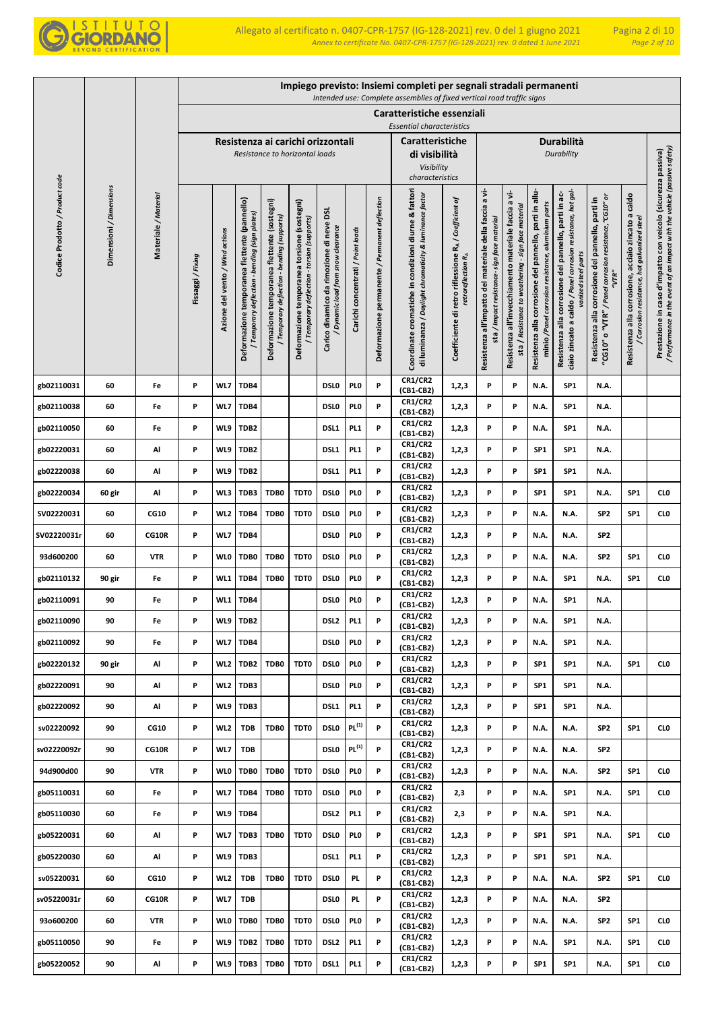

|                                |                         |                      |                 |                                 |                                                                                              |                                                                                             |                                                                                            |                                                                              |                                   |                                                | Impiego previsto: Insiemi completi per segnali stradali permanenti<br>Intended use: Complete assemblies of fixed vertical road traffic signs |                                                                                         |                                                                                                        |                                                                                                       |                                                                                                               |                                                                                                                                              |                                                                                                                      |                                                                                                     |                                                                                                                                            |
|--------------------------------|-------------------------|----------------------|-----------------|---------------------------------|----------------------------------------------------------------------------------------------|---------------------------------------------------------------------------------------------|--------------------------------------------------------------------------------------------|------------------------------------------------------------------------------|-----------------------------------|------------------------------------------------|----------------------------------------------------------------------------------------------------------------------------------------------|-----------------------------------------------------------------------------------------|--------------------------------------------------------------------------------------------------------|-------------------------------------------------------------------------------------------------------|---------------------------------------------------------------------------------------------------------------|----------------------------------------------------------------------------------------------------------------------------------------------|----------------------------------------------------------------------------------------------------------------------|-----------------------------------------------------------------------------------------------------|--------------------------------------------------------------------------------------------------------------------------------------------|
|                                |                         |                      |                 |                                 |                                                                                              |                                                                                             |                                                                                            |                                                                              |                                   | Caratteristiche essenziali                     |                                                                                                                                              |                                                                                         |                                                                                                        |                                                                                                       |                                                                                                               |                                                                                                                                              |                                                                                                                      |                                                                                                     |                                                                                                                                            |
|                                |                         |                      |                 |                                 |                                                                                              |                                                                                             |                                                                                            |                                                                              |                                   |                                                | <b>Essential characteristics</b>                                                                                                             |                                                                                         |                                                                                                        |                                                                                                       |                                                                                                               |                                                                                                                                              |                                                                                                                      |                                                                                                     |                                                                                                                                            |
|                                |                         |                      |                 |                                 |                                                                                              |                                                                                             | Resistenza ai carichi orizzontali<br>Resistance to horizontal loads                        |                                                                              |                                   |                                                | <b>Caratteristiche</b><br>di visibilità                                                                                                      |                                                                                         |                                                                                                        |                                                                                                       |                                                                                                               | Durabilità<br><b>Durability</b>                                                                                                              |                                                                                                                      |                                                                                                     |                                                                                                                                            |
|                                |                         |                      |                 |                                 |                                                                                              |                                                                                             |                                                                                            |                                                                              |                                   |                                                | Visibility<br>characteristics                                                                                                                |                                                                                         |                                                                                                        |                                                                                                       |                                                                                                               |                                                                                                                                              |                                                                                                                      |                                                                                                     |                                                                                                                                            |
|                                |                         |                      |                 |                                 |                                                                                              |                                                                                             |                                                                                            |                                                                              |                                   |                                                |                                                                                                                                              |                                                                                         |                                                                                                        | a vi-                                                                                                 |                                                                                                               |                                                                                                                                              |                                                                                                                      |                                                                                                     |                                                                                                                                            |
| Codice Prodotto / Product code | Dimensioni / Dimensions | Materiale / Material | Fissaggi/Fixing | Azione del vento / Wind actions | Deformazione temporanea flettente (pannello)<br>Temporary deflection - bending (sign plates) | Deformazione temporanea flettente (sostegni)<br>/ Temporary deflection - bending (supports) | Deformazione temporanea torsione (sostegni)<br>/ Temporary deflection - torsion (supports) | Carico dinamico da rimozione di neve DSL<br>Dynamic load from snow clearance | Carichi concentrati / Point loads | Deformazione permanente / Permanent deflection | Coordinate cromatiche in condizioni diurne & fattori<br>di luminanza / Daylight chromaticity & luminance factor                              | Coefficiente di retro riflessione RA / Coefficient of<br>retroreflection R <sub>A</sub> | Resistenza all'impatto del materiale della faccia a vi-<br>sta / Impact resistance- sign face material | sta / Resistance to weathering - sign face material<br>Resistenza all'invecchiamento materiale faccia | Resistenza alla corrosione del pannello, parti in allu-<br>minio /Panel corrosion resistance, aluminium parts | ciaio zincato a caldo / Panel corrosion resistance, hot gal-<br>Resistenza alla corrosione del pannello, parti in ac-<br>vanized steel parts | Resistenza alla corrosione del pannello, parti in<br>'CG10" o "VTR" / Panel corrosion resistance, "CG10" or<br>"VTR" | Resistenza alla corrosione, acciaio zincato a caldo<br>/ Corrosion resistance, hot galvanized steel | / Performance in the event of an impact with the vehicle (passive safety)<br>Prestazione in caso d'impatto con veicolo (sicurezza passiva) |
|                                |                         |                      |                 |                                 |                                                                                              |                                                                                             |                                                                                            |                                                                              |                                   |                                                |                                                                                                                                              |                                                                                         |                                                                                                        |                                                                                                       |                                                                                                               |                                                                                                                                              |                                                                                                                      |                                                                                                     |                                                                                                                                            |
| gb02110031                     | 60                      | Fe                   | P               | WL7                             | TDB4                                                                                         |                                                                                             |                                                                                            | <b>DSLO</b>                                                                  | PLO                               | P                                              | CR1/CR2<br>(CB1-CB2)                                                                                                                         | 1,2,3                                                                                   | P                                                                                                      | P                                                                                                     | N.A.                                                                                                          | SP <sub>1</sub>                                                                                                                              | N.A.                                                                                                                 |                                                                                                     |                                                                                                                                            |
| gb02110038                     | 60                      | Fe                   | P               | WL7                             | TDB4                                                                                         |                                                                                             |                                                                                            | DSL <sub>0</sub>                                                             | PL <sub>0</sub>                   | P                                              | CR1/CR2<br>(CB1-CB2)                                                                                                                         | 1,2,3                                                                                   | P                                                                                                      | P                                                                                                     | N.A.                                                                                                          | SP <sub>1</sub>                                                                                                                              | N.A.                                                                                                                 |                                                                                                     |                                                                                                                                            |
| gb02110050                     | 60                      | Fe                   | P               | WL9                             | TDB <sub>2</sub>                                                                             |                                                                                             |                                                                                            | DSL1                                                                         | PL <sub>1</sub>                   | P                                              | <b>CR1/CR2</b><br>(CB1-CB2)                                                                                                                  | 1,2,3                                                                                   | P                                                                                                      | P                                                                                                     | N.A.                                                                                                          | SP <sub>1</sub>                                                                                                                              | N.A.                                                                                                                 |                                                                                                     |                                                                                                                                            |
| gb02220031                     | 60                      | Al                   | P               | WL9                             | TDB <sub>2</sub>                                                                             |                                                                                             |                                                                                            | DSL1                                                                         | PL <sub>1</sub>                   | P                                              | <b>CR1/CR2</b><br>(CB1-CB2)                                                                                                                  | 1,2,3                                                                                   | P                                                                                                      | P                                                                                                     | SP <sub>1</sub>                                                                                               | SP <sub>1</sub>                                                                                                                              | N.A.                                                                                                                 |                                                                                                     |                                                                                                                                            |
| gb02220038                     | 60                      | Al                   | P               | WL9                             | TDB <sub>2</sub>                                                                             |                                                                                             |                                                                                            | DSL1                                                                         | PL <sub>1</sub>                   | P                                              | CR1/CR2<br>(CB1-CB2)                                                                                                                         | 1,2,3                                                                                   | P                                                                                                      | P                                                                                                     | SP <sub>1</sub>                                                                                               | SP <sub>1</sub>                                                                                                                              | N.A.                                                                                                                 |                                                                                                     |                                                                                                                                            |
| gb02220034                     | 60 gir                  | Al                   | P               | WL3                             | TDB3                                                                                         | TDB0                                                                                        | TDT0                                                                                       | DSL <sub>0</sub>                                                             | PL <sub>0</sub>                   | P                                              | CR1/CR2<br>(CB1-CB2)                                                                                                                         | 1,2,3                                                                                   | P                                                                                                      | P                                                                                                     | SP <sub>1</sub>                                                                                               | SP <sub>1</sub>                                                                                                                              | N.A.                                                                                                                 | SP <sub>1</sub>                                                                                     | CL <sub>0</sub>                                                                                                                            |
| SV02220031                     | 60                      | <b>CG10</b>          | P               | WL <sub>2</sub>                 | TDB4                                                                                         | TDB0                                                                                        | TDT0                                                                                       | <b>DSLO</b>                                                                  | PL <sub>0</sub>                   | P                                              | <b>CR1/CR2</b><br>(CB1-CB2)                                                                                                                  | 1,2,3                                                                                   | P                                                                                                      | P                                                                                                     | N.A.                                                                                                          | N.A.                                                                                                                                         | SP <sub>2</sub>                                                                                                      | SP <sub>1</sub>                                                                                     | CLO                                                                                                                                        |
| SV02220031r                    | 60                      | CG10R                | P               | WL7                             | TDB4                                                                                         |                                                                                             |                                                                                            | DSL <sub>0</sub>                                                             | PL <sub>0</sub>                   | P                                              | <b>CR1/CR2</b><br>(CB1-CB2)                                                                                                                  | 1,2,3                                                                                   | P                                                                                                      | P                                                                                                     | N.A.                                                                                                          | N.A.                                                                                                                                         | SP <sub>2</sub>                                                                                                      |                                                                                                     |                                                                                                                                            |
| 93d600200                      | 60                      | <b>VTR</b>           | P               | <b>WLO</b>                      | TDB0                                                                                         | TDB0                                                                                        | TDT0                                                                                       | DSL <sub>0</sub>                                                             | PL <sub>0</sub>                   | P                                              | <b>CR1/CR2</b><br>(CB1-CB2)                                                                                                                  | 1,2,3                                                                                   | P                                                                                                      | P                                                                                                     | N.A.                                                                                                          | N.A.                                                                                                                                         | SP <sub>2</sub>                                                                                                      | SP <sub>1</sub>                                                                                     | CL <sub>0</sub>                                                                                                                            |
| gb02110132                     | 90 gir                  | Fe                   | P               | WL1                             | TDB4                                                                                         | TDB0                                                                                        | TDT0                                                                                       | <b>DSLO</b>                                                                  | PL <sub>0</sub>                   | P                                              | <b>CR1/CR2</b><br>(CB1-CB2)                                                                                                                  | 1,2,3                                                                                   | P                                                                                                      | P                                                                                                     | N.A.                                                                                                          | SP1                                                                                                                                          | N.A.                                                                                                                 | SP <sub>1</sub>                                                                                     | CL <sub>0</sub>                                                                                                                            |
| gb02110091                     | 90                      | Fe                   | P               | WL1                             | TDB4                                                                                         |                                                                                             |                                                                                            | <b>DSLO</b>                                                                  | PL <sub>0</sub>                   | P                                              | <b>CR1/CR2</b><br>(CB1-CB2)                                                                                                                  | 1,2,3                                                                                   | P                                                                                                      | P                                                                                                     | N.A.                                                                                                          | SP1                                                                                                                                          | N.A.                                                                                                                 |                                                                                                     |                                                                                                                                            |
| gb02110090                     | 90                      | Fe                   | P               | WL9                             | TDB <sub>2</sub>                                                                             |                                                                                             |                                                                                            | DSL <sub>2</sub>                                                             | PL1                               | P                                              | CR1/CR2<br>(CB1-CB2)                                                                                                                         | 1, 2, 3                                                                                 | P                                                                                                      | P                                                                                                     | N.A.                                                                                                          | SP <sub>1</sub>                                                                                                                              | N.A.                                                                                                                 |                                                                                                     |                                                                                                                                            |
| gb02110092                     | 90                      | Fe                   | P               | WL7                             | TDB4                                                                                         |                                                                                             |                                                                                            | <b>DSLO</b>                                                                  | PL <sub>0</sub>                   | P                                              | <b>CR1/CR2</b><br>(CB1-CB2)                                                                                                                  | 1,2,3                                                                                   | P                                                                                                      | P                                                                                                     | N.A.                                                                                                          | SP <sub>1</sub>                                                                                                                              | N.A.                                                                                                                 |                                                                                                     |                                                                                                                                            |
| gb02220132                     | 90 gir                  | Al                   | P               | WL <sub>2</sub>                 | TDB <sub>2</sub>                                                                             | TDB0                                                                                        | TDT0                                                                                       | DSL <sub>0</sub>                                                             | PI <sub>0</sub>                   | P                                              | <b>CR1/CR2</b><br>(CB1-CB2)                                                                                                                  | 1,2,3                                                                                   | P                                                                                                      | P                                                                                                     | SP <sub>1</sub>                                                                                               | SP <sub>1</sub>                                                                                                                              | N.A.                                                                                                                 | SP <sub>1</sub>                                                                                     | CL <sub>0</sub>                                                                                                                            |
| gb02220091                     | 90                      | Al                   | P               | WL <sub>2</sub>                 | TDB3                                                                                         |                                                                                             |                                                                                            | DSL <sub>0</sub>                                                             | PI 0                              | P                                              | <b>CR1/CR2</b><br>(CB1-CB2)                                                                                                                  | 1,2,3                                                                                   | P                                                                                                      | P                                                                                                     | SP <sub>1</sub>                                                                                               | SP <sub>1</sub>                                                                                                                              | N.A.                                                                                                                 |                                                                                                     |                                                                                                                                            |
| gb02220092                     | 90                      | Al                   | P               | WL9                             | TDB3                                                                                         |                                                                                             |                                                                                            | DSL1                                                                         | PL <sub>1</sub>                   | P                                              | <b>CR1/CR2</b><br>(CB1-CB2)                                                                                                                  | 1,2,3                                                                                   | P                                                                                                      | P                                                                                                     | SP <sub>1</sub>                                                                                               | SP1                                                                                                                                          | <b>N.A.</b>                                                                                                          |                                                                                                     |                                                                                                                                            |
| sv02220092                     | 90                      | CG10                 | P               | WL <sub>2</sub>                 | <b>TDB</b>                                                                                   | TDB0                                                                                        | TDT0                                                                                       | <b>DSLO</b>                                                                  | PL <sup>(1)</sup>                 | P                                              | <b>CR1/CR2</b><br>(CB1-CB2)                                                                                                                  | 1,2,3                                                                                   | P                                                                                                      | P                                                                                                     | N.A.                                                                                                          | <b>N.A.</b>                                                                                                                                  | SP <sub>2</sub>                                                                                                      | SP <sub>1</sub>                                                                                     | CL <sub>0</sub>                                                                                                                            |
| sv02220092r                    | 90                      | CG10R                | P               | WL7                             | <b>TDB</b>                                                                                   |                                                                                             |                                                                                            | DSL <sub>0</sub>                                                             | PL <sup>(1)</sup>                 | P                                              | <b>CR1/CR2</b><br>(CB1-CB2)                                                                                                                  | 1,2,3                                                                                   | P                                                                                                      | P                                                                                                     | N.A.                                                                                                          | N.A.                                                                                                                                         | SP <sub>2</sub>                                                                                                      |                                                                                                     |                                                                                                                                            |
| 94d900d00                      | 90                      | <b>VTR</b>           | P               | <b>WLO</b>                      | TDB0                                                                                         | TDB0                                                                                        | TDT0                                                                                       | DSL <sub>0</sub>                                                             | PL <sub>0</sub>                   | P                                              | <b>CR1/CR2</b><br>(CB1-CB2)                                                                                                                  | 1,2,3                                                                                   | P                                                                                                      | P                                                                                                     | N.A.                                                                                                          | N.A.                                                                                                                                         | SP <sub>2</sub>                                                                                                      | SP <sub>1</sub>                                                                                     | CL <sub>0</sub>                                                                                                                            |
| gb05110031                     | 60                      | Fe                   | P               | WL7                             | TDB4                                                                                         | TDB0                                                                                        | TDT0                                                                                       | DSL <sub>0</sub>                                                             | PI 0                              | P                                              | <b>CR1/CR2</b><br>(CB1-CB2)                                                                                                                  | 2,3                                                                                     | P                                                                                                      | P                                                                                                     | N.A.                                                                                                          | SP <sub>1</sub>                                                                                                                              | <b>N.A.</b>                                                                                                          | SP <sub>1</sub>                                                                                     | CLO                                                                                                                                        |
| gb05110030                     | 60                      | Fe                   | P               | WL9                             | TDB4                                                                                         |                                                                                             |                                                                                            | DSL <sub>2</sub>                                                             | PL <sub>1</sub>                   | P                                              | <b>CR1/CR2</b><br>(CB1-CB2)                                                                                                                  | 2,3                                                                                     | P                                                                                                      | P                                                                                                     | N.A.                                                                                                          | SP <sub>1</sub>                                                                                                                              | N.A.                                                                                                                 |                                                                                                     |                                                                                                                                            |
| gb05220031                     | 60                      | Al                   | P               | WL7                             | TDB3                                                                                         | TDB0                                                                                        | TDT0                                                                                       | DSL <sub>0</sub>                                                             | PI 0                              | P                                              | <b>CR1/CR2</b><br>(CB1-CB2)                                                                                                                  | 1,2,3                                                                                   | P                                                                                                      | P                                                                                                     | SP <sub>1</sub>                                                                                               | SP1                                                                                                                                          | N.A.                                                                                                                 | SP <sub>1</sub>                                                                                     | CL <sub>0</sub>                                                                                                                            |
| gb05220030                     | 60                      | Al                   | P               | WL9                             | TDB3                                                                                         |                                                                                             |                                                                                            | DSL1                                                                         | PL <sub>1</sub>                   | P                                              | <b>CR1/CR2</b><br>(CB1-CB2)                                                                                                                  | 1,2,3                                                                                   | P                                                                                                      | P                                                                                                     | SP <sub>1</sub>                                                                                               | SP <sub>1</sub>                                                                                                                              | N.A.                                                                                                                 |                                                                                                     |                                                                                                                                            |
| sv05220031                     | 60                      | CG10                 | P               | WL <sub>2</sub>                 | <b>TDB</b>                                                                                   | TDB0                                                                                        | TDT0                                                                                       | DSL <sub>0</sub>                                                             | PL.                               | P                                              | <b>CR1/CR2</b><br>(CB1-CB2)                                                                                                                  | 1,2,3                                                                                   | P                                                                                                      | P                                                                                                     | N.A.                                                                                                          | N.A.                                                                                                                                         | SP <sub>2</sub>                                                                                                      | SP <sub>1</sub>                                                                                     | CL <sub>0</sub>                                                                                                                            |
| sv05220031r                    | 60                      | CG10R                | P               | WL7                             | <b>TDB</b>                                                                                   |                                                                                             |                                                                                            | DSL <sub>0</sub>                                                             | PL.                               | P                                              | <b>CR1/CR2</b><br>(CB1-CB2)                                                                                                                  | 1,2,3                                                                                   | P                                                                                                      | P                                                                                                     | N.A.                                                                                                          | N.A.                                                                                                                                         | SP <sub>2</sub>                                                                                                      |                                                                                                     |                                                                                                                                            |
| 93o600200                      | 60                      | VTR                  | P               | <b>WLO</b>                      | TDB0                                                                                         | TDB0                                                                                        | TDT0                                                                                       | DSL <sub>0</sub>                                                             | PI 0                              | P                                              | <b>CR1/CR2</b><br>(CB1-CB2)                                                                                                                  | 1,2,3                                                                                   | P                                                                                                      | P                                                                                                     | N.A.                                                                                                          | <b>N.A.</b>                                                                                                                                  | SP <sub>2</sub>                                                                                                      | SP <sub>1</sub>                                                                                     | CLO                                                                                                                                        |
| gb05110050                     | 90                      | Fe                   | P               | WL9                             | TDB <sub>2</sub>                                                                             | TDB0                                                                                        | TDT0                                                                                       | DSL <sub>2</sub>                                                             | PL <sub>1</sub>                   | P                                              | <b>CR1/CR2</b><br>(CB1-CB2)                                                                                                                  | 1,2,3                                                                                   | P                                                                                                      | P                                                                                                     | N.A.                                                                                                          | SP1                                                                                                                                          | N.A.                                                                                                                 | SP <sub>1</sub>                                                                                     | CLO                                                                                                                                        |
| gb05220052                     | 90                      | Al                   | P               | WL9                             | TDB3                                                                                         | TDB0                                                                                        | TDT0                                                                                       | DSL1                                                                         | PL1                               | P                                              | <b>CR1/CR2</b><br>(CB1-CB2)                                                                                                                  | 1,2,3                                                                                   | P                                                                                                      | P                                                                                                     | SP <sub>1</sub>                                                                                               | SP1                                                                                                                                          | <b>N.A.</b>                                                                                                          | SP <sub>1</sub>                                                                                     | <b>CLO</b>                                                                                                                                 |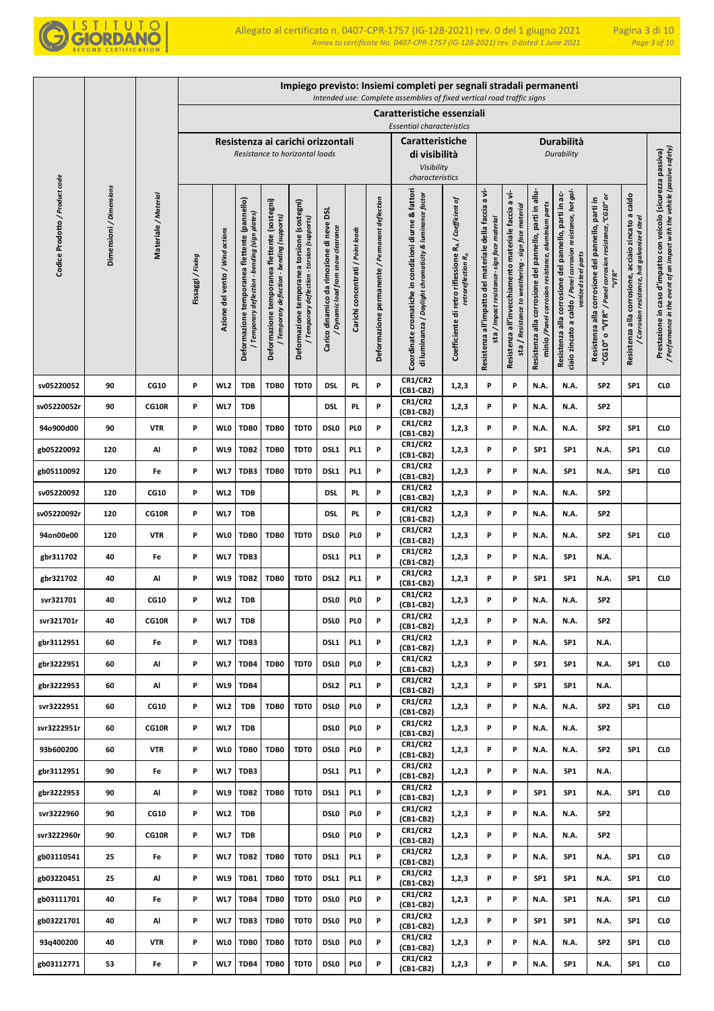

|                                |                         |                      |                 |                                 |                                                                                                  |                                                                                             |                                                                                            |                                                                                |                                   |                                                | Impiego previsto: Insiemi completi per segnali stradali permanenti<br>Intended use: Complete assemblies of fixed vertical road traffic signs |                                                                                         |                                                                                                        |                                                                                                                |                                                                                                               |                                                                                                                                              |                                                                                                                      |                                                                                                        |                                                                                                                                            |
|--------------------------------|-------------------------|----------------------|-----------------|---------------------------------|--------------------------------------------------------------------------------------------------|---------------------------------------------------------------------------------------------|--------------------------------------------------------------------------------------------|--------------------------------------------------------------------------------|-----------------------------------|------------------------------------------------|----------------------------------------------------------------------------------------------------------------------------------------------|-----------------------------------------------------------------------------------------|--------------------------------------------------------------------------------------------------------|----------------------------------------------------------------------------------------------------------------|---------------------------------------------------------------------------------------------------------------|----------------------------------------------------------------------------------------------------------------------------------------------|----------------------------------------------------------------------------------------------------------------------|--------------------------------------------------------------------------------------------------------|--------------------------------------------------------------------------------------------------------------------------------------------|
|                                |                         |                      |                 |                                 |                                                                                                  |                                                                                             |                                                                                            |                                                                                |                                   |                                                | Caratteristiche essenziali                                                                                                                   |                                                                                         |                                                                                                        |                                                                                                                |                                                                                                               |                                                                                                                                              |                                                                                                                      |                                                                                                        |                                                                                                                                            |
|                                |                         |                      |                 |                                 |                                                                                                  |                                                                                             | Resistenza ai carichi orizzontali                                                          |                                                                                |                                   |                                                | <b>Essential characteristics</b><br><b>Caratteristiche</b>                                                                                   |                                                                                         |                                                                                                        |                                                                                                                |                                                                                                               | Durabilità                                                                                                                                   |                                                                                                                      |                                                                                                        |                                                                                                                                            |
|                                |                         |                      |                 |                                 |                                                                                                  |                                                                                             | Resistance to horizontal loads                                                             |                                                                                |                                   |                                                | di visibilità                                                                                                                                |                                                                                         |                                                                                                        |                                                                                                                |                                                                                                               | Durability                                                                                                                                   |                                                                                                                      |                                                                                                        |                                                                                                                                            |
|                                |                         |                      |                 |                                 |                                                                                                  |                                                                                             |                                                                                            |                                                                                |                                   |                                                | Visibility<br>characteristics                                                                                                                |                                                                                         |                                                                                                        |                                                                                                                |                                                                                                               |                                                                                                                                              |                                                                                                                      |                                                                                                        |                                                                                                                                            |
| Codice Prodotto / Product code | Dimensioni / Dimensions | Materiale / Material | Fissaggi/Fixing | Azione del vento / Wind actions | Deformazione temporanea flettente (pannello)<br>bending (sign plates)<br>/ Temporary deflection- | Deformazione temporanea flettente (sostegni)<br>/ Temporary deflection - bending (supports) | Deformazione temporanea torsione (sostegni)<br>/ Temporary deflection - torsion (supports) | Carico dinamico da rimozione di neve DSL<br>/ Dynamic load from snow clearance | Carichi concentrati / Point loads | Deformazione permanente / Permanent deflection | Coordinate cromatiche in condizioni diurne & fattori<br>di luminanza / Daylight chromaticity & luminance factor                              | Coefficiente di retro riflessione RA / Coefficient of<br>retroreflection R <sub>A</sub> | Resistenza all'impatto del materiale della faccia a vi-<br>sta / Impact resistance- sign face material | a vi-<br>sta / Resistance to weathering - sign face material<br>Resistenza all'invecchiamento materiale faccia | Resistenza alla corrosione del pannello, parti in allu-<br>minio /Panel corrosion resistance, aluminium parts | ciaio zincato a caldo / Panel corrosion resistance, hot gal-<br>Resistenza alla corrosione del pannello, parti in ac-<br>vanized steel parts | 'CG10" o "VTR" / Panel corrosion resistance, "CG10" or<br>Resistenza alla corrosione del pannello, parti in<br>"VTR" | corrosione, acciaio zincato a caldo<br>/ Corrosion resistance, hot galvanized steel<br>Resistenza alla | / Performance in the event of an impact with the vehicle (passive safety)<br>Prestazione in caso d'impatto con veicolo (sicurezza passiva) |
|                                |                         |                      |                 |                                 |                                                                                                  |                                                                                             |                                                                                            |                                                                                |                                   |                                                | <b>CR1/CR2</b>                                                                                                                               |                                                                                         |                                                                                                        |                                                                                                                |                                                                                                               |                                                                                                                                              |                                                                                                                      |                                                                                                        |                                                                                                                                            |
| sv05220052<br>sv05220052r      | 90<br>90                | CG10<br><b>CG10R</b> | P<br>P          | WL <sub>2</sub><br>WL7          | <b>TDB</b><br><b>TDB</b>                                                                         | TDB0                                                                                        | TDT0                                                                                       | <b>DSL</b><br><b>DSL</b>                                                       | PL.<br>PL.                        | P<br>P                                         | (CB1-CB2)<br><b>CR1/CR2</b>                                                                                                                  | 1,2,3<br>1,2,3                                                                          | P<br>P                                                                                                 | P<br>P                                                                                                         | N.A.<br>N.A.                                                                                                  | N.A.<br>N.A.                                                                                                                                 | SP <sub>2</sub><br>SP <sub>2</sub>                                                                                   | SP <sub>1</sub>                                                                                        | CL <sub>0</sub>                                                                                                                            |
|                                |                         |                      |                 |                                 |                                                                                                  |                                                                                             |                                                                                            |                                                                                |                                   | P                                              | (CB1-CB2)<br><b>CR1/CR2</b>                                                                                                                  |                                                                                         |                                                                                                        |                                                                                                                |                                                                                                               |                                                                                                                                              |                                                                                                                      |                                                                                                        |                                                                                                                                            |
| 94o900d00<br>gb05220092        | 90<br>120               | <b>VTR</b><br>Al     | P<br>P          | <b>WLO</b><br>WL9               | TDB0<br>TDB2                                                                                     | TDB0<br>TDB0                                                                                | TDT0<br>TDT0                                                                               | DSL <sub>0</sub><br>DSL1                                                       | PLO<br>PL <sub>1</sub>            | P                                              | (CB1-CB2)<br><b>CR1/CR2</b>                                                                                                                  | 1,2,3<br>1,2,3                                                                          | P<br>P                                                                                                 | P<br>P                                                                                                         | N.A.<br>SP <sub>1</sub>                                                                                       | N.A.<br>SP1                                                                                                                                  | SP <sub>2</sub><br>N.A.                                                                                              | SP <sub>1</sub><br>SP <sub>1</sub>                                                                     | CL <sub>0</sub><br>CL <sub>0</sub>                                                                                                         |
| gb05110092                     | 120                     | Fe                   | P               | WL7                             | TDB3                                                                                             | TDB0                                                                                        | TDT0                                                                                       | DSL1                                                                           | PL1                               | P                                              | (CB1-CB2)<br><b>CR1/CR2</b>                                                                                                                  | 1,2,3                                                                                   | P                                                                                                      | P                                                                                                              | N.A.                                                                                                          | SP1                                                                                                                                          | N.A.                                                                                                                 | SP1                                                                                                    | CL <sub>0</sub>                                                                                                                            |
| sv05220092                     | 120                     | <b>CG10</b>          | P               | WL <sub>2</sub>                 | <b>TDB</b>                                                                                       |                                                                                             |                                                                                            | DSI.                                                                           | PL.                               | P                                              | (CB1-CB2)<br><b>CR1/CR2</b>                                                                                                                  | 1,2,3                                                                                   | P                                                                                                      | P                                                                                                              | N.A.                                                                                                          | N.A.                                                                                                                                         | SP <sub>2</sub>                                                                                                      |                                                                                                        |                                                                                                                                            |
| sv05220092r                    | 120                     | CG10R                | P               | WL7                             | <b>TDB</b>                                                                                       |                                                                                             |                                                                                            | <b>DSL</b>                                                                     | PL.                               | P                                              | (CB1-CB2)<br><b>CR1/CR2</b>                                                                                                                  | 1,2,3                                                                                   | P                                                                                                      | P                                                                                                              | N.A.                                                                                                          | N.A.                                                                                                                                         | SP <sub>2</sub>                                                                                                      |                                                                                                        |                                                                                                                                            |
| 94on00e00                      | 120                     | <b>VTR</b>           | P               | <b>WLO</b>                      | TDB0                                                                                             | TDB0                                                                                        | TDT0                                                                                       | DSL <sub>0</sub>                                                               | PL <sub>0</sub>                   | P                                              | (CB1-CB2)<br><b>CR1/CR2</b>                                                                                                                  | 1,2,3                                                                                   | P                                                                                                      | P                                                                                                              | N.A.                                                                                                          | N.A.                                                                                                                                         | SP <sub>2</sub>                                                                                                      | SP <sub>1</sub>                                                                                        | CL <sub>0</sub>                                                                                                                            |
| gbr311702                      | 40                      | Fe                   | P               | WL7                             | TDB3                                                                                             |                                                                                             |                                                                                            | DSL1                                                                           | PL <sub>1</sub>                   | P                                              | (CB1-CB2)<br>CR1/CR2<br>(CB1-CB2)                                                                                                            | 1,2,3                                                                                   | P                                                                                                      | P                                                                                                              | N.A.                                                                                                          | SP <sub>1</sub>                                                                                                                              | N.A.                                                                                                                 |                                                                                                        |                                                                                                                                            |
| gbr321702                      | 40                      | Al                   | P               | WL9                             | TDB2                                                                                             | TDB0                                                                                        | TDT0                                                                                       | DSL <sub>2</sub>                                                               | PL <sub>1</sub>                   | P                                              | CR1/CR2<br>(CB1-CB2)                                                                                                                         | 1,2,3                                                                                   | P                                                                                                      | P                                                                                                              | SP <sub>1</sub>                                                                                               | SP <sub>1</sub>                                                                                                                              | N.A.                                                                                                                 | SP1                                                                                                    | CL <sub>0</sub>                                                                                                                            |
| svr321701                      | 40                      | <b>CG10</b>          | P               | WL <sub>2</sub>                 | <b>TDB</b>                                                                                       |                                                                                             |                                                                                            | <b>DSLO</b>                                                                    | PL <sub>0</sub>                   | P                                              | <b>CR1/CR2</b><br>(CB1-CB2)                                                                                                                  | 1,2,3                                                                                   | P                                                                                                      | P                                                                                                              | N.A.                                                                                                          | N.A.                                                                                                                                         | SP <sub>2</sub>                                                                                                      |                                                                                                        |                                                                                                                                            |
| svr321701r                     | 40                      | CG10R                | P               | WL7                             | <b>TDB</b>                                                                                       |                                                                                             |                                                                                            | DSL <sub>0</sub>                                                               | PL <sub>0</sub>                   | P                                              | <b>CR1/CR2</b><br>(CB1-CB2)                                                                                                                  | 1,2,3                                                                                   | P                                                                                                      | P                                                                                                              | N.A.                                                                                                          | N.A.                                                                                                                                         | SP <sub>2</sub>                                                                                                      |                                                                                                        |                                                                                                                                            |
| gbr3112951                     | 60                      | Fe                   | P               | WL7                             | TDB3                                                                                             |                                                                                             |                                                                                            | DSL <sub>1</sub>                                                               | PL <sub>1</sub>                   | P                                              | <b>CR1/CR2</b><br>(CB1-CB2)                                                                                                                  | 1,2,3                                                                                   | P                                                                                                      | P                                                                                                              | N.A.                                                                                                          | SP <sub>1</sub>                                                                                                                              | N.A.                                                                                                                 |                                                                                                        |                                                                                                                                            |
| gbr3222951                     | 60                      | Al                   | P               | WL7                             | TDB4                                                                                             | TDB0                                                                                        | TDT0                                                                                       | DSL <sub>0</sub>                                                               | PL <sub>0</sub>                   | P                                              | <b>CR1/CR2</b><br>(CB1-CB2)                                                                                                                  | 1,2,3                                                                                   | P                                                                                                      | P                                                                                                              | SP <sub>1</sub>                                                                                               | SP <sub>1</sub>                                                                                                                              | N.A.                                                                                                                 | SP <sub>1</sub>                                                                                        | CL <sub>0</sub>                                                                                                                            |
| gbr3222953                     | 60                      | Al                   | P               | WL9                             | TDB4                                                                                             |                                                                                             |                                                                                            | DSL <sub>2</sub>                                                               | PL <sub>1</sub>                   | P                                              | <b>CR1/CR2</b><br>(CB1-CB2)                                                                                                                  | 1,2,3                                                                                   | P                                                                                                      | P                                                                                                              | SP <sub>1</sub>                                                                                               | SP <sub>1</sub>                                                                                                                              | N.A.                                                                                                                 |                                                                                                        |                                                                                                                                            |
| svr3222951                     | 60                      | <b>CG10</b>          | P               | WL <sub>2</sub>                 | <b>TDB</b>                                                                                       | TDB0                                                                                        | TDT0                                                                                       | DSL <sub>0</sub>                                                               | PI 0                              | P                                              | <b>CR1/CR2</b><br>(CB1-CB2)                                                                                                                  | 1,2,3                                                                                   | P                                                                                                      | P                                                                                                              | N.A.                                                                                                          | N.A.                                                                                                                                         | SP <sub>2</sub>                                                                                                      | SP <sub>1</sub>                                                                                        | CL <sub>0</sub>                                                                                                                            |
| svr3222951r                    | 60                      | CG10R                | P               | WL7                             | <b>TDB</b>                                                                                       |                                                                                             |                                                                                            | DSL <sub>0</sub>                                                               | PI 0                              | P                                              | <b>CR1/CR2</b><br>(CB1-CB2)                                                                                                                  | 1,2,3                                                                                   | P                                                                                                      | P                                                                                                              | N.A.                                                                                                          | N.A.                                                                                                                                         | SP <sub>2</sub>                                                                                                      |                                                                                                        |                                                                                                                                            |
| 93b600200                      | 60                      | <b>VTR</b>           | P               | <b>WLO</b>                      | TDB0                                                                                             | TDB0                                                                                        | TDT0                                                                                       | DSL <sub>0</sub>                                                               | PI 0                              | P                                              | <b>CR1/CR2</b><br>(CB1-CB2)                                                                                                                  | 1,2,3                                                                                   | P                                                                                                      | P                                                                                                              | N.A.                                                                                                          | N.A.                                                                                                                                         | SP <sub>2</sub>                                                                                                      | SP <sub>1</sub>                                                                                        | CL <sub>0</sub>                                                                                                                            |
| gbr3112951                     | 90                      | Fe                   | P               | WL7                             | TDB3                                                                                             |                                                                                             |                                                                                            | DSL1                                                                           | PL <sub>1</sub>                   | P                                              | <b>CR1/CR2</b><br>(CB1-CB2)                                                                                                                  | 1,2,3                                                                                   | P                                                                                                      | P                                                                                                              | N.A.                                                                                                          | SP <sub>1</sub>                                                                                                                              | N.A.                                                                                                                 |                                                                                                        |                                                                                                                                            |
| gbr3222953                     | 90                      | Al                   | P               | WL9                             | TDB <sub>2</sub>                                                                                 | TDB0                                                                                        | TDT0                                                                                       | DSL1                                                                           | PL <sub>1</sub>                   | P                                              | <b>CR1/CR2</b><br>(CB1-CB2)                                                                                                                  | 1,2,3                                                                                   | P                                                                                                      | P                                                                                                              | SP <sub>1</sub>                                                                                               | SP <sub>1</sub>                                                                                                                              | N.A.                                                                                                                 | SP1                                                                                                    | CL <sub>0</sub>                                                                                                                            |
| svr3222960                     | 90                      | CG10                 | P               | WL <sub>2</sub>                 | <b>TDB</b>                                                                                       |                                                                                             |                                                                                            | DSL <sub>0</sub>                                                               | PI 0                              | P                                              | <b>CR1/CR2</b><br>(CB1-CB2)                                                                                                                  | 1,2,3                                                                                   | P                                                                                                      | P                                                                                                              | N.A.                                                                                                          | N.A.                                                                                                                                         | SP <sub>2</sub>                                                                                                      |                                                                                                        |                                                                                                                                            |
| svr3222960r                    | 90                      | CG10R                | P               | WL7                             | <b>TDB</b>                                                                                       |                                                                                             |                                                                                            | DSL <sub>0</sub>                                                               | PL <sub>0</sub>                   | P                                              | <b>CR1/CR2</b><br>(CB1-CB2)                                                                                                                  | 1,2,3                                                                                   | P                                                                                                      | P                                                                                                              | N.A.                                                                                                          | N.A.                                                                                                                                         | SP <sub>2</sub>                                                                                                      |                                                                                                        |                                                                                                                                            |
| gb03110541                     | 25                      | Fe                   | P               | WL7                             | TDB2                                                                                             | TDB0                                                                                        | TDT0                                                                                       | DSL1                                                                           | PL <sub>1</sub>                   | P                                              | <b>CR1/CR2</b><br>(CB1-CB2)                                                                                                                  | 1,2,3                                                                                   | P                                                                                                      | P                                                                                                              | N.A.                                                                                                          | SP <sub>1</sub>                                                                                                                              | N.A.                                                                                                                 | SP1                                                                                                    | CL <sub>0</sub>                                                                                                                            |
| gb03220451                     | 25                      | Al                   | P               | WL9                             | TDB1                                                                                             | TDB0                                                                                        | TDT0                                                                                       | DSL1                                                                           | PL <sub>1</sub>                   | P                                              | <b>CR1/CR2</b><br>(CB1-CB2)                                                                                                                  | 1,2,3                                                                                   | P                                                                                                      | P                                                                                                              | SP <sub>1</sub>                                                                                               | SP1                                                                                                                                          | N.A.                                                                                                                 | SP1                                                                                                    | CL <sub>0</sub>                                                                                                                            |
| gb03111701                     | 40                      | Fe                   | P               | WL7                             | TDB4                                                                                             | TDB0                                                                                        | TDT0                                                                                       | DSL <sub>0</sub>                                                               | PL <sub>0</sub>                   | P                                              | <b>CR1/CR2</b><br>(CB1-CB2)                                                                                                                  | 1,2,3                                                                                   | P                                                                                                      | P                                                                                                              | N.A.                                                                                                          | SP <sub>1</sub>                                                                                                                              | N.A.                                                                                                                 | SP <sub>1</sub>                                                                                        | CL <sub>0</sub>                                                                                                                            |
| gb03221701                     | 40                      | Al                   | P               | WL7                             | TDB3                                                                                             | TDB0                                                                                        | TDT0                                                                                       | DSL <sub>0</sub>                                                               | PI 0                              | P                                              | <b>CR1/CR2</b><br>(CB1-CB2)                                                                                                                  | 1,2,3                                                                                   | P                                                                                                      | P                                                                                                              | SP <sub>1</sub>                                                                                               | SP <sub>1</sub>                                                                                                                              | N.A.                                                                                                                 | SP <sub>1</sub>                                                                                        | CL <sub>0</sub>                                                                                                                            |
| 93q400200                      | 40                      | <b>VTR</b>           | P               | <b>WLO</b>                      | TDB0                                                                                             | TDB0                                                                                        | TDT0                                                                                       | DSL <sub>0</sub>                                                               | PI 0                              | P                                              | <b>CR1/CR2</b><br>(CB1-CB2)                                                                                                                  | 1,2,3                                                                                   | P                                                                                                      | P                                                                                                              | N.A.                                                                                                          | N.A.                                                                                                                                         | SP <sub>2</sub>                                                                                                      | SP <sub>1</sub>                                                                                        | CL <sub>0</sub>                                                                                                                            |
| gb03112771                     | 53                      | Fe                   | P               | WL7                             | TDB4                                                                                             | TDB0                                                                                        | TDT0                                                                                       | DSL <sub>0</sub>                                                               | PI 0                              | P                                              | <b>CR1/CR2</b><br>(CB1-CB2)                                                                                                                  | 1,2,3                                                                                   | P                                                                                                      | P                                                                                                              | N.A.                                                                                                          | SP <sub>1</sub>                                                                                                                              | N.A.                                                                                                                 | SP1                                                                                                    | CL <sub>0</sub>                                                                                                                            |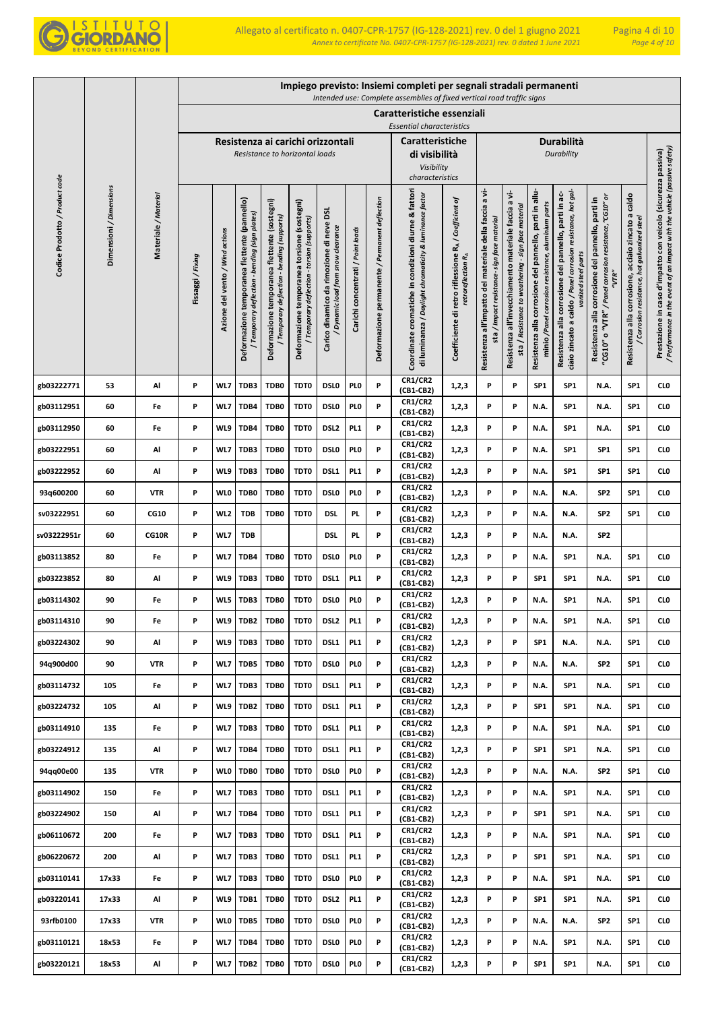

|                                |                         |                      |                 |                                 |                                                                                                |                                                                                             |                                                                                            |                                                                              |                                   |                                                | Impiego previsto: Insiemi completi per segnali stradali permanenti<br>Intended use: Complete assemblies of fixed vertical road traffic signs |                                                                                         |                                                                                                        |                                                                                                                |                                                                                                               |                                                                                                                                              |                                                                                                                            |                                                                                                           |                                                                                                                                            |
|--------------------------------|-------------------------|----------------------|-----------------|---------------------------------|------------------------------------------------------------------------------------------------|---------------------------------------------------------------------------------------------|--------------------------------------------------------------------------------------------|------------------------------------------------------------------------------|-----------------------------------|------------------------------------------------|----------------------------------------------------------------------------------------------------------------------------------------------|-----------------------------------------------------------------------------------------|--------------------------------------------------------------------------------------------------------|----------------------------------------------------------------------------------------------------------------|---------------------------------------------------------------------------------------------------------------|----------------------------------------------------------------------------------------------------------------------------------------------|----------------------------------------------------------------------------------------------------------------------------|-----------------------------------------------------------------------------------------------------------|--------------------------------------------------------------------------------------------------------------------------------------------|
|                                |                         |                      |                 |                                 |                                                                                                |                                                                                             |                                                                                            |                                                                              |                                   |                                                | Caratteristiche essenziali                                                                                                                   |                                                                                         |                                                                                                        |                                                                                                                |                                                                                                               |                                                                                                                                              |                                                                                                                            |                                                                                                           |                                                                                                                                            |
|                                |                         |                      |                 |                                 |                                                                                                |                                                                                             |                                                                                            |                                                                              |                                   |                                                | <b>Essential characteristics</b>                                                                                                             |                                                                                         |                                                                                                        |                                                                                                                |                                                                                                               |                                                                                                                                              |                                                                                                                            |                                                                                                           |                                                                                                                                            |
|                                |                         |                      |                 |                                 |                                                                                                |                                                                                             | Resistenza ai carichi orizzontali<br>Resistance to horizontal loads                        |                                                                              |                                   |                                                | Caratteristiche<br>di visibilità                                                                                                             |                                                                                         |                                                                                                        |                                                                                                                |                                                                                                               | Durabilità<br>Durability                                                                                                                     |                                                                                                                            |                                                                                                           |                                                                                                                                            |
|                                |                         |                      |                 |                                 |                                                                                                |                                                                                             |                                                                                            |                                                                              |                                   |                                                | Visibility<br>characteristics                                                                                                                |                                                                                         |                                                                                                        |                                                                                                                |                                                                                                               |                                                                                                                                              |                                                                                                                            |                                                                                                           |                                                                                                                                            |
| Codice Prodotto / Product code | Dimensioni / Dimensions | Materiale / Material | Fissaggi/Fixing | Azione del vento / Wind actions | Deformazione temporanea flettente (pannello)<br>bending (sign plates)<br>Temporary deflection- | Deformazione temporanea flettente (sostegni)<br>/ Temporary deflection - bending (supports) | Deformazione temporanea torsione (sostegni)<br>/ Temporary deflection - torsion (supports) | Carico dinamico da rimozione di neve DSL<br>Dynamic load from snow clearance | Carichi concentrati / Point loads | Deformazione permanente / Permanent deflection | Coordinate cromatiche in condizioni diurne & fattori<br>di luminanza / Daylight chromaticity & luminance factor                              | Coefficiente di retro riflessione RA / Coefficient of<br>retroreflection R <sub>A</sub> | Resistenza all'impatto del materiale della faccia a vi-<br>sta / Impact resistance- sign face material | a vi-<br>sta / Resistance to weathering - sign face material<br>Resistenza all'invecchiamento materiale faccia | Resistenza alla corrosione del pannello, parti in allu-<br>minio /Panel corrosion resistance, aluminium parts | ciaio zincato a caldo / Panel corrosion resistance, hot gal-<br>Resistenza alla corrosione del pannello, parti in ac-<br>vanized steel parts | o "VTR" / Panel corrosion resistance, "CG10" or<br>corrosione del pannello, parti in<br>"VTR"<br>Resistenza alla<br>"CG10" | acciaio zincato a caldo<br>/ Corrosion resistance, hot galvanized steel<br>corrosione,<br>Resistenza alla | / Performance in the event of an impact with the vehicle (passive safety)<br>Prestazione in caso d'impatto con veicolo (sicurezza passiva) |
| gb03222771                     | 53                      | Al                   | P               | WL7                             | TDB3                                                                                           | TDB0                                                                                        | TDT0                                                                                       | <b>DSLO</b>                                                                  | PL <sub>0</sub>                   | P                                              | CR1/CR2<br>(CB1-CB2)                                                                                                                         | 1,2,3                                                                                   | P                                                                                                      | P                                                                                                              | SP <sub>1</sub>                                                                                               | SP <sub>1</sub>                                                                                                                              | N.A.                                                                                                                       | SP1                                                                                                       | CL <sub>0</sub>                                                                                                                            |
| gb03112951                     | 60                      | Fe                   | P               | WL7                             | TDB4                                                                                           | TDB0                                                                                        | TDT0                                                                                       | <b>DSLO</b>                                                                  | PI 0                              | P                                              | <b>CR1/CR2</b><br>(CB1-CB2)                                                                                                                  | 1,2,3                                                                                   | P                                                                                                      | P                                                                                                              | N.A.                                                                                                          | SP <sub>1</sub>                                                                                                                              | N.A.                                                                                                                       | SP <sub>1</sub>                                                                                           | CL <sub>0</sub>                                                                                                                            |
| gb03112950                     | 60                      | Fe                   | P               | WL9                             | TDB4                                                                                           | TDB0                                                                                        | TDT0                                                                                       | DSL <sub>2</sub>                                                             | PL <sub>1</sub>                   | P                                              | <b>CR1/CR2</b><br>(CB1-CB2)                                                                                                                  | 1,2,3                                                                                   | P                                                                                                      | P                                                                                                              | N.A.                                                                                                          | SP1                                                                                                                                          | N.A.                                                                                                                       | SP <sub>1</sub>                                                                                           | CL <sub>0</sub>                                                                                                                            |
| gb03222951                     | 60                      | Al                   | P               | WL7                             | TDB3                                                                                           | TDB0                                                                                        | TDT0                                                                                       | <b>DSLO</b>                                                                  | PL <sub>0</sub>                   | P                                              | <b>CR1/CR2</b><br>(CB1-CB2)                                                                                                                  | 1,2,3                                                                                   | P                                                                                                      | P                                                                                                              | N.A.                                                                                                          | SP1                                                                                                                                          | SP <sub>1</sub>                                                                                                            | SP <sub>1</sub>                                                                                           | CL <sub>0</sub>                                                                                                                            |
| gb03222952                     | 60                      | Al                   | P               | WL9                             | TDB3                                                                                           | TDB0                                                                                        | TDT0                                                                                       | DSL1                                                                         | PL <sub>1</sub>                   | P                                              | <b>CR1/CR2</b><br>(CB1-CB2)                                                                                                                  | 1,2,3                                                                                   | P                                                                                                      | P                                                                                                              | N.A.                                                                                                          | SP1                                                                                                                                          | SP <sub>1</sub>                                                                                                            | SP <sub>1</sub>                                                                                           | CL <sub>0</sub>                                                                                                                            |
| 93q600200                      | 60                      | <b>VTR</b>           | P               | <b>WLO</b>                      | TDB0                                                                                           | TDB0                                                                                        | TDT0                                                                                       | <b>DSLO</b>                                                                  | PL <sub>0</sub>                   | P                                              | <b>CR1/CR2</b><br>(CB1-CB2)                                                                                                                  | 1,2,3                                                                                   | P                                                                                                      | P                                                                                                              | N.A.                                                                                                          | N.A.                                                                                                                                         | SP <sub>2</sub>                                                                                                            | SP <sub>1</sub>                                                                                           | CL <sub>0</sub>                                                                                                                            |
| sv03222951                     | 60                      | <b>CG10</b>          | P               | WL <sub>2</sub>                 | <b>TDB</b>                                                                                     | TDB0                                                                                        | TDT0                                                                                       | DSI.                                                                         | PL.                               | P                                              | <b>CR1/CR2</b><br>(CB1-CB2)                                                                                                                  | 1,2,3                                                                                   | P                                                                                                      | P                                                                                                              | N.A.                                                                                                          | N.A.                                                                                                                                         | SP <sub>2</sub>                                                                                                            | SP <sub>1</sub>                                                                                           | CL <sub>0</sub>                                                                                                                            |
| sv03222951r                    | 60                      | CG10R                | P               | WL7                             | <b>TDB</b>                                                                                     |                                                                                             |                                                                                            | DSI.                                                                         | PL.                               | P                                              | <b>CR1/CR2</b><br>(CB1-CB2)                                                                                                                  | 1,2,3                                                                                   | P                                                                                                      | P                                                                                                              | N.A.                                                                                                          | N.A.                                                                                                                                         | SP <sub>2</sub>                                                                                                            |                                                                                                           |                                                                                                                                            |
| gb03113852                     | 80                      | Fe                   | P               | WL7                             | TDB4                                                                                           | TDB0                                                                                        | TDT0                                                                                       | <b>DSLO</b>                                                                  | PI 0                              | P                                              | <b>CR1/CR2</b><br>(CB1-CB2)                                                                                                                  | 1, 2, 3                                                                                 | P                                                                                                      | P                                                                                                              | N.A.                                                                                                          | SP <sub>1</sub>                                                                                                                              | N.A.                                                                                                                       | SP <sub>1</sub>                                                                                           | CL <sub>0</sub>                                                                                                                            |
| gb03223852                     | 80                      | Al                   | P               | WL9                             | TDB3                                                                                           | TDB0                                                                                        | TDT0                                                                                       | DSL <sub>1</sub>                                                             | PL <sub>1</sub>                   | P                                              | <b>CR1/CR2</b><br>(CB1-CB2)                                                                                                                  | 1,2,3                                                                                   | P                                                                                                      | P                                                                                                              | SP <sub>1</sub>                                                                                               | SP1                                                                                                                                          | N.A.                                                                                                                       | SP <sub>1</sub>                                                                                           | CL <sub>0</sub>                                                                                                                            |
| gb03114302                     | 90                      | Fe                   | P               | WL5                             | TDB3                                                                                           | TDB0                                                                                        | TDT0                                                                                       | <b>DSLO</b>                                                                  | PI 0                              | P                                              | <b>CR1/CR2</b><br>(CB1-CB2)                                                                                                                  | 1,2,3                                                                                   | P                                                                                                      | P                                                                                                              | N.A.                                                                                                          | SP1                                                                                                                                          | N.A.                                                                                                                       | SP <sub>1</sub>                                                                                           | CL <sub>0</sub>                                                                                                                            |
| gb03114310                     | 90                      | Fe                   | P               | WL9                             | TDB <sub>2</sub>                                                                               | TDB0                                                                                        | TDT0                                                                                       | DSL <sub>2</sub>                                                             | PL <sub>1</sub>                   | P                                              | <b>CR1/CR2</b><br>(CB1-CB2)                                                                                                                  | 1, 2, 3                                                                                 | P                                                                                                      | P                                                                                                              | N.A.                                                                                                          | SP <sub>1</sub>                                                                                                                              | N.A.                                                                                                                       | SP <sub>1</sub>                                                                                           | CL <sub>0</sub>                                                                                                                            |
| gb03224302                     | 90                      | Al                   | P               | WL9                             | TDB3                                                                                           | TDB0                                                                                        | TDT0                                                                                       | DSL1                                                                         | PL <sub>1</sub>                   | P                                              | <b>CR1/CR2</b><br>(CB1-CB2)                                                                                                                  | 1,2,3                                                                                   | P                                                                                                      | P                                                                                                              | SP <sub>1</sub>                                                                                               | N.A.                                                                                                                                         | N.A.                                                                                                                       | SP <sub>1</sub>                                                                                           | CLO                                                                                                                                        |
| 94q900d00                      | 90                      | <b>VTR</b>           | P               | WL7                             | TDB5                                                                                           | TDB0                                                                                        | TDT0                                                                                       | <b>DSLO</b>                                                                  | PL <sub>0</sub>                   | P                                              | <b>CR1/CR2</b><br>(CB1-CB2)                                                                                                                  | 1,2,3                                                                                   | P                                                                                                      | P                                                                                                              | N.A.                                                                                                          | N.A.                                                                                                                                         | SP <sub>2</sub>                                                                                                            | SP <sub>1</sub>                                                                                           | <b>CLO</b>                                                                                                                                 |
| gb03114732                     | 105                     | Fe                   | P               | WL7                             | TDB3                                                                                           | TDB0                                                                                        | TDT0                                                                                       | DSL1                                                                         | PL <sub>1</sub>                   | P                                              | <b>CR1/CR2</b><br>(CB1-CB2)                                                                                                                  | 1,2,3                                                                                   | P                                                                                                      | P                                                                                                              | N.A.                                                                                                          | SP1                                                                                                                                          | N.A.                                                                                                                       | SP <sub>1</sub>                                                                                           | <b>CLO</b>                                                                                                                                 |
| gb03224732                     | 105                     | Al                   | P               | WL9                             | TDB <sub>2</sub>                                                                               | TDB0                                                                                        | TDT0                                                                                       | DSL1                                                                         | PL <sub>1</sub>                   | P                                              | <b>CR1/CR2</b><br>(CB1-CB2)                                                                                                                  | 1,2,3                                                                                   | P                                                                                                      | P                                                                                                              | SP <sub>1</sub>                                                                                               | SP1                                                                                                                                          | N.A.                                                                                                                       | SP <sub>1</sub>                                                                                           | CL <sub>0</sub>                                                                                                                            |
| gb03114910                     | 135                     | Fe                   | P               | WL7                             | TDB3                                                                                           | TDB0                                                                                        | TDT0                                                                                       | DSL1                                                                         | PL <sub>1</sub>                   | P                                              | <b>CR1/CR2</b><br>$(CB1-CB2)$                                                                                                                | 1,2,3                                                                                   | P                                                                                                      | P                                                                                                              | N.A.                                                                                                          | SP <sub>1</sub>                                                                                                                              | N.A.                                                                                                                       | SP <sub>1</sub>                                                                                           | CL <sub>0</sub>                                                                                                                            |
| gb03224912                     | 135                     | Al                   | P               | WL7                             | TDB4                                                                                           | TDB0                                                                                        | TDT0                                                                                       | DSL1                                                                         | PL <sub>1</sub>                   | P                                              | <b>CR1/CR2</b><br>(CB1-CB2)                                                                                                                  | 1,2,3                                                                                   | P                                                                                                      | P                                                                                                              | SP <sub>1</sub>                                                                                               | SP1                                                                                                                                          | N.A.                                                                                                                       | SP <sub>1</sub>                                                                                           | CL <sub>0</sub>                                                                                                                            |
| 94qq00e00                      | 135                     | <b>VTR</b>           | P               | <b>WLO</b>                      | TDB0                                                                                           | TDB0                                                                                        | TDT0                                                                                       | DSL <sub>0</sub>                                                             | PL <sub>0</sub>                   | P                                              | <b>CR1/CR2</b><br>(CB1-CB2)                                                                                                                  | 1,2,3                                                                                   | P                                                                                                      | P                                                                                                              | N.A.                                                                                                          | N.A.                                                                                                                                         | SP <sub>2</sub>                                                                                                            | SP1                                                                                                       | CL <sub>0</sub>                                                                                                                            |
| gb03114902                     | 150                     | Fe                   | P               | WL7                             | TDB3                                                                                           | TDB0                                                                                        | TDT0                                                                                       | DSL1                                                                         | PL <sub>1</sub>                   | P                                              | <b>CR1/CR2</b><br>(CB1-CB2)                                                                                                                  | 1,2,3                                                                                   | P                                                                                                      | P                                                                                                              | N.A.                                                                                                          | SP <sub>1</sub>                                                                                                                              | N.A.                                                                                                                       | SP1                                                                                                       | CL <sub>0</sub>                                                                                                                            |
| gb03224902                     | 150                     | Al                   | P               | WL7                             | TDB4                                                                                           | TDB0                                                                                        | TDT0                                                                                       | DSL1                                                                         | PL <sub>1</sub>                   | P                                              | <b>CR1/CR2</b><br>(CB1-CB2)                                                                                                                  | 1,2,3                                                                                   | P                                                                                                      | P                                                                                                              | SP <sub>1</sub>                                                                                               | SP <sub>1</sub>                                                                                                                              | N.A.                                                                                                                       | SP <sub>1</sub>                                                                                           | CL <sub>0</sub>                                                                                                                            |
| gb06110672                     | 200                     | Fe                   | P               | WL7                             | TDB3                                                                                           | TDB0                                                                                        | TDT0                                                                                       | DSL1                                                                         | PL <sub>1</sub>                   | P                                              | <b>CR1/CR2</b><br>(CB1-CB2)                                                                                                                  | 1,2,3                                                                                   | P                                                                                                      | P                                                                                                              | N.A.                                                                                                          | SP <sub>1</sub>                                                                                                                              | N.A.                                                                                                                       | SP1                                                                                                       | CL <sub>0</sub>                                                                                                                            |
| gb06220672                     | 200                     | Al                   | P               | WL7                             | TDB3                                                                                           | TDB0                                                                                        | TDT0                                                                                       | DSL1                                                                         | PL <sub>1</sub>                   | P                                              | <b>CR1/CR2</b><br>(CB1-CB2)                                                                                                                  | 1,2,3                                                                                   | P                                                                                                      | P                                                                                                              | SP <sub>1</sub>                                                                                               | SP <sub>1</sub>                                                                                                                              | N.A.                                                                                                                       | SP <sub>1</sub>                                                                                           | CL <sub>0</sub>                                                                                                                            |
| gb03110141                     | 17x33                   | Fe                   | P               | WL7                             | TDB3                                                                                           | TDB0                                                                                        | TDT0                                                                                       | <b>DSLO</b>                                                                  | PI 0                              | P                                              | <b>CR1/CR2</b><br>(CB1-CB2)                                                                                                                  | 1,2,3                                                                                   | P                                                                                                      | P                                                                                                              | N.A.                                                                                                          | SP1                                                                                                                                          | N.A.                                                                                                                       | SP <sub>1</sub>                                                                                           | CL <sub>0</sub>                                                                                                                            |
| gb03220141                     | 17x33                   | Al                   | P               | WL9                             | TDB1                                                                                           | TDB0                                                                                        | TDT0                                                                                       | DSL <sub>2</sub>                                                             | PL <sub>1</sub>                   | P                                              | <b>CR1/CR2</b><br>(CB1-CB2)                                                                                                                  | 1,2,3                                                                                   | P                                                                                                      | P                                                                                                              | SP <sub>1</sub>                                                                                               | SP1                                                                                                                                          | N.A.                                                                                                                       | SP <sub>1</sub>                                                                                           | CL <sub>0</sub>                                                                                                                            |
| 93rfb0100                      | 17x33                   | <b>VTR</b>           | P               | <b>WLO</b>                      | TDB5                                                                                           | TDB0                                                                                        | TDT0                                                                                       | <b>DSLO</b>                                                                  | PL <sub>0</sub>                   | P                                              | <b>CR1/CR2</b><br>(CB1-CB2)                                                                                                                  | 1,2,3                                                                                   | P                                                                                                      | P                                                                                                              | N.A.                                                                                                          | N.A.                                                                                                                                         | SP <sub>2</sub>                                                                                                            | SP <sub>1</sub>                                                                                           | CL <sub>0</sub>                                                                                                                            |
| gb03110121                     | 18x53                   | Fe                   | P               | WL7                             | TDB4                                                                                           | TDB0                                                                                        | TDT0                                                                                       | <b>DSLO</b>                                                                  | PL <sub>0</sub>                   | P                                              | <b>CR1/CR2</b><br>(CB1-CB2)                                                                                                                  | 1,2,3                                                                                   | P                                                                                                      | P                                                                                                              | N.A.                                                                                                          | SP1                                                                                                                                          | N.A.                                                                                                                       | SP <sub>1</sub>                                                                                           | CL <sub>0</sub>                                                                                                                            |
| gb03220121                     | 18x53                   | Al                   | P               | WL7                             | TDB <sub>2</sub>                                                                               | TDB0                                                                                        | TDT0                                                                                       | DSL <sub>0</sub>                                                             | PL <sub>0</sub>                   | P                                              | <b>CR1/CR2</b><br>(CB1-CB2)                                                                                                                  | 1,2,3                                                                                   | P                                                                                                      | P                                                                                                              | SP <sub>1</sub>                                                                                               | SP1                                                                                                                                          | N.A.                                                                                                                       | SP <sub>1</sub>                                                                                           | CLO                                                                                                                                        |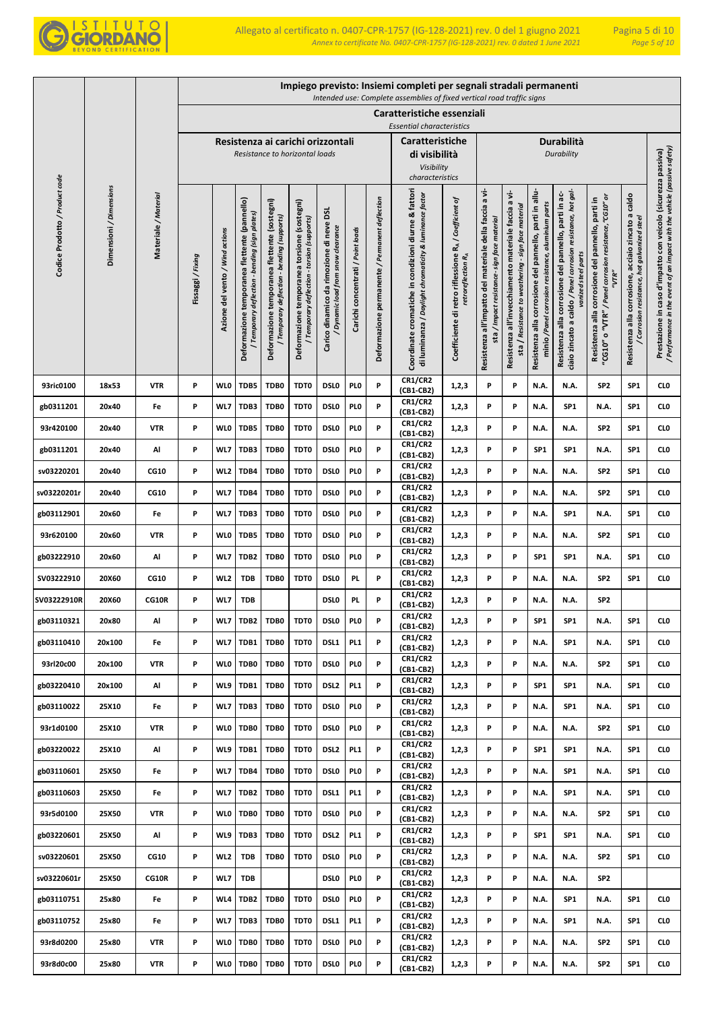

|                                |                         |                      |                 |                                 |                                                                                              |                                                                                             |                                                                                            |                                                                                        |                                   |                                                | Impiego previsto: Insiemi completi per segnali stradali permanenti<br>Intended use: Complete assemblies of fixed vertical road traffic signs |                                                                                         |                                                                                                       |                                                                                                                |                                                                                                               |                                                                                                                                              |                                                                                                                      |                                                                                                           |                                                                                                                                            |
|--------------------------------|-------------------------|----------------------|-----------------|---------------------------------|----------------------------------------------------------------------------------------------|---------------------------------------------------------------------------------------------|--------------------------------------------------------------------------------------------|----------------------------------------------------------------------------------------|-----------------------------------|------------------------------------------------|----------------------------------------------------------------------------------------------------------------------------------------------|-----------------------------------------------------------------------------------------|-------------------------------------------------------------------------------------------------------|----------------------------------------------------------------------------------------------------------------|---------------------------------------------------------------------------------------------------------------|----------------------------------------------------------------------------------------------------------------------------------------------|----------------------------------------------------------------------------------------------------------------------|-----------------------------------------------------------------------------------------------------------|--------------------------------------------------------------------------------------------------------------------------------------------|
|                                |                         |                      |                 |                                 |                                                                                              |                                                                                             |                                                                                            |                                                                                        |                                   |                                                | Caratteristiche essenziali<br><b>Essential characteristics</b>                                                                               |                                                                                         |                                                                                                       |                                                                                                                |                                                                                                               |                                                                                                                                              |                                                                                                                      |                                                                                                           |                                                                                                                                            |
|                                |                         |                      |                 |                                 |                                                                                              |                                                                                             | Resistenza ai carichi orizzontali<br>Resistance to horizontal loads                        |                                                                                        |                                   |                                                | Caratteristiche<br>di visibilità<br>Visibility<br>characteristics                                                                            |                                                                                         |                                                                                                       |                                                                                                                |                                                                                                               | Durabilità<br>Durability                                                                                                                     |                                                                                                                      |                                                                                                           |                                                                                                                                            |
| Codice Prodotto / Product code | Dimensioni / Dimensions | Materiale / Material | Fissaggi/Fixing | Azione del vento / Wind actions | Deformazione temporanea flettente (pannello)<br>Temporary deflection - bending (sign plates) | Deformazione temporanea flettente (sostegni)<br>/ Temporary deflection - bending (supports) | Deformazione temporanea torsione (sostegni)<br>/ Temporary deflection - torsion (supports) | <b>DSL</b><br>Carico dinamico da rimozione di neve<br>Dynamic load from snow clearance | Carichi concentrati / Point loads | Deformazione permanente / Permanent deflection | Coordinate cromatiche in condizioni diurne & fattori<br>di luminanza / Daylight chromaticity & luminance factor                              | Coefficiente di retro riflessione RA / Coefficient of<br>retroreflection R <sub>A</sub> | Resistenza all'impatto del materiale della faccia a vi-<br>sta / Impact resistance- sign face materia | a vi-<br>sta / Resistance to weathering - sign face material<br>Resistenza all'invecchiamento materiale faccia | Resistenza alla corrosione del pannello, parti in allu-<br>minio /Panel corrosion resistance, aluminium parts | ciaio zincato a caldo / Panel corrosion resistance, hot gal-<br>Resistenza alla corrosione del pannello, parti in ac-<br>vanized steel parts | "CG10" o "VTR" / Panel corrosion resistance, "CG10" or<br>Resistenza alla corrosione del pannello, parti in<br>"VTR" | caldo<br>acciaio zincato a<br>/ Corrosion resistance, hot galvanized steel<br>Resistenza alla corrosione, | / Performance in the event of an impact with the vehicle (passive safety)<br>Prestazione in caso d'impatto con veicolo (sicurezza passiva) |
| 93ric0100                      | 18x53                   | <b>VTR</b>           | P               | <b>WLO</b>                      | TDB5                                                                                         | TDB0                                                                                        | TDT0                                                                                       | <b>DSLO</b>                                                                            | PI 0                              | P                                              | <b>CR1/CR2</b><br>(CB1-CB2)<br><b>CR1/CR2</b>                                                                                                | 1,2,3                                                                                   | P                                                                                                     | P                                                                                                              | N.A.                                                                                                          | N.A.                                                                                                                                         | SP <sub>2</sub>                                                                                                      | SP <sub>1</sub>                                                                                           | CLO                                                                                                                                        |
| gb0311201                      | 20x40                   | Fe                   | P               | WL7                             | TDB3                                                                                         | TDB0                                                                                        | TDT0                                                                                       | <b>DSLO</b>                                                                            | PI 0                              | P                                              | (CB1-CB2)                                                                                                                                    | 1,2,3                                                                                   | P                                                                                                     | P                                                                                                              | N.A.                                                                                                          | SP <sub>1</sub>                                                                                                                              | N.A.                                                                                                                 | SP <sub>1</sub>                                                                                           | CLO                                                                                                                                        |
| 93r420100                      | 20x40                   | <b>VTR</b>           | P               | <b>WLO</b>                      | TDB5                                                                                         | TDB0                                                                                        | TDT0                                                                                       | <b>DSLO</b>                                                                            | PI 0                              | P                                              | <b>CR1/CR2</b><br>(CB1-CB2)                                                                                                                  | 1,2,3                                                                                   | P                                                                                                     | P                                                                                                              | N.A.                                                                                                          | N.A.                                                                                                                                         | SP <sub>2</sub>                                                                                                      | SP <sub>1</sub>                                                                                           | CLO                                                                                                                                        |
| gb0311201                      | 20x40                   | Al                   | P               | WL7                             | TDB3                                                                                         | TDB0                                                                                        | TDT0                                                                                       | <b>DSLO</b>                                                                            | PI 0                              | P                                              | <b>CR1/CR2</b><br>(CB1-CB2)<br><b>CR1/CR2</b>                                                                                                | 1,2,3                                                                                   | P                                                                                                     | P                                                                                                              | SP <sub>1</sub>                                                                                               | SP <sub>1</sub>                                                                                                                              | N.A.                                                                                                                 | SP <sub>1</sub>                                                                                           | CLO                                                                                                                                        |
| sv03220201                     | 20x40                   | <b>CG10</b>          | P               | WL <sub>2</sub>                 | TDB4                                                                                         | TDB0                                                                                        | TDT0                                                                                       | <b>DSLO</b>                                                                            | PI 0                              | P                                              | (CB1-CB2)<br><b>CR1/CR2</b>                                                                                                                  | 1,2,3                                                                                   | P                                                                                                     | P                                                                                                              | N.A.                                                                                                          | N.A.                                                                                                                                         | SP <sub>2</sub>                                                                                                      | SP <sub>1</sub>                                                                                           | CLO                                                                                                                                        |
| sv03220201r                    | 20x40                   | <b>CG10</b>          | P               | WL7                             | TDB4                                                                                         | TDB0                                                                                        | TDT0                                                                                       | <b>DSLO</b>                                                                            | PI 0                              | P                                              | (CB1-CB2)                                                                                                                                    | 1,2,3                                                                                   | P                                                                                                     | P                                                                                                              | N.A.                                                                                                          | N.A.                                                                                                                                         | SP <sub>2</sub>                                                                                                      | SP <sub>1</sub>                                                                                           | CL <sub>0</sub>                                                                                                                            |
| gb03112901                     | 20x60                   | Fe                   | P               | WL7                             | TDB3                                                                                         | TDB0                                                                                        | TDT0                                                                                       | <b>DSLO</b>                                                                            | PI 0                              | P                                              | <b>CR1/CR2</b><br>(CB1-CB2)                                                                                                                  | 1,2,3                                                                                   | P                                                                                                     | P                                                                                                              | N.A.                                                                                                          | SP <sub>1</sub>                                                                                                                              | N.A.                                                                                                                 | SP <sub>1</sub>                                                                                           | CLO                                                                                                                                        |
| 93r620100                      | 20x60                   | VTR                  | P               | <b>WLO</b>                      | TDB5                                                                                         | TDB0                                                                                        | TDT0                                                                                       | <b>DSLO</b>                                                                            | PL <sub>0</sub>                   | P                                              | <b>CR1/CR2</b><br>(CB1-CB2)                                                                                                                  | 1,2,3                                                                                   | P                                                                                                     | P                                                                                                              | N.A.                                                                                                          | N.A.                                                                                                                                         | SP <sub>2</sub>                                                                                                      | SP <sub>1</sub>                                                                                           | CLO                                                                                                                                        |
| gb03222910                     | 20x60                   | Al                   | P               | WL7                             | TDB2                                                                                         | TDB0                                                                                        | TDT0                                                                                       | <b>DSLO</b>                                                                            | PI 0                              | P                                              | <b>CR1/CR2</b><br>(CB1-CB2)                                                                                                                  | 1,2,3                                                                                   | P                                                                                                     | P                                                                                                              | SP1                                                                                                           | SP <sub>1</sub>                                                                                                                              | N.A.                                                                                                                 | SP <sub>1</sub>                                                                                           | CLO                                                                                                                                        |
| SV03222910                     | 20X60                   | <b>CG10</b>          | P               | WL <sub>2</sub>                 | TDB                                                                                          | TDB0                                                                                        | TDT0                                                                                       | <b>DSLO</b>                                                                            | PL.                               | P                                              | <b>CR1/CR2</b><br>(CB1-CB2)                                                                                                                  | 1,2,3                                                                                   | P                                                                                                     | P                                                                                                              | N.A.                                                                                                          | N.A.                                                                                                                                         | SP <sub>2</sub>                                                                                                      | SP <sub>1</sub>                                                                                           | CL <sub>0</sub>                                                                                                                            |
| SV03222910R                    | <b>20X60</b>            | <b>CG10R</b>         | P               | WL7                             | <b>TDB</b>                                                                                   |                                                                                             |                                                                                            | <b>DSLO</b>                                                                            | PL.                               | P                                              | <b>CR1/CR2</b><br>(CB1-CB2)                                                                                                                  | 1,2,3                                                                                   | P                                                                                                     | P                                                                                                              | N.A.                                                                                                          | N.A.                                                                                                                                         | SP2                                                                                                                  |                                                                                                           |                                                                                                                                            |
| gb03110321                     | 20x80                   | Al                   | P               | WL7                             | TDB <sub>2</sub>                                                                             | TDB0                                                                                        | TDT0                                                                                       | <b>DSLO</b>                                                                            | PI <sub>0</sub>                   | P                                              | <b>CR1/CR2</b><br>(CB1-CB2)                                                                                                                  | 1,2,3                                                                                   | P                                                                                                     | P                                                                                                              | SP <sub>1</sub>                                                                                               | SP <sub>1</sub>                                                                                                                              | N.A.                                                                                                                 | SP <sub>1</sub>                                                                                           | CL <sub>0</sub>                                                                                                                            |
| gb03110410                     | 20x100                  | Fe                   | P               | WL7                             | TDB1                                                                                         | TDB0                                                                                        | TDT0                                                                                       | DSL1                                                                                   | PL <sub>1</sub>                   | P                                              | <b>CR1/CR2</b><br>(CB1-CB2)                                                                                                                  | 1,2,3                                                                                   | P                                                                                                     | P                                                                                                              | N.A.                                                                                                          | SP <sub>1</sub>                                                                                                                              | N.A.                                                                                                                 | SP <sub>1</sub>                                                                                           | <b>CLO</b>                                                                                                                                 |
| 93rl20c00                      | 20x100                  | <b>VTR</b>           | P               | <b>WLO</b>                      | TDB0                                                                                         | TDB0                                                                                        | TDT0                                                                                       | <b>DSLO</b>                                                                            | PI 0                              | P                                              | <b>CR1/CR2</b><br>(CB1-CB2)                                                                                                                  | 1,2,3                                                                                   | P                                                                                                     | P                                                                                                              | N.A.                                                                                                          | N.A.                                                                                                                                         | SP <sub>2</sub>                                                                                                      | SP <sub>1</sub>                                                                                           | <b>CLO</b>                                                                                                                                 |
| gb03220410                     | 20x100                  | Al                   | P               | WL9                             | TDB1                                                                                         | TDB0                                                                                        | TDT0                                                                                       | DSL <sub>2</sub>                                                                       | PL <sub>1</sub>                   | P                                              | <b>CR1/CR2</b><br>(CB1-CB2)                                                                                                                  | 1,2,3                                                                                   | P                                                                                                     | P                                                                                                              | SP1                                                                                                           | SP <sub>1</sub>                                                                                                                              | N.A.                                                                                                                 | SP <sub>1</sub>                                                                                           | CLO                                                                                                                                        |
| gb03110022                     | 25X10                   | Fe                   | P               | WL7                             | TDB3                                                                                         | TDB0                                                                                        | TDT0                                                                                       | <b>DSLO</b>                                                                            | PI 0                              | P                                              | <b>CR1/CR2</b><br>(CB1-CB2)                                                                                                                  | 1,2,3                                                                                   | P                                                                                                     | P                                                                                                              | N.A.                                                                                                          | SP <sub>1</sub>                                                                                                                              | N.A.                                                                                                                 | SP <sub>1</sub>                                                                                           | CLO                                                                                                                                        |
| 93r1d0100                      | 25X10                   | VTR                  | P               | <b>WLO</b>                      | TDB0                                                                                         | TDB0                                                                                        | TDT0                                                                                       | DSL <sub>0</sub>                                                                       | PI 0                              | P                                              | <b>CR1/CR2</b><br>(CB1-CB2)                                                                                                                  | 1,2,3                                                                                   | P                                                                                                     | P                                                                                                              | N.A.                                                                                                          | N.A.                                                                                                                                         | SP <sub>2</sub>                                                                                                      | SP <sub>1</sub>                                                                                           | CLO                                                                                                                                        |
| gb03220022                     | 25X10                   | Al                   | P               | WL9                             | TDB1                                                                                         | TDB0                                                                                        | TDT0                                                                                       | DSL <sub>2</sub>                                                                       | PL <sub>1</sub>                   | P                                              | <b>CR1/CR2</b><br>(CB1-CB2)                                                                                                                  | 1,2,3                                                                                   | P                                                                                                     | P                                                                                                              | SP1                                                                                                           | SP <sub>1</sub>                                                                                                                              | N.A.                                                                                                                 | SP <sub>1</sub>                                                                                           | <b>CLO</b>                                                                                                                                 |
| gb03110601                     | 25X50                   | Fe                   | P               | WL7                             | TDB4                                                                                         | TDB0                                                                                        | TDT0                                                                                       | <b>DSLO</b>                                                                            | PI 0                              | P                                              | <b>CR1/CR2</b><br>(CB1-CB2)                                                                                                                  | 1,2,3                                                                                   | P                                                                                                     | P                                                                                                              | N.A.                                                                                                          | SP <sub>1</sub>                                                                                                                              | N.A.                                                                                                                 | SP <sub>1</sub>                                                                                           | CLO                                                                                                                                        |
| gb03110603                     | 25X50                   | Fe                   | P               | WL7                             | TDB <sub>2</sub>                                                                             | TDB0                                                                                        | TDT0                                                                                       | DSL1                                                                                   | PL <sub>1</sub>                   | P                                              | <b>CR1/CR2</b><br>(CB1-CB2)                                                                                                                  | 1,2,3                                                                                   | P                                                                                                     | P                                                                                                              | N.A.                                                                                                          | SP <sub>1</sub>                                                                                                                              | N.A.                                                                                                                 | SP <sub>1</sub>                                                                                           | <b>CLO</b>                                                                                                                                 |
| 93r5d0100                      | 25X50                   | <b>VTR</b>           | P               | <b>WLO</b>                      | TDB0                                                                                         | TDB0                                                                                        | TDT0                                                                                       | <b>DSLO</b>                                                                            | PI 0                              | P                                              | <b>CR1/CR2</b><br>(CB1-CB2)                                                                                                                  | 1,2,3                                                                                   | P                                                                                                     | P                                                                                                              | N.A.                                                                                                          | N.A.                                                                                                                                         | SP <sub>2</sub>                                                                                                      | SP <sub>1</sub>                                                                                           | CLO                                                                                                                                        |
| gb03220601                     | 25X50                   | Al                   | P               | WL9                             | TDB3                                                                                         | TDB0                                                                                        | TDT0                                                                                       | DSL <sub>2</sub>                                                                       | PL <sub>1</sub>                   | P                                              | <b>CR1/CR2</b><br>(CB1-CB2)                                                                                                                  | 1,2,3                                                                                   | P                                                                                                     | P                                                                                                              | SP <sub>1</sub>                                                                                               | SP <sub>1</sub>                                                                                                                              | N.A.                                                                                                                 | SP <sub>1</sub>                                                                                           | <b>CLO</b>                                                                                                                                 |
| sv03220601                     | 25X50                   | CG10                 | P               | WL <sub>2</sub>                 | <b>TDB</b>                                                                                   | TDB0                                                                                        | TDT0                                                                                       | <b>DSLO</b>                                                                            | PI <sub>0</sub>                   | P                                              | <b>CR1/CR2</b><br>$(CB1-CB2)$                                                                                                                | 1,2,3                                                                                   | P                                                                                                     | P                                                                                                              | N.A.                                                                                                          | N.A.                                                                                                                                         | SP <sub>2</sub>                                                                                                      | SP <sub>1</sub>                                                                                           | <b>CLO</b>                                                                                                                                 |
| sv03220601r                    | 25X50                   | CG10R                | P               | WL7                             | <b>TDB</b>                                                                                   |                                                                                             |                                                                                            | DSI 0                                                                                  | PI <sub>0</sub>                   | P                                              | <b>CR1/CR2</b><br>(CB1-CB2)                                                                                                                  | 1,2,3                                                                                   | P                                                                                                     | P                                                                                                              | N.A.                                                                                                          | N.A.                                                                                                                                         | SP2                                                                                                                  |                                                                                                           |                                                                                                                                            |
| gb03110751                     | 25x80                   | Fe                   | P               | WL4                             | TDB <sub>2</sub>                                                                             | TDB0                                                                                        | TDT0                                                                                       | DSL <sub>0</sub>                                                                       | PI <sub>0</sub>                   | P                                              | <b>CR1/CR2</b><br>(CB1-CB2)                                                                                                                  | 1,2,3                                                                                   | P                                                                                                     | P                                                                                                              | N.A.                                                                                                          | SP <sub>1</sub>                                                                                                                              | N.A.                                                                                                                 | SP <sub>1</sub>                                                                                           | CLO                                                                                                                                        |
| gb03110752                     | 25x80                   | Fe                   | P               | WL7                             | TDB3                                                                                         | TDB0                                                                                        | TDT0                                                                                       | DSL1                                                                                   | PL <sub>1</sub>                   | P                                              | <b>CR1/CR2</b><br>(CB1-CB2)                                                                                                                  | 1,2,3                                                                                   | P                                                                                                     | P                                                                                                              | N.A.                                                                                                          | SP <sub>1</sub>                                                                                                                              | N.A.                                                                                                                 | SP <sub>1</sub>                                                                                           | CLO                                                                                                                                        |
| 93r8d0200                      | 25x80                   | <b>VTR</b>           | P               | WL0                             | TDB0                                                                                         | TDB0                                                                                        | TDT0                                                                                       | DSL <sub>0</sub>                                                                       | PI 0                              | P                                              | <b>CR1/CR2</b><br>$(CB1-CB2)$                                                                                                                | 1,2,3                                                                                   | P                                                                                                     | P                                                                                                              | N.A.                                                                                                          | N.A.                                                                                                                                         | SP <sub>2</sub>                                                                                                      | SP <sub>1</sub>                                                                                           | CLO                                                                                                                                        |
| 93r8d0c00                      | 25x80                   | <b>VTR</b>           | P               | WL0                             | TDB0                                                                                         | TDB0                                                                                        | TDT0                                                                                       | DSL <sub>0</sub>                                                                       | PL <sub>0</sub>                   | P                                              | CR1/CR2<br>(CB1-CB2)                                                                                                                         | 1,2,3                                                                                   | P                                                                                                     | P                                                                                                              | N.A.                                                                                                          | N.A.                                                                                                                                         | SP2                                                                                                                  | SP <sub>1</sub>                                                                                           | <b>CLO</b>                                                                                                                                 |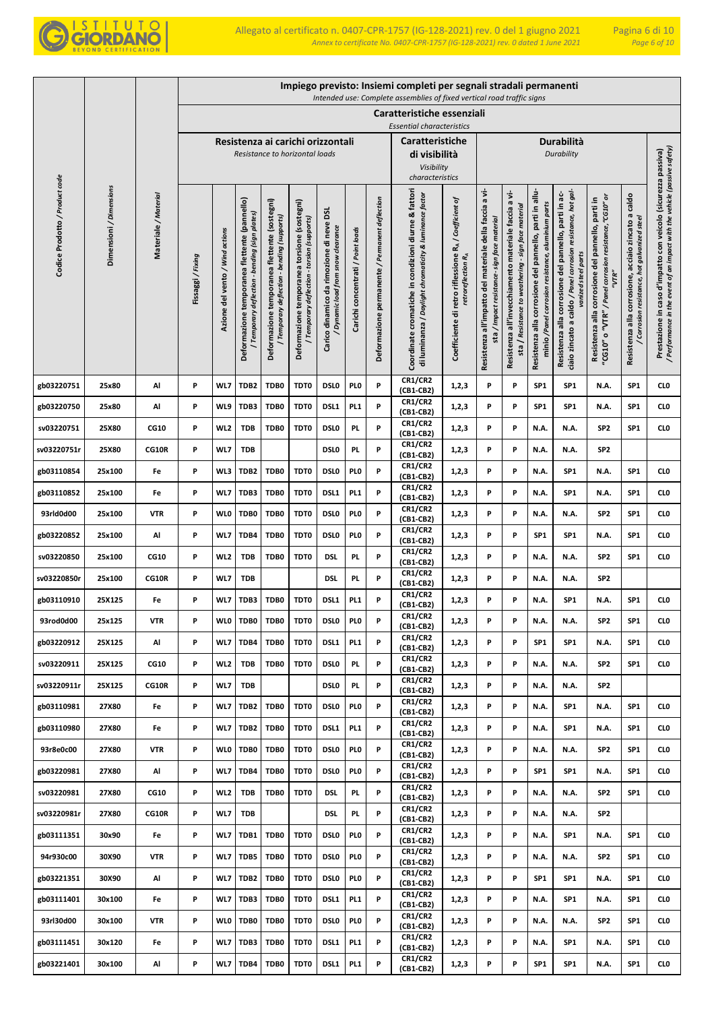

|                                |                         |                      |                 |                                 |                                                                                                |                                                                                             |                                                                                            |                                                                              |                                   |                                                | Impiego previsto: Insiemi completi per segnali stradali permanenti<br>Intended use: Complete assemblies of fixed vertical road traffic signs |                                                                                         |                                                                                                       |                                                                                                                 |                                                                                                               |                                                                                                                                              |                                                                                                                           |                                                                                                              |                                                                                                                                            |
|--------------------------------|-------------------------|----------------------|-----------------|---------------------------------|------------------------------------------------------------------------------------------------|---------------------------------------------------------------------------------------------|--------------------------------------------------------------------------------------------|------------------------------------------------------------------------------|-----------------------------------|------------------------------------------------|----------------------------------------------------------------------------------------------------------------------------------------------|-----------------------------------------------------------------------------------------|-------------------------------------------------------------------------------------------------------|-----------------------------------------------------------------------------------------------------------------|---------------------------------------------------------------------------------------------------------------|----------------------------------------------------------------------------------------------------------------------------------------------|---------------------------------------------------------------------------------------------------------------------------|--------------------------------------------------------------------------------------------------------------|--------------------------------------------------------------------------------------------------------------------------------------------|
|                                |                         |                      |                 |                                 |                                                                                                |                                                                                             |                                                                                            |                                                                              |                                   |                                                | Caratteristiche essenziali                                                                                                                   |                                                                                         |                                                                                                       |                                                                                                                 |                                                                                                               |                                                                                                                                              |                                                                                                                           |                                                                                                              |                                                                                                                                            |
|                                |                         |                      |                 |                                 |                                                                                                |                                                                                             |                                                                                            |                                                                              |                                   |                                                | <b>Essential characteristics</b>                                                                                                             |                                                                                         |                                                                                                       |                                                                                                                 |                                                                                                               |                                                                                                                                              |                                                                                                                           |                                                                                                              |                                                                                                                                            |
|                                |                         |                      |                 |                                 |                                                                                                |                                                                                             | Resistenza ai carichi orizzontali<br>Resistance to horizontal loads                        |                                                                              |                                   |                                                | <b>Caratteristiche</b><br>di visibilità                                                                                                      |                                                                                         |                                                                                                       |                                                                                                                 |                                                                                                               | Durabilità<br>Durability                                                                                                                     |                                                                                                                           |                                                                                                              |                                                                                                                                            |
|                                |                         |                      |                 |                                 |                                                                                                |                                                                                             |                                                                                            |                                                                              |                                   |                                                | Visibility<br>characteristics                                                                                                                |                                                                                         |                                                                                                       |                                                                                                                 |                                                                                                               |                                                                                                                                              |                                                                                                                           |                                                                                                              |                                                                                                                                            |
| Codice Prodotto / Product code | Dimensioni / Dimensions | Materiale / Material | Fissaggi/Fixing | Azione del vento / Wind actions | Deformazione temporanea flettente (pannello)<br>bending (sign plates)<br>Temporary deflection- | Deformazione temporanea flettente (sostegni)<br>/ Temporary deflection - bending (supports) | Deformazione temporanea torsione (sostegni)<br>/ Temporary deflection - torsion (supports) | Carico dinamico da rimozione di neve DSL<br>Dynamic load from snow clearance | Carichi concentrati / Point loads | Deformazione permanente / Permanent deflection | Coordinate cromatiche in condizioni diurne & fattori<br>di luminanza / Daylight chromaticity & luminance factor                              | Coefficiente di retro riflessione RA / Coefficient of<br>retroreflection R <sub>A</sub> | Resistenza all'impatto del materiale della faccia a vi-<br>sta / Impact resistance- sign face materia | ÷<br>G<br>sta / Resistance to weathering - sign face material<br>Resistenza all'invecchiamento materiale faccia | Resistenza alla corrosione del pannello, parti in allu-<br>minio /Panel corrosion resistance, aluminium parts | ciaio zincato a caldo / Panel corrosion resistance, hot gal-<br>Resistenza alla corrosione del pannello, parti in ac-<br>vanized steel parts | "CG10" o "VTR" / Panel corrosion resistance,"CG10" or<br>parti in<br>corrosione del pannello,<br>"VTR"<br>Resistenza alla | caldo<br>acciaio zincato a<br>/ Corrosion resistance, hot galvanized steel<br>corrosione,<br>Resistenza alla | / Performance in the event of an impact with the vehicle (passive safety)<br>Prestazione in caso d'impatto con veicolo (sicurezza passiva) |
| gb03220751                     | 25x80                   | Al                   | P               | WL7                             | TDB <sub>2</sub>                                                                               | TDB0                                                                                        | TDT0                                                                                       | <b>DSLO</b>                                                                  | PL <sub>0</sub>                   | P                                              | <b>CR1/CR2</b><br>(CB1-CB2)<br><b>CR1/CR2</b>                                                                                                | 1,2,3                                                                                   | P                                                                                                     | P                                                                                                               | SP <sub>1</sub>                                                                                               | SP <sub>1</sub>                                                                                                                              | N.A.                                                                                                                      | SP <sub>1</sub>                                                                                              | CLO                                                                                                                                        |
| gb03220750                     | 25x80                   | Al                   | P               | WL9                             | TDB3                                                                                           | TDB0                                                                                        | TDT0                                                                                       | DSL1                                                                         | PL <sub>1</sub>                   | P                                              | (CB1-CB2)                                                                                                                                    | 1,2,3                                                                                   | P                                                                                                     | P                                                                                                               | SP1                                                                                                           | SP <sub>1</sub>                                                                                                                              | N.A.                                                                                                                      | SP <sub>1</sub>                                                                                              | CLO                                                                                                                                        |
| sv03220751                     | 25X80                   | <b>CG10</b>          | P               | WL <sub>2</sub>                 | <b>TDB</b>                                                                                     | TDB0                                                                                        | TDT0                                                                                       | <b>DSLO</b>                                                                  | PL.                               | P                                              | <b>CR1/CR2</b><br>(CB1-CB2)                                                                                                                  | 1,2,3                                                                                   | P                                                                                                     | P                                                                                                               | N.A.                                                                                                          | N.A.                                                                                                                                         | SP <sub>2</sub>                                                                                                           | SP <sub>1</sub>                                                                                              | CLO                                                                                                                                        |
| sv03220751r                    | 25X80                   | CG10R                | P               | WL7                             | <b>TDB</b>                                                                                     |                                                                                             |                                                                                            | <b>DSLO</b>                                                                  | PL.                               | P                                              | <b>CR1/CR2</b><br>(CB1-CB2)                                                                                                                  | 1,2,3                                                                                   | P                                                                                                     | P                                                                                                               | N.A.                                                                                                          | N.A.                                                                                                                                         | SP <sub>2</sub>                                                                                                           |                                                                                                              |                                                                                                                                            |
| gb03110854                     | 25x100                  | Fe                   | P               | WL3                             | TDB2                                                                                           | TDB0                                                                                        | TDT0                                                                                       | <b>DSLO</b>                                                                  | PI 0                              | P                                              | <b>CR1/CR2</b><br>(CB1-CB2)<br><b>CR1/CR2</b>                                                                                                | 1,2,3                                                                                   | P                                                                                                     | P                                                                                                               | N.A.                                                                                                          | SP <sub>1</sub>                                                                                                                              | N.A.                                                                                                                      | SP <sub>1</sub>                                                                                              | CL <sub>0</sub>                                                                                                                            |
| gb03110852                     | 25x100                  | Fe                   | P               | WL7                             | TDB3                                                                                           | TDB0                                                                                        | TDT0                                                                                       | DSL1                                                                         | PL <sub>1</sub>                   | P                                              | (CB1-CB2)                                                                                                                                    | 1,2,3                                                                                   | P                                                                                                     | P                                                                                                               | N.A.                                                                                                          | SP <sub>1</sub>                                                                                                                              | N.A.                                                                                                                      | SP <sub>1</sub>                                                                                              | CL <sub>0</sub>                                                                                                                            |
| 93rld0d00                      | 25x100                  | <b>VTR</b>           | P               | <b>WLO</b>                      | TDB0                                                                                           | TDB0                                                                                        | TDT0                                                                                       | <b>DSLO</b>                                                                  | PI 0                              | P                                              | <b>CR1/CR2</b><br>(CB1-CB2)                                                                                                                  | 1,2,3                                                                                   | P                                                                                                     | P                                                                                                               | N.A.                                                                                                          | N.A.                                                                                                                                         | SP <sub>2</sub>                                                                                                           | SP <sub>1</sub>                                                                                              | CL <sub>0</sub>                                                                                                                            |
| gb03220852                     | 25x100                  | Al                   | P               | WL7                             | TDB4                                                                                           | TDB0                                                                                        | TDT0                                                                                       | <b>DSLO</b>                                                                  | PI 0                              | P                                              | <b>CR1/CR2</b><br>(CB1-CB2)                                                                                                                  | 1,2,3                                                                                   | P                                                                                                     | P                                                                                                               | SP1                                                                                                           | SP <sub>1</sub>                                                                                                                              | N.A.                                                                                                                      | SP <sub>1</sub>                                                                                              | CL <sub>0</sub>                                                                                                                            |
| sv03220850                     | 25x100                  | <b>CG10</b>          | P               | WL <sub>2</sub>                 | <b>TDB</b>                                                                                     | TDB0                                                                                        | TDT0                                                                                       | <b>DSL</b>                                                                   | PL.                               | P                                              | <b>CR1/CR2</b><br>(CB1-CB2)                                                                                                                  | 1,2,3                                                                                   | P                                                                                                     | P                                                                                                               | N.A.                                                                                                          | N.A.                                                                                                                                         | SP <sub>2</sub>                                                                                                           | SP <sub>1</sub>                                                                                              | CLO                                                                                                                                        |
| sv03220850r                    | 25x100                  | <b>CG10R</b>         | P               | WL7                             | TDB                                                                                            |                                                                                             |                                                                                            | <b>DSL</b>                                                                   | PL.                               | P                                              | <b>CR1/CR2</b><br>(CB1-CB2)                                                                                                                  | 1,2,3                                                                                   | P                                                                                                     | P                                                                                                               | N.A.                                                                                                          | N.A.                                                                                                                                         | SP <sub>2</sub>                                                                                                           |                                                                                                              |                                                                                                                                            |
| gb03110910                     | 25X125                  | Fe                   | P               | WL7                             | TDB3                                                                                           | TDB0                                                                                        | TDT0                                                                                       | DSL1                                                                         | PL <sub>1</sub>                   | P                                              | <b>CR1/CR2</b><br>(CB1-CB2)                                                                                                                  | 1,2,3                                                                                   | P                                                                                                     | P                                                                                                               | N.A.                                                                                                          | SP <sub>1</sub>                                                                                                                              | N.A.                                                                                                                      | SP <sub>1</sub>                                                                                              | CL <sub>0</sub>                                                                                                                            |
| 93rod0d00                      | 25x125                  | <b>VTR</b>           | P               | <b>WLO</b>                      | TDB0                                                                                           | TDB0                                                                                        | TDT0                                                                                       | <b>DSLO</b>                                                                  | PI <sub>0</sub>                   | P                                              | <b>CR1/CR2</b><br>(CB1-CB2)                                                                                                                  | 1,2,3                                                                                   | P                                                                                                     | P                                                                                                               | N.A.                                                                                                          | N.A.                                                                                                                                         | SP <sub>2</sub>                                                                                                           | SP <sub>1</sub>                                                                                              | CL <sub>0</sub>                                                                                                                            |
| gb03220912                     | 25X125                  | Al                   | P               | WL7                             | TDB4                                                                                           | TDB0                                                                                        | TDT0                                                                                       | DSL1                                                                         | PL <sub>1</sub>                   | P                                              | <b>CR1/CR2</b><br>(CB1-CB2)                                                                                                                  | 1,2,3                                                                                   | P                                                                                                     | P                                                                                                               | SP1                                                                                                           | SP <sub>1</sub>                                                                                                                              | N.A.                                                                                                                      | SP <sub>1</sub>                                                                                              | <b>CLO</b>                                                                                                                                 |
| sv03220911                     | 25X125                  | CG10                 | P               | WL <sub>2</sub>                 | <b>TDB</b>                                                                                     | TDB0                                                                                        | TDT0                                                                                       | <b>DSLO</b>                                                                  | <b>PL</b>                         | P                                              | <b>CR1/CR2</b><br>(CB1-CB2)                                                                                                                  | 1,2,3                                                                                   | P                                                                                                     | P                                                                                                               | N.A.                                                                                                          | N.A.                                                                                                                                         | SP <sub>2</sub>                                                                                                           | SP <sub>1</sub>                                                                                              | <b>CLO</b>                                                                                                                                 |
| sv03220911r                    | 25X125                  | CG10R                | P               | WL7                             | <b>TDB</b>                                                                                     |                                                                                             |                                                                                            | <b>DSLO</b>                                                                  | <b>PL</b>                         | P                                              | <b>CR1/CR2</b><br>(CB1-CB2)                                                                                                                  | 1,2,3                                                                                   | P                                                                                                     | P                                                                                                               | N.A.                                                                                                          | N.A.                                                                                                                                         | SP <sub>2</sub>                                                                                                           |                                                                                                              |                                                                                                                                            |
| gb03110981                     | 27X80                   | Fe                   | P               | WL7                             | TDB <sub>2</sub>                                                                               | TDB0                                                                                        | TDT0                                                                                       | <b>DSLO</b>                                                                  | PI <sub>0</sub>                   | P                                              | <b>CR1/CR2</b><br>(CB1-CB2)                                                                                                                  | 1,2,3                                                                                   | P                                                                                                     | P                                                                                                               | N.A.                                                                                                          | SP <sub>1</sub>                                                                                                                              | N.A.                                                                                                                      | SP <sub>1</sub>                                                                                              | CL <sub>0</sub>                                                                                                                            |
| gb03110980                     | 27X80                   | Fe                   | P               | WL7                             | TDB <sub>2</sub>                                                                               | TDB0                                                                                        | TDT0                                                                                       | DSL1                                                                         | PL <sub>1</sub>                   | P                                              | <b>CR1/CR2</b><br>$(CB1-CB2)$                                                                                                                | 1,2,3                                                                                   | P                                                                                                     | P                                                                                                               | N.A.                                                                                                          | SP <sub>1</sub>                                                                                                                              | N.A.                                                                                                                      | SP <sub>1</sub>                                                                                              | CLO                                                                                                                                        |
| 93r8e0c00                      | 27X80                   | <b>VTR</b>           | P               | <b>WLO</b>                      | TDB0                                                                                           | TDB0                                                                                        | TDT0                                                                                       | <b>DSLO</b>                                                                  | PI <sub>0</sub>                   | P                                              | CR1/CR2<br>$(CB1-CB2)$                                                                                                                       | 1,2,3                                                                                   | P                                                                                                     | P                                                                                                               | N.A.                                                                                                          | N.A.                                                                                                                                         | SP <sub>2</sub>                                                                                                           | SP <sub>1</sub>                                                                                              | CLO                                                                                                                                        |
| gb03220981                     | 27X80                   | Al                   | P               | WL7                             | TDB4                                                                                           | TDB0                                                                                        | TDT0                                                                                       | DSL <sub>0</sub>                                                             | PI <sub>0</sub>                   | P                                              | <b>CR1/CR2</b><br>$(CB1-CB2)$                                                                                                                | 1,2,3                                                                                   | P                                                                                                     | P                                                                                                               | SP <sub>1</sub>                                                                                               | SP <sub>1</sub>                                                                                                                              | N.A.                                                                                                                      | SP <sub>1</sub>                                                                                              | <b>CLO</b>                                                                                                                                 |
| sv03220981                     | 27X80                   | CG10                 | P               | WL <sub>2</sub>                 | <b>TDB</b>                                                                                     | TDB0                                                                                        | TDT0                                                                                       | <b>DSL</b>                                                                   | PL.                               | P                                              | CR1/CR2<br>(CB1-CB2)                                                                                                                         | 1,2,3                                                                                   | P                                                                                                     | P                                                                                                               | N.A.                                                                                                          | <b>N.A.</b>                                                                                                                                  | SP2                                                                                                                       | SP <sub>1</sub>                                                                                              | <b>CLO</b>                                                                                                                                 |
| sv03220981r                    | 27X80                   | CG10R                | P               | WL7                             | <b>TDB</b>                                                                                     |                                                                                             |                                                                                            | <b>DSL</b>                                                                   | PL.                               | P                                              | <b>CR1/CR2</b><br>(CB1-CB2)                                                                                                                  | 1,2,3                                                                                   | P                                                                                                     | P                                                                                                               | N.A.                                                                                                          | N.A.                                                                                                                                         | SP <sub>2</sub>                                                                                                           |                                                                                                              |                                                                                                                                            |
| gb03111351                     | 30x90                   | Fe                   | P               | WL7                             | TDB1                                                                                           | TDB0                                                                                        | TDT0                                                                                       | DSL <sub>0</sub>                                                             | PL <sub>0</sub>                   | P                                              | <b>CR1/CR2</b><br>(CB1-CB2)                                                                                                                  | 1,2,3                                                                                   | P                                                                                                     | P                                                                                                               | N.A.                                                                                                          | SP <sub>1</sub>                                                                                                                              | N.A.                                                                                                                      | SP <sub>1</sub>                                                                                              | CLO                                                                                                                                        |
| 94r930c00                      | 30X90                   | <b>VTR</b>           | P               | WL7                             | TDB5                                                                                           | TDB0                                                                                        | TDT0                                                                                       | DSL <sub>0</sub>                                                             | PI <sub>0</sub>                   | P                                              | <b>CR1/CR2</b><br>(CB1-CB2)                                                                                                                  | 1,2,3                                                                                   | P                                                                                                     | P                                                                                                               | N.A.                                                                                                          | N.A.                                                                                                                                         | SP <sub>2</sub>                                                                                                           | SP <sub>1</sub>                                                                                              | CLO                                                                                                                                        |
| gb03221351                     | 30X90                   | Al                   | P               | WL7                             | TDB <sub>2</sub>                                                                               | TDB0                                                                                        | TDT0                                                                                       | DSL <sub>0</sub>                                                             | PL <sub>0</sub>                   | P                                              | <b>CR1/CR2</b><br>(CB1-CB2)                                                                                                                  | 1,2,3                                                                                   | P                                                                                                     | P                                                                                                               | SP1                                                                                                           | SP <sub>1</sub>                                                                                                                              | N.A.                                                                                                                      | SP <sub>1</sub>                                                                                              | CLO                                                                                                                                        |
| gb03111401                     | 30x100                  | Fe                   | P               | WL7                             | TDB3                                                                                           | TDB0                                                                                        | TDT0                                                                                       | DSL1                                                                         | PL <sub>1</sub>                   | P                                              | <b>CR1/CR2</b><br>(CB1-CB2)                                                                                                                  | 1,2,3                                                                                   | P                                                                                                     | P                                                                                                               | N.A.                                                                                                          | SP <sub>1</sub>                                                                                                                              | N.A.                                                                                                                      | SP <sub>1</sub>                                                                                              | CLO                                                                                                                                        |
| 93rl30d00                      | 30x100                  | <b>VTR</b>           | P               | <b>WLO</b>                      | TDB0                                                                                           | TDB0                                                                                        | TDT0                                                                                       | <b>DSLO</b>                                                                  | PI 0                              | P                                              | <b>CR1/CR2</b><br>(CB1-CB2)                                                                                                                  | 1,2,3                                                                                   | P                                                                                                     | P                                                                                                               | N.A.                                                                                                          | N.A.                                                                                                                                         | SP <sub>2</sub>                                                                                                           | SP <sub>1</sub>                                                                                              | CLO                                                                                                                                        |
| gb03111451                     | 30x120                  | Fe                   | P               | WL7                             | TDB3                                                                                           | TDB0                                                                                        | TDT0                                                                                       | DSL1                                                                         | PL <sub>1</sub>                   | P                                              | <b>CR1/CR2</b><br>(CB1-CB2)                                                                                                                  | 1,2,3                                                                                   | P                                                                                                     | P                                                                                                               | N.A.                                                                                                          | SP <sub>1</sub>                                                                                                                              | N.A.                                                                                                                      | SP <sub>1</sub>                                                                                              | <b>CLO</b>                                                                                                                                 |
| gb03221401                     | 30x100                  | Al                   | P               | WL7                             | TDB4                                                                                           | TDB0                                                                                        | TDT0                                                                                       | DSL1                                                                         | PL <sub>1</sub>                   | P                                              | <b>CR1/CR2</b><br>(CB1-CB2)                                                                                                                  | 1,2,3                                                                                   | P                                                                                                     | P                                                                                                               | SP <sub>1</sub>                                                                                               | SP <sub>1</sub>                                                                                                                              | N.A.                                                                                                                      | SP <sub>1</sub>                                                                                              | CLO                                                                                                                                        |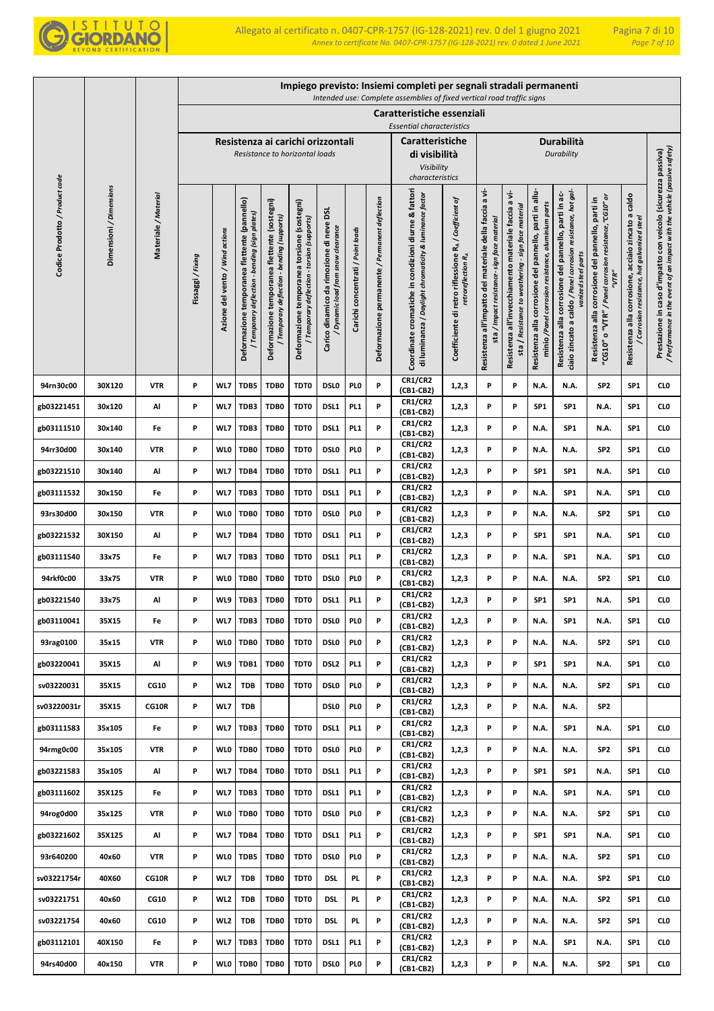

|                                |                         |                      |                   |                                 |                                                                                                |                                                                                             |                                                                                            |                                                                              |                                   |                                                | Impiego previsto: Insiemi completi per segnali stradali permanenti<br>Intended use: Complete assemblies of fixed vertical road traffic signs |                                                                                         |                                                                                                           |                                                                                                                |                                                                                                               |                                                                                                                                              |                                                                                                                         |                                                                                                           |                                                                                                                                            |
|--------------------------------|-------------------------|----------------------|-------------------|---------------------------------|------------------------------------------------------------------------------------------------|---------------------------------------------------------------------------------------------|--------------------------------------------------------------------------------------------|------------------------------------------------------------------------------|-----------------------------------|------------------------------------------------|----------------------------------------------------------------------------------------------------------------------------------------------|-----------------------------------------------------------------------------------------|-----------------------------------------------------------------------------------------------------------|----------------------------------------------------------------------------------------------------------------|---------------------------------------------------------------------------------------------------------------|----------------------------------------------------------------------------------------------------------------------------------------------|-------------------------------------------------------------------------------------------------------------------------|-----------------------------------------------------------------------------------------------------------|--------------------------------------------------------------------------------------------------------------------------------------------|
|                                |                         |                      |                   |                                 |                                                                                                |                                                                                             |                                                                                            |                                                                              |                                   |                                                | Caratteristiche essenziali                                                                                                                   |                                                                                         |                                                                                                           |                                                                                                                |                                                                                                               |                                                                                                                                              |                                                                                                                         |                                                                                                           |                                                                                                                                            |
|                                |                         |                      |                   |                                 |                                                                                                |                                                                                             | Resistenza ai carichi orizzontali                                                          |                                                                              |                                   |                                                | <b>Essential characteristics</b><br><b>Caratteristiche</b>                                                                                   |                                                                                         |                                                                                                           |                                                                                                                |                                                                                                               | <b>Durabilità</b>                                                                                                                            |                                                                                                                         |                                                                                                           |                                                                                                                                            |
|                                |                         |                      |                   |                                 |                                                                                                |                                                                                             | Resistance to horizontal loads                                                             |                                                                              |                                   |                                                | di visibilità                                                                                                                                |                                                                                         |                                                                                                           |                                                                                                                |                                                                                                               | Durability                                                                                                                                   |                                                                                                                         |                                                                                                           |                                                                                                                                            |
|                                |                         |                      |                   |                                 |                                                                                                |                                                                                             |                                                                                            |                                                                              |                                   |                                                | Visibility<br>characteristics                                                                                                                |                                                                                         |                                                                                                           |                                                                                                                |                                                                                                               |                                                                                                                                              |                                                                                                                         |                                                                                                           |                                                                                                                                            |
| Codice Prodotto / Product code | Dimensioni / Dimensions | Materiale / Material | Fissaggi / Fixing | Azione del vento / Wind actions | Deformazione temporanea flettente (pannello)<br>/ Temporary deflection - bending (sign plates) | Deformazione temporanea flettente (sostegni)<br>/ Temporary deflection - bending (supports) | Deformazione temporanea torsione (sostegni)<br>/ Temporary deflection - torsion (supports) | Carico dinamico da rimozione di neve DSL<br>Dynamic load from snow clearance | Carichi concentrati / Point loads | Deformazione permanente / Permanent deflection | Coordinate cromatiche in condizioni diurne & fattori<br>di luminanza / Daylight chromaticity & luminance factor                              | Coefficiente di retro riflessione RA / Coefficient of<br>retroreflection R <sub>A</sub> | a vi-<br>Resistenza all'impatto del materiale della faccia<br>sta / Impact resistance- sign face material | a vi-<br>sta / Resistance to weathering - sign face material<br>Resistenza all'invecchiamento materiale faccia | Resistenza alla corrosione del pannello, parti in allu-<br>minio /Panel corrosion resistance, aluminium parts | ciaio zincato a caldo / Panel corrosion resistance, hot gal-<br>Resistenza alla corrosione del pannello, parti in ac-<br>vanized steel parts | o "VTR" / Panel corrosion resistance, "CG10" or<br>Resistenza alla corrosione del pannello, parti in<br>"VTR"<br>"CG10" | caldo<br>acciaio zincato a<br>/ Corrosion resistance, hot galvanized steel<br>Resistenza alla corrosione, | / Performance in the event of an impact with the vehicle (passive safety)<br>Prestazione in caso d'impatto con veicolo (sicurezza passiva) |
|                                |                         |                      |                   |                                 |                                                                                                |                                                                                             |                                                                                            |                                                                              |                                   |                                                |                                                                                                                                              |                                                                                         |                                                                                                           |                                                                                                                |                                                                                                               |                                                                                                                                              |                                                                                                                         |                                                                                                           |                                                                                                                                            |
| 94rn30c00                      | 30X120                  | <b>VTR</b>           | P                 | WL7                             | TDB5                                                                                           | TDB0                                                                                        | TDT0                                                                                       | <b>DSLO</b>                                                                  | PL <sub>0</sub>                   | P                                              | <b>CR1/CR2</b><br>(CB1-CB2)                                                                                                                  | 1,2,3                                                                                   | P                                                                                                         | P                                                                                                              | N.A.                                                                                                          | N.A.                                                                                                                                         | SP <sub>2</sub>                                                                                                         | SP <sub>1</sub>                                                                                           | CL <sub>0</sub>                                                                                                                            |
| gb03221451                     | 30x120                  | Al                   | P                 | WL7                             | TDB3                                                                                           | TDB0                                                                                        | TDT0                                                                                       | DSL1                                                                         | PL <sub>1</sub>                   | P                                              | <b>CR1/CR2</b><br>(CB1-CB2)                                                                                                                  | 1,2,3                                                                                   | P                                                                                                         | P                                                                                                              | SP <sub>1</sub>                                                                                               | SP1                                                                                                                                          | N.A.                                                                                                                    | SP <sub>1</sub>                                                                                           | CL <sub>0</sub>                                                                                                                            |
| gb03111510                     | 30x140                  | Fe                   | P                 | WL7                             | TDB3                                                                                           | TDB0                                                                                        | TDT0                                                                                       | DSL1                                                                         | PL <sub>1</sub>                   | P                                              | <b>CR1/CR2</b><br>(CB1-CB2)                                                                                                                  | 1,2,3                                                                                   | P                                                                                                         | P                                                                                                              | N.A.                                                                                                          | SP1                                                                                                                                          | N.A.                                                                                                                    | SP <sub>1</sub>                                                                                           | CL <sub>0</sub>                                                                                                                            |
| 94rr30d00                      | 30x140                  | <b>VTR</b>           | P                 | <b>WLO</b>                      | TDB0                                                                                           | TDB0                                                                                        | TDT0                                                                                       | <b>DSLO</b>                                                                  | PL <sub>0</sub>                   | P                                              | <b>CR1/CR2</b><br>(CB1-CB2)                                                                                                                  | 1,2,3                                                                                   | P                                                                                                         | P                                                                                                              | N.A.                                                                                                          | N.A.                                                                                                                                         | SP <sub>2</sub>                                                                                                         | SP <sub>1</sub>                                                                                           | CL <sub>0</sub>                                                                                                                            |
| gb03221510                     | 30x140                  | Al                   | P                 | WL7                             | TDB4                                                                                           | TDB0                                                                                        | TDT0                                                                                       | DSL1                                                                         | PL <sub>1</sub>                   | P                                              | <b>CR1/CR2</b><br>(CB1-CB2)                                                                                                                  | 1,2,3                                                                                   | P                                                                                                         | P                                                                                                              | SP <sub>1</sub>                                                                                               | SP1                                                                                                                                          | N.A.                                                                                                                    | SP <sub>1</sub>                                                                                           | CL <sub>0</sub>                                                                                                                            |
| gb03111532                     | 30x150                  | Fe                   | P                 | WL7                             | TDB3                                                                                           | TDB0                                                                                        | TDT0                                                                                       | DSL1                                                                         | PL <sub>1</sub>                   | P                                              | <b>CR1/CR2</b><br>(CB1-CB2)                                                                                                                  | 1,2,3                                                                                   | P                                                                                                         | P                                                                                                              | N.A.                                                                                                          | SP <sub>1</sub>                                                                                                                              | N.A.                                                                                                                    | SP <sub>1</sub>                                                                                           | CL <sub>0</sub>                                                                                                                            |
| 93rs30d00                      | 30x150                  | <b>VTR</b>           | P                 | <b>WLO</b>                      | TDB0                                                                                           | TDB0                                                                                        | TDT0                                                                                       | <b>DSLO</b>                                                                  | PL <sub>0</sub>                   | P                                              | <b>CR1/CR2</b><br>(CB1-CB2)                                                                                                                  | 1,2,3                                                                                   | P                                                                                                         | P                                                                                                              | N.A.                                                                                                          | N.A.                                                                                                                                         | SP <sub>2</sub>                                                                                                         | SP1                                                                                                       | CL <sub>0</sub>                                                                                                                            |
| gb03221532                     | 30X150                  | Al                   | P                 | WL7                             | TDB4                                                                                           | TDB0                                                                                        | TDT0                                                                                       | DSL1                                                                         | PL <sub>1</sub>                   | P                                              | <b>CR1/CR2</b><br>(CB1-CB2)                                                                                                                  | 1,2,3                                                                                   | P                                                                                                         | P                                                                                                              | SP <sub>1</sub>                                                                                               | SP1                                                                                                                                          | N.A.                                                                                                                    | SP <sub>1</sub>                                                                                           | CL <sub>0</sub>                                                                                                                            |
| gb03111540                     | 33x75                   | Fe                   | P                 | WL7                             | TDB3                                                                                           | TDB0                                                                                        | TDT0                                                                                       | DSL1                                                                         | PL <sub>1</sub>                   | P                                              | <b>CR1/CR2</b><br>(CB1-CB2)                                                                                                                  | 1,2,3                                                                                   | P                                                                                                         | P                                                                                                              | N.A.                                                                                                          | SP <sub>1</sub>                                                                                                                              | N.A.                                                                                                                    | SP1                                                                                                       | CL <sub>0</sub>                                                                                                                            |
| 94rkf0c00                      | 33x75                   | VTR                  | P                 | <b>WLO</b>                      | TDB0                                                                                           | TDB0                                                                                        | TDT0                                                                                       | <b>DSLO</b>                                                                  | PI 0                              | P                                              | <b>CR1/CR2</b><br>(CB1-CB2)                                                                                                                  | 1,2,3                                                                                   | P                                                                                                         | P                                                                                                              | N.A.                                                                                                          | N.A.                                                                                                                                         | SP <sub>2</sub>                                                                                                         | SP <sub>1</sub>                                                                                           | CL <sub>0</sub>                                                                                                                            |
| gb03221540                     | 33x75                   | Al                   | P                 | WL9                             | TDB3                                                                                           | TDB0                                                                                        | TDT0                                                                                       | DSL1                                                                         | PL <sub>1</sub>                   | P                                              | <b>CR1/CR2</b><br>(CB1-CB2)                                                                                                                  | 1,2,3                                                                                   | P                                                                                                         | P                                                                                                              | SP <sub>1</sub>                                                                                               | SP <sub>1</sub>                                                                                                                              | N.A.                                                                                                                    | SP <sub>1</sub>                                                                                           | CLO                                                                                                                                        |
| gb03110041                     | 35X15                   | Fe                   | P                 | WL7                             | TDB3                                                                                           | TDB0                                                                                        | TDT0                                                                                       | <b>DSLO</b>                                                                  | PL <sub>0</sub>                   | P                                              | CR1/CR2<br>(CB1-CB2)                                                                                                                         | 1,2,3                                                                                   | P                                                                                                         | P                                                                                                              | N.A.                                                                                                          | SP1                                                                                                                                          | N.A.                                                                                                                    | SP <sub>1</sub>                                                                                           | CL <sub>0</sub>                                                                                                                            |
| 93rag0100                      | 35x15                   | <b>VTR</b>           | P                 | <b>WLO</b>                      | TDB0                                                                                           | TDB0                                                                                        | TDT0                                                                                       | <b>DSLO</b>                                                                  | PL <sub>0</sub>                   | P                                              | <b>CR1/CR2</b><br>(CB1-CB2)                                                                                                                  | 1,2,3                                                                                   | P                                                                                                         | P                                                                                                              | N.A.                                                                                                          | N.A.                                                                                                                                         | SP <sub>2</sub>                                                                                                         | SP <sub>1</sub>                                                                                           | CL <sub>0</sub>                                                                                                                            |
| gb03220041                     | 35X15                   | Al                   | P                 | WL9                             | TDB1                                                                                           | TDB0                                                                                        | TDT0                                                                                       | DSL <sub>2</sub>                                                             | PL <sub>1</sub>                   | P                                              | <b>CR1/CR2</b><br>(CB1-CB2)                                                                                                                  | 1,2,3                                                                                   | P                                                                                                         | P                                                                                                              | SP <sub>1</sub>                                                                                               | SP1                                                                                                                                          | N.A.                                                                                                                    | SP <sub>1</sub>                                                                                           | CL <sub>0</sub>                                                                                                                            |
| sv03220031                     | 35X15                   | CG10                 | P                 | WL <sub>2</sub>                 | <b>TDB</b>                                                                                     | TDB0                                                                                        | TDT0                                                                                       | <b>DSLO</b>                                                                  | PL <sub>0</sub>                   | P                                              | <b>CR1/CR2</b><br>(CB1-CB2)                                                                                                                  | 1,2,3                                                                                   | P                                                                                                         | P                                                                                                              | N.A.                                                                                                          | N.A.                                                                                                                                         | SP <sub>2</sub>                                                                                                         | SP <sub>1</sub>                                                                                           | CL <sub>0</sub>                                                                                                                            |
| sv03220031r                    | 35X15                   | CG10R                | P                 | WL7                             | <b>TDB</b>                                                                                     |                                                                                             |                                                                                            | DSL0                                                                         | PL <sub>0</sub>                   | P                                              | <b>CR1/CR2</b><br>(CB1-CB2)                                                                                                                  | 1,2,3                                                                                   | P                                                                                                         | P                                                                                                              | N.A.                                                                                                          | N.A.                                                                                                                                         | SP <sub>2</sub>                                                                                                         |                                                                                                           |                                                                                                                                            |
| gb03111583                     | 35x105                  | Fe                   | P                 | WL7                             | TDB3                                                                                           | TDB0                                                                                        | TDT0                                                                                       | DSL1                                                                         | PL <sub>1</sub>                   | P                                              | <b>CR1/CR2</b><br>(CB1-CB2)                                                                                                                  | 1,2,3                                                                                   | P                                                                                                         | P                                                                                                              | N.A.                                                                                                          | SP <sub>1</sub>                                                                                                                              | N.A.                                                                                                                    | SP <sub>1</sub>                                                                                           | CL <sub>0</sub>                                                                                                                            |
| 94rmg0c00                      | 35x105                  | <b>VTR</b>           | P                 | <b>WLO</b>                      | TDB0                                                                                           | TDB0                                                                                        | TDT0                                                                                       | DSL0                                                                         | PL <sub>0</sub>                   | P                                              | CR1/CR2<br>(CB1-CB2)                                                                                                                         | 1,2,3                                                                                   | P                                                                                                         | P                                                                                                              | N.A.                                                                                                          | N.A.                                                                                                                                         | SP <sub>2</sub>                                                                                                         | SP1                                                                                                       | CL <sub>0</sub>                                                                                                                            |
| gb03221583                     | 35x105                  | Al                   | P                 | WL7                             | TDB4                                                                                           | TDB0                                                                                        | TDT0                                                                                       | DSL1                                                                         | PL <sub>1</sub>                   | P                                              | <b>CR1/CR2</b><br>(CB1-CB2)                                                                                                                  | 1,2,3                                                                                   | P                                                                                                         | P                                                                                                              | SP <sub>1</sub>                                                                                               | SP <sub>1</sub>                                                                                                                              | N.A.                                                                                                                    | SP1                                                                                                       | CLO                                                                                                                                        |
| gb03111602                     | 35X125                  | Fe                   | P                 | WL7                             | TDB3                                                                                           | TDB0                                                                                        | TDT0                                                                                       | DSL1                                                                         | PL <sub>1</sub>                   | P                                              | <b>CR1/CR2</b><br>(CB1-CB2)                                                                                                                  | 1,2,3                                                                                   | P                                                                                                         | P                                                                                                              | N.A.                                                                                                          | SP <sub>1</sub>                                                                                                                              | N.A.                                                                                                                    | SP1                                                                                                       | CL <sub>0</sub>                                                                                                                            |
| 94rog0d00                      | 35x125                  | <b>VTR</b>           | P                 | <b>WLO</b>                      | TDB0                                                                                           | TDB0                                                                                        | TDT0                                                                                       | <b>DSLO</b>                                                                  | PI 0                              | P                                              | <b>CR1/CR2</b><br>(CB1-CB2)                                                                                                                  | 1,2,3                                                                                   | P                                                                                                         | P                                                                                                              | N.A.                                                                                                          | N.A.                                                                                                                                         | SP <sub>2</sub>                                                                                                         | SP1                                                                                                       | CL <sub>0</sub>                                                                                                                            |
| gb03221602                     | 35X125                  | Al                   | P                 | WL7                             | TDB4                                                                                           | TDB0                                                                                        | TDT0                                                                                       | DSL1                                                                         | PL <sub>1</sub>                   | P                                              | <b>CR1/CR2</b><br>(CB1-CB2)                                                                                                                  | 1,2,3                                                                                   | P                                                                                                         | P                                                                                                              | SP <sub>1</sub>                                                                                               | SP1                                                                                                                                          | N.A.                                                                                                                    | SP1                                                                                                       | CLO                                                                                                                                        |
| 93r640200                      | 40x60                   | <b>VTR</b>           | P                 | <b>WLO</b>                      | TDB5                                                                                           | TDB0                                                                                        | TDT0                                                                                       | <b>DSLO</b>                                                                  | PL <sub>0</sub>                   | P                                              | <b>CR1/CR2</b><br>(CB1-CB2)                                                                                                                  | 1,2,3                                                                                   | P                                                                                                         | P                                                                                                              | N.A.                                                                                                          | N.A.                                                                                                                                         | SP <sub>2</sub>                                                                                                         | SP <sub>1</sub>                                                                                           | CLO                                                                                                                                        |
| sv03221754r                    | 40X60                   | CG10R                | P                 | WL7                             | <b>TDB</b>                                                                                     | TDB0                                                                                        | TDT0                                                                                       | DSI.                                                                         | PL.                               | P                                              | <b>CR1/CR2</b><br>(CB1-CB2)                                                                                                                  | 1,2,3                                                                                   | P                                                                                                         | P                                                                                                              | N.A.                                                                                                          | N.A.                                                                                                                                         | SP <sub>2</sub>                                                                                                         | SP <sub>1</sub>                                                                                           | CL <sub>0</sub>                                                                                                                            |
| sv03221751                     | 40x60                   | CG10                 | P                 | WL <sub>2</sub>                 | <b>TDB</b>                                                                                     | TDB0                                                                                        | TDT0                                                                                       | DSI.                                                                         | PL.                               | P                                              | <b>CR1/CR2</b><br>(CB1-CB2)                                                                                                                  | 1,2,3                                                                                   | P                                                                                                         | P                                                                                                              | N.A.                                                                                                          | N.A.                                                                                                                                         | SP <sub>2</sub>                                                                                                         | SP <sub>1</sub>                                                                                           | CL <sub>0</sub>                                                                                                                            |
| sv03221754                     | 40x60                   | CG10                 | P                 | WL <sub>2</sub>                 | <b>TDB</b>                                                                                     | TDB0                                                                                        | TDT0                                                                                       | DSL                                                                          | PL.                               | P                                              | <b>CR1/CR2</b><br>(CB1-CB2)                                                                                                                  | 1,2,3                                                                                   | P                                                                                                         | P                                                                                                              | N.A.                                                                                                          | N.A.                                                                                                                                         | SP <sub>2</sub>                                                                                                         | SP1                                                                                                       | CL <sub>0</sub>                                                                                                                            |
| gb03112101                     | 40X150                  | Fe                   | P                 | WL7                             | TDB3                                                                                           | TDB0                                                                                        | TDT0                                                                                       | DSL1                                                                         | PL <sub>1</sub>                   | P                                              | <b>CR1/CR2</b><br>(CB1-CB2)                                                                                                                  | 1,2,3                                                                                   | P                                                                                                         | P                                                                                                              | N.A.                                                                                                          | SP1                                                                                                                                          | N.A.                                                                                                                    | SP <sub>1</sub>                                                                                           | CLO                                                                                                                                        |
| 94rs40d00                      | 40x150                  | <b>VTR</b>           | P                 | <b>WLO</b>                      | TDB0                                                                                           | TDB0                                                                                        | TDT0                                                                                       | DSL <sub>0</sub>                                                             | PLO                               | P                                              | <b>CR1/CR2</b><br>(CB1-CB2)                                                                                                                  | 1,2,3                                                                                   | P                                                                                                         | P                                                                                                              | N.A.                                                                                                          | N.A.                                                                                                                                         | SP <sub>2</sub>                                                                                                         | SP <sub>1</sub>                                                                                           | CLO                                                                                                                                        |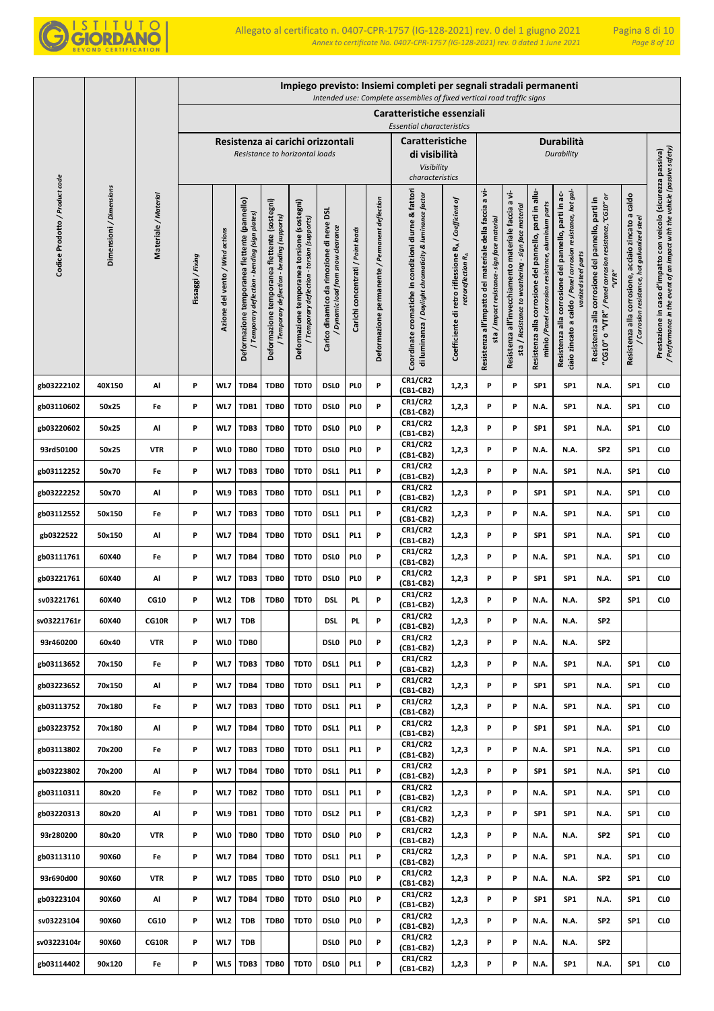

|                                |                         |                      |                 |                                 |                                                                                                |                                                                                             |                                                                                            |                                                                              |                                   |                                                | Impiego previsto: Insiemi completi per segnali stradali permanenti<br>Intended use: Complete assemblies of fixed vertical road traffic signs |                                                                                         |                                                                                                        |                                                                                                                |                                                                                                               |                                                                                                                                              |                                                                                                                      |                                                                                                        |                                                                                                                                            |
|--------------------------------|-------------------------|----------------------|-----------------|---------------------------------|------------------------------------------------------------------------------------------------|---------------------------------------------------------------------------------------------|--------------------------------------------------------------------------------------------|------------------------------------------------------------------------------|-----------------------------------|------------------------------------------------|----------------------------------------------------------------------------------------------------------------------------------------------|-----------------------------------------------------------------------------------------|--------------------------------------------------------------------------------------------------------|----------------------------------------------------------------------------------------------------------------|---------------------------------------------------------------------------------------------------------------|----------------------------------------------------------------------------------------------------------------------------------------------|----------------------------------------------------------------------------------------------------------------------|--------------------------------------------------------------------------------------------------------|--------------------------------------------------------------------------------------------------------------------------------------------|
|                                |                         |                      |                 |                                 |                                                                                                |                                                                                             |                                                                                            |                                                                              |                                   |                                                | Caratteristiche essenziali                                                                                                                   |                                                                                         |                                                                                                        |                                                                                                                |                                                                                                               |                                                                                                                                              |                                                                                                                      |                                                                                                        |                                                                                                                                            |
|                                |                         |                      |                 |                                 |                                                                                                |                                                                                             |                                                                                            |                                                                              |                                   |                                                | <b>Essential characteristics</b>                                                                                                             |                                                                                         |                                                                                                        |                                                                                                                |                                                                                                               |                                                                                                                                              |                                                                                                                      |                                                                                                        |                                                                                                                                            |
|                                |                         |                      |                 |                                 |                                                                                                |                                                                                             | Resistenza ai carichi orizzontali<br>Resistance to horizontal loads                        |                                                                              |                                   |                                                | <b>Caratteristiche</b><br>di visibilità                                                                                                      |                                                                                         |                                                                                                        |                                                                                                                |                                                                                                               | Durabilità<br>Durability                                                                                                                     |                                                                                                                      |                                                                                                        |                                                                                                                                            |
|                                |                         |                      |                 |                                 |                                                                                                |                                                                                             |                                                                                            |                                                                              |                                   |                                                | Visibility<br>characteristics                                                                                                                |                                                                                         |                                                                                                        |                                                                                                                |                                                                                                               |                                                                                                                                              |                                                                                                                      |                                                                                                        |                                                                                                                                            |
| Codice Prodotto / Product code | Dimensioni / Dimensions | Materiale / Material | Fissaggi/Fixing | Azione del vento / Wind actions | Deformazione temporanea flettente (pannello)<br>bending (sign plates)<br>Temporary deflection- | Deformazione temporanea flettente (sostegni)<br>/ Temporary deflection - bending (supports) | Deformazione temporanea torsione (sostegni)<br>/ Temporary deflection - torsion (supports) | Carico dinamico da rimozione di neve DSL<br>Dynamic load from snow clearance | Carichi concentrati / Point loads | Deformazione permanente / Permanent deflection | Coordinate cromatiche in condizioni diurne & fattori<br>di luminanza / Daylight chromaticity & luminance factor                              | Coefficiente di retro riflessione RA / Coefficient of<br>retroreflection R <sub>A</sub> | Resistenza all'impatto del materiale della faccia a vi-<br>sta / Impact resistance- sign face material | a vi-<br>sta / Resistance to weathering - sign face material<br>Resistenza all'invecchiamento materiale faccia | Resistenza alla corrosione del pannello, parti in allu-<br>minio /Panel corrosion resistance, aluminium parts | ciaio zincato a caldo / Panel corrosion resistance, hot gal-<br>Resistenza alla corrosione del pannello, parti in ac-<br>vanized steel parts | 'CG10" o "VTR" / Panel corrosion resistance, "CG10" or<br>Resistenza alla corrosione del pannello, parti in<br>"VTR" | acciaio zincato a caldo<br>/ Corrosion resistance, hot galvanized steel<br>Resistenza alla corrosione, | / Performance in the event of an impact with the vehicle (passive safety)<br>Prestazione in caso d'impatto con veicolo (sicurezza passiva) |
| gb03222102                     | 40X150                  | Al                   | P               | WL7                             | TDB4                                                                                           | TDB0                                                                                        | TDT0                                                                                       | <b>DSLO</b>                                                                  | PL <sub>0</sub>                   | P                                              | <b>CR1/CR2</b><br>(CB1-CB2)                                                                                                                  | 1,2,3                                                                                   | P                                                                                                      | P                                                                                                              | SP <sub>1</sub>                                                                                               | SP <sub>1</sub>                                                                                                                              | N.A.                                                                                                                 | SP1                                                                                                    | CL <sub>0</sub>                                                                                                                            |
| gb03110602                     | 50x25                   | Fe                   | Ρ               | WL7                             | TDB1                                                                                           | TDB0                                                                                        | TDT0                                                                                       | <b>DSLO</b>                                                                  | PI 0                              | P                                              | <b>CR1/CR2</b><br>(CB1-CB2)                                                                                                                  | 1,2,3                                                                                   | P                                                                                                      | P                                                                                                              | N.A.                                                                                                          | SP <sub>1</sub>                                                                                                                              | N.A.                                                                                                                 | SP1                                                                                                    | CL <sub>0</sub>                                                                                                                            |
| gb03220602                     | 50x25                   | Al                   | P               | WL7                             | TDB3                                                                                           | TDB0                                                                                        | TDT0                                                                                       | <b>DSLO</b>                                                                  | PI 0                              | P                                              | <b>CR1/CR2</b><br>(CB1-CB2)                                                                                                                  | 1,2,3                                                                                   | P                                                                                                      | P                                                                                                              | SP <sub>1</sub>                                                                                               | SP1                                                                                                                                          | N.A.                                                                                                                 | SP <sub>1</sub>                                                                                        | CL <sub>0</sub>                                                                                                                            |
| 93rd50100                      | 50x25                   | <b>VTR</b>           | P               | <b>WLO</b>                      | TDB0                                                                                           | TDB0                                                                                        | TDT0                                                                                       | <b>DSLO</b>                                                                  | PL <sub>0</sub>                   | P                                              | <b>CR1/CR2</b><br>(CB1-CB2)                                                                                                                  | 1,2,3                                                                                   | P                                                                                                      | P                                                                                                              | N.A.                                                                                                          | N.A.                                                                                                                                         | SP <sub>2</sub>                                                                                                      | SP1                                                                                                    | CL <sub>0</sub>                                                                                                                            |
| gb03112252                     | 50x70                   | Fe                   | P               | WL7                             | TDB3                                                                                           | TDB0                                                                                        | TDT0                                                                                       | DSL1                                                                         | PL <sub>1</sub>                   | P                                              | <b>CR1/CR2</b><br>(CB1-CB2)                                                                                                                  | 1,2,3                                                                                   | P                                                                                                      | P                                                                                                              | N.A.                                                                                                          | SP1                                                                                                                                          | N.A.                                                                                                                 | SP <sub>1</sub>                                                                                        | CL <sub>0</sub>                                                                                                                            |
| gb03222252                     | 50x70                   | Al                   | Ρ               | WL9                             | TDB3                                                                                           | TDB0                                                                                        | TDT0                                                                                       | DSL1                                                                         | PL <sub>1</sub>                   | P                                              | <b>CR1/CR2</b><br>(CB1-CB2)                                                                                                                  | 1,2,3                                                                                   | P                                                                                                      | P                                                                                                              | SP <sub>1</sub>                                                                                               | SP <sub>1</sub>                                                                                                                              | N.A.                                                                                                                 | SP <sub>1</sub>                                                                                        | CL <sub>0</sub>                                                                                                                            |
| gb03112552                     | 50x150                  | Fe                   | P               | WL7                             | TDB3                                                                                           | TDB0                                                                                        | TDT0                                                                                       | DSL1                                                                         | PL <sub>1</sub>                   | P                                              | <b>CR1/CR2</b><br>(CB1-CB2)                                                                                                                  | 1,2,3                                                                                   | P                                                                                                      | P                                                                                                              | N.A.                                                                                                          | SP1                                                                                                                                          | N.A.                                                                                                                 | SP <sub>1</sub>                                                                                        | CL <sub>0</sub>                                                                                                                            |
| gb0322522                      | 50x150                  | Al                   | P               | WL7                             | TDB4                                                                                           | TDB0                                                                                        | TDT0                                                                                       | DSL1                                                                         | PL <sub>1</sub>                   | P                                              | <b>CR1/CR2</b><br>(CB1-CB2)                                                                                                                  | 1,2,3                                                                                   | P                                                                                                      | P                                                                                                              | SP <sub>1</sub>                                                                                               | SP <sub>1</sub>                                                                                                                              | N.A.                                                                                                                 | SP <sub>1</sub>                                                                                        | CL <sub>0</sub>                                                                                                                            |
| gb03111761                     | 60X40                   | Fe                   | P               | WL7                             | TDB4                                                                                           | TDB0                                                                                        | TDT0                                                                                       | <b>DSLO</b>                                                                  | PI 0                              | P                                              | <b>CR1/CR2</b><br>(CB1-CB2)                                                                                                                  | 1,2,3                                                                                   | P                                                                                                      | P                                                                                                              | N.A.                                                                                                          | SP <sub>1</sub>                                                                                                                              | N.A.                                                                                                                 | SP <sub>1</sub>                                                                                        | CL <sub>0</sub>                                                                                                                            |
| gb03221761                     | 60X40                   | Al                   | P               | WL7                             | TDB3                                                                                           | TDB0                                                                                        | TDT0                                                                                       | <b>DSLO</b>                                                                  | PL <sub>0</sub>                   | P                                              | <b>CR1/CR2</b><br>(CB1-CB2)                                                                                                                  | 1,2,3                                                                                   | P                                                                                                      | P                                                                                                              | SP <sub>1</sub>                                                                                               | SP <sub>1</sub>                                                                                                                              | N.A.                                                                                                                 | SP1                                                                                                    | CL <sub>0</sub>                                                                                                                            |
| sv03221761                     | 60X40                   | <b>CG10</b>          | P               | WL <sub>2</sub>                 | <b>TDB</b>                                                                                     | TDB0                                                                                        | TDT0                                                                                       | <b>DSL</b>                                                                   | PL.                               | P                                              | <b>CR1/CR2</b><br>(CB1-CB2)                                                                                                                  | 1,2,3                                                                                   | P                                                                                                      | P                                                                                                              | N.A.                                                                                                          | N.A.                                                                                                                                         | SP <sub>2</sub>                                                                                                      | SP1                                                                                                    | CL <sub>0</sub>                                                                                                                            |
| sv03221761r                    | 60X40                   | CG10R                | P               | WL7                             | <b>TDB</b>                                                                                     |                                                                                             |                                                                                            | <b>DSL</b>                                                                   | PL.                               | P                                              | <b>CR1/CR2</b><br>(CB1-CB2)                                                                                                                  | 1,2,3                                                                                   | P                                                                                                      | P                                                                                                              | N.A.                                                                                                          | N.A.                                                                                                                                         | SP <sub>2</sub>                                                                                                      |                                                                                                        |                                                                                                                                            |
| 93r460200                      | 60x40                   | <b>VTR</b>           | P               | <b>WLO</b>                      | TDB0                                                                                           |                                                                                             |                                                                                            | DSL <sub>0</sub>                                                             | PL <sub>0</sub>                   | P                                              | <b>CR1/CR2</b><br>(CB1-CB2)                                                                                                                  | 1,2,3                                                                                   | P                                                                                                      | P                                                                                                              | N.A.                                                                                                          | N.A.                                                                                                                                         | SP <sub>2</sub>                                                                                                      |                                                                                                        |                                                                                                                                            |
| gb03113652                     | 70x150                  | Fe                   | P               | WL7                             | TDB3                                                                                           | TDB0                                                                                        | TDT0                                                                                       | DSL1                                                                         | PL <sub>1</sub>                   | P                                              | <b>CR1/CR2</b><br>(CB1-CB2)                                                                                                                  | 1,2,3                                                                                   | P                                                                                                      | P                                                                                                              | N.A.                                                                                                          | SP1                                                                                                                                          | N.A.                                                                                                                 | SP1                                                                                                    | CL <sub>0</sub>                                                                                                                            |
| gb03223652                     | 70x150                  | Al                   | Ρ               | WL7                             | TDB4                                                                                           | TDB0                                                                                        | TDT0                                                                                       | DSL1                                                                         | PL <sub>1</sub>                   | P                                              | <b>CR1/CR2</b><br>(CB1-CB2)                                                                                                                  | 1,2,3                                                                                   | P                                                                                                      | P                                                                                                              | SP1                                                                                                           | SP1                                                                                                                                          | N.A.                                                                                                                 | SP1                                                                                                    | CL <sub>0</sub>                                                                                                                            |
| gb03113752                     | 70x180                  | Fe                   | P               | WL7                             | TDB3                                                                                           | TDB0                                                                                        | TDT0                                                                                       | DSL1                                                                         | PL <sub>1</sub>                   | P                                              | <b>CR1/CR2</b><br>(CB1-CB2)                                                                                                                  | 1,2,3                                                                                   | P                                                                                                      | P                                                                                                              | N.A.                                                                                                          | SP <sub>1</sub>                                                                                                                              | N.A.                                                                                                                 | SP <sub>1</sub>                                                                                        | CL <sub>0</sub>                                                                                                                            |
| gb03223752                     | 70x180                  | Al                   | P               | WL7                             | TDB4                                                                                           | TDB0                                                                                        | TDT0                                                                                       | DSL1                                                                         | PL <sub>1</sub>                   | P                                              | CR1/CR2<br>$(CB1-CB2)$                                                                                                                       | 1,2,3                                                                                   | P                                                                                                      | P                                                                                                              | SP <sub>1</sub>                                                                                               | SP <sub>1</sub>                                                                                                                              | N.A.                                                                                                                 | SP <sub>1</sub>                                                                                        | CL <sub>0</sub>                                                                                                                            |
| gb03113802                     | 70x200                  | Fe                   | P               | WL7                             | TDB3                                                                                           | TDB0                                                                                        | TDT0                                                                                       | DSL1                                                                         | PL <sub>1</sub>                   | P                                              | <b>CR1/CR2</b><br>(CB1-CB2)                                                                                                                  | 1,2,3                                                                                   | P                                                                                                      | P                                                                                                              | N.A.                                                                                                          | SP <sub>1</sub>                                                                                                                              | N.A.                                                                                                                 | SP <sub>1</sub>                                                                                        | CL <sub>0</sub>                                                                                                                            |
| gb03223802                     | 70x200                  | Al                   | P               | WL7                             | TDB4                                                                                           | TDB0                                                                                        | TDT0                                                                                       | DSL1                                                                         | PL <sub>1</sub>                   | P                                              | <b>CR1/CR2</b><br>(CB1-CB2)                                                                                                                  | 1,2,3                                                                                   | P                                                                                                      | P                                                                                                              | SP <sub>1</sub>                                                                                               | SP <sub>1</sub>                                                                                                                              | N.A.                                                                                                                 | SP1                                                                                                    | CL <sub>0</sub>                                                                                                                            |
| gb03110311                     | 80x20                   | Fe                   | P               | WL7                             | TDB <sub>2</sub>                                                                               | TDB0                                                                                        | TDT0                                                                                       | DSL1                                                                         | PL <sub>1</sub>                   | P                                              | <b>CR1/CR2</b><br>(CB1-CB2)                                                                                                                  | 1,2,3                                                                                   | P                                                                                                      | P                                                                                                              | N.A.                                                                                                          | SP <sub>1</sub>                                                                                                                              | N.A.                                                                                                                 | SP1                                                                                                    | CL <sub>0</sub>                                                                                                                            |
| gb03220313                     | 80x20                   | Al                   | P               | WL9                             | TDB1                                                                                           | TDB0                                                                                        | TDT0                                                                                       | DSL <sub>2</sub>                                                             | PL <sub>1</sub>                   | P                                              | <b>CR1/CR2</b><br>(CB1-CB2)                                                                                                                  | 1,2,3                                                                                   | P                                                                                                      | P                                                                                                              | SP <sub>1</sub>                                                                                               | SP <sub>1</sub>                                                                                                                              | N.A.                                                                                                                 | SP1                                                                                                    | CL <sub>0</sub>                                                                                                                            |
| 93r280200                      | 80x20                   | <b>VTR</b>           | P               | WL0                             | TDB0                                                                                           | TDB0                                                                                        | TDT0                                                                                       | DSL <sub>0</sub>                                                             | PL <sub>0</sub>                   | P                                              | <b>CR1/CR2</b><br>(CB1-CB2)                                                                                                                  | 1,2,3                                                                                   | P                                                                                                      | P                                                                                                              | N.A.                                                                                                          | N.A.                                                                                                                                         | SP <sub>2</sub>                                                                                                      | SP1                                                                                                    | CL <sub>0</sub>                                                                                                                            |
| gb03113110                     | 90X60                   | Fe                   | P               | WL7                             | TDB4                                                                                           | TDB0                                                                                        | TDT0                                                                                       | DSL1                                                                         | PL <sub>1</sub>                   | P                                              | <b>CR1/CR2</b><br>(CB1-CB2)                                                                                                                  | 1,2,3                                                                                   | P                                                                                                      | P                                                                                                              | N.A.                                                                                                          | SP <sub>1</sub>                                                                                                                              | N.A.                                                                                                                 | SP1                                                                                                    | CL <sub>0</sub>                                                                                                                            |
| 93r690d00                      | 90X60                   | <b>VTR</b>           | P               | WL7                             | TDB5                                                                                           | TDB0                                                                                        | TDT0                                                                                       | <b>DSLO</b>                                                                  | PI 0                              | P                                              | <b>CR1/CR2</b><br>(CB1-CB2)                                                                                                                  | 1,2,3                                                                                   | P                                                                                                      | P                                                                                                              | N.A.                                                                                                          | N.A.                                                                                                                                         | SP <sub>2</sub>                                                                                                      | SP1                                                                                                    | CL <sub>0</sub>                                                                                                                            |
| gb03223104                     | 90X60                   | Al                   | P               | WL7                             | TDB4                                                                                           | TDB0                                                                                        | TDT0                                                                                       | <b>DSLO</b>                                                                  | PI 0                              | P                                              | <b>CR1/CR2</b><br>(CB1-CB2)                                                                                                                  | 1,2,3                                                                                   | P                                                                                                      | P                                                                                                              | SP <sub>1</sub>                                                                                               | SP1                                                                                                                                          | N.A.                                                                                                                 | SP1                                                                                                    | CL <sub>0</sub>                                                                                                                            |
| sv03223104                     | 90X60                   | CG10                 | P               | WL <sub>2</sub>                 | <b>TDB</b>                                                                                     | TDB0                                                                                        | TDT0                                                                                       | <b>DSLO</b>                                                                  | PI 0                              | P                                              | <b>CR1/CR2</b><br>(CB1-CB2)                                                                                                                  | 1,2,3                                                                                   | P                                                                                                      | P                                                                                                              | N.A.                                                                                                          | N.A.                                                                                                                                         | SP <sub>2</sub>                                                                                                      | SP1                                                                                                    | CL <sub>0</sub>                                                                                                                            |
| sv03223104r                    | 90X60                   | CG10R                | P               | WL7                             | <b>TDB</b>                                                                                     |                                                                                             |                                                                                            | <b>DSLO</b>                                                                  | PI 0                              | P                                              | <b>CR1/CR2</b><br>(CB1-CB2)                                                                                                                  | 1,2,3                                                                                   | P                                                                                                      | P                                                                                                              | N.A.                                                                                                          | N.A.                                                                                                                                         | SP <sub>2</sub>                                                                                                      |                                                                                                        |                                                                                                                                            |
| gb03114402                     | 90x120                  | Fe                   | P               | WL5                             | TDB3                                                                                           | TDB0                                                                                        | TDT0                                                                                       | <b>DSLO</b>                                                                  | PL <sub>1</sub>                   | P                                              | <b>CR1/CR2</b><br>(CB1-CB2)                                                                                                                  | 1,2,3                                                                                   | P                                                                                                      | P                                                                                                              | N.A.                                                                                                          | SP1                                                                                                                                          | N.A.                                                                                                                 | SP <sub>1</sub>                                                                                        | CL <sub>0</sub>                                                                                                                            |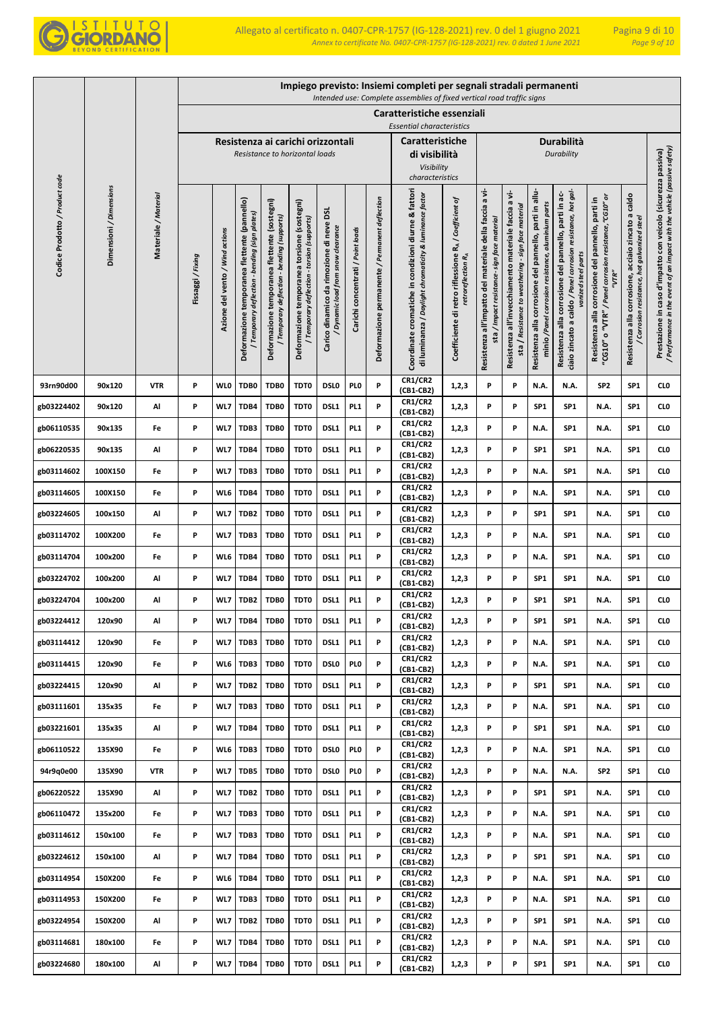

|                                |                         |                      |                 |                                 |                                                                                              |                                                                                             |                                                                                            |                                                                               |                                   |                                                | Impiego previsto: Insiemi completi per segnali stradali permanenti<br>Intended use: Complete assemblies of fixed vertical road traffic signs |                                                                                         |                                                                                                       |                                                                                                                |                                                                                                               |                                                                                                                                              |                                                                                                                         |                                                                                                              |                                                                                                                                            |
|--------------------------------|-------------------------|----------------------|-----------------|---------------------------------|----------------------------------------------------------------------------------------------|---------------------------------------------------------------------------------------------|--------------------------------------------------------------------------------------------|-------------------------------------------------------------------------------|-----------------------------------|------------------------------------------------|----------------------------------------------------------------------------------------------------------------------------------------------|-----------------------------------------------------------------------------------------|-------------------------------------------------------------------------------------------------------|----------------------------------------------------------------------------------------------------------------|---------------------------------------------------------------------------------------------------------------|----------------------------------------------------------------------------------------------------------------------------------------------|-------------------------------------------------------------------------------------------------------------------------|--------------------------------------------------------------------------------------------------------------|--------------------------------------------------------------------------------------------------------------------------------------------|
|                                |                         |                      |                 |                                 |                                                                                              |                                                                                             |                                                                                            |                                                                               |                                   |                                                | Caratteristiche essenziali<br><b>Essential characteristics</b>                                                                               |                                                                                         |                                                                                                       |                                                                                                                |                                                                                                               |                                                                                                                                              |                                                                                                                         |                                                                                                              |                                                                                                                                            |
|                                |                         |                      |                 |                                 |                                                                                              | Resistenza ai carichi orizzontali<br>Resistance to horizontal loads                         |                                                                                            |                                                                               |                                   |                                                | Caratteristiche<br>di visibilità<br>Visibility<br>characteristics                                                                            |                                                                                         |                                                                                                       |                                                                                                                |                                                                                                               | Durabilità<br>Durability                                                                                                                     |                                                                                                                         |                                                                                                              |                                                                                                                                            |
| Codice Prodotto / Product code | Dimensioni / Dimensions | Materiale / Material | Fissaggi/Fixing | Azione del vento / Wind actions | Deformazione temporanea flettente (pannello)<br>Temporary deflection - bending (sign plates) | Deformazione temporanea flettente (sostegni)<br>' Temporary deflection - bending (supports) | Deformazione temporanea torsione (sostegni)<br>/ Temporary deflection - torsion (supports) | g<br>Carico dinamico da rimozione di neve<br>Dynamic load from snow clearance | Carichi concentrati / Point loads | Deformazione permanente / Permanent deflection | Coordinate cromatiche in condizioni diurne & fattori<br>di luminanza / Daylight chromaticity & luminance factor                              | Coefficiente di retro riflessione RA / Coefficient of<br>retroreflection R <sub>A</sub> | Resistenza all'impatto del materiale della faccia a vi-<br>sta / Impact resistance- sign face materia | a vi-<br>sta / Resistance to weathering - sign face material<br>Resistenza all'invecchiamento materiale faccia | Resistenza alla corrosione del pannello, parti in allu-<br>minio /Panel corrosion resistance, aluminium parts | ciaio zincato a caldo / Panel corrosion resistance, hot gal-<br>Resistenza alla corrosione del pannello, parti in ac-<br>vanized steel parts | "CG10" o "VTR" / Panel corrosion resistance, "CG10" or<br>corrosione del pannello, parti in<br>"VTR"<br>Resistenza alla | caldo<br>acciaio zincato a<br>/ Corrosion resistance, hot galvanized steel<br>corrosione,<br>Resistenza alla | / Performance in the event of an impact with the vehicle (passive safety)<br>Prestazione in caso d'impatto con veicolo (sicurezza passiva) |
| 93rn90d00                      | 90x120                  | <b>VTR</b>           | P               | <b>WLO</b>                      | TDB0                                                                                         | TDB0                                                                                        | TDT0                                                                                       | <b>DSLO</b>                                                                   | PI 0                              | P                                              | <b>CR1/CR2</b><br>(CB1-CB2)                                                                                                                  | 1,2,3                                                                                   | P                                                                                                     | P                                                                                                              | N.A.                                                                                                          | N.A.                                                                                                                                         | SP <sub>2</sub>                                                                                                         | SP <sub>1</sub>                                                                                              | CL <sub>0</sub>                                                                                                                            |
| gb03224402                     | 90x120                  | Al                   | P               | WL7                             | TDB4                                                                                         | TDB0                                                                                        | TDT0                                                                                       | DSL <sub>1</sub>                                                              | PL <sub>1</sub>                   | P                                              | <b>CR1/CR2</b><br>(CB1-CB2)                                                                                                                  | 1,2,3                                                                                   | P                                                                                                     | P                                                                                                              | SP <sub>1</sub>                                                                                               | SP <sub>1</sub>                                                                                                                              | N.A.                                                                                                                    | SP <sub>1</sub>                                                                                              | CL <sub>0</sub>                                                                                                                            |
| gb06110535                     | 90x135                  | Fe                   | P               | WL7                             | TDB3                                                                                         | TDB0                                                                                        | TDT0                                                                                       | DSL1                                                                          | PL <sub>1</sub>                   | P                                              | <b>CR1/CR2</b><br>(CB1-CB2)                                                                                                                  | 1,2,3                                                                                   | P                                                                                                     | P                                                                                                              | N.A.                                                                                                          | SP <sub>1</sub>                                                                                                                              | N.A.                                                                                                                    | SP <sub>1</sub>                                                                                              | CL <sub>0</sub>                                                                                                                            |
| gb06220535                     | 90x135                  | Al                   | P               | WL7                             | TDB4                                                                                         | TDB0                                                                                        | TDT0                                                                                       | DSL1                                                                          | PL <sub>1</sub>                   | P                                              | <b>CR1/CR2</b><br>(CB1-CB2)                                                                                                                  | 1,2,3                                                                                   | P                                                                                                     | P                                                                                                              | SP <sub>1</sub>                                                                                               | SP <sub>1</sub>                                                                                                                              | N.A.                                                                                                                    | SP <sub>1</sub>                                                                                              | CLO                                                                                                                                        |
| gb03114602                     | 100X150                 | Fe                   | P               | WL7                             | TDB3                                                                                         | TDB0                                                                                        | TDT0                                                                                       | DSL1                                                                          | PL <sub>1</sub>                   | P                                              | <b>CR1/CR2</b><br>(CB1-CB2)                                                                                                                  | 1,2,3                                                                                   | P                                                                                                     | P                                                                                                              | N.A.                                                                                                          | SP <sub>1</sub>                                                                                                                              | N.A.                                                                                                                    | SP <sub>1</sub>                                                                                              | CLO                                                                                                                                        |
| gb03114605                     | 100X150                 | Fe                   | P               | WL6                             | TDB4                                                                                         | TDB0                                                                                        | TDT0                                                                                       | DSL1                                                                          | PL <sub>1</sub>                   | P                                              | <b>CR1/CR2</b><br>(CB1-CB2)                                                                                                                  | 1,2,3                                                                                   | P                                                                                                     | P                                                                                                              | N.A.                                                                                                          | SP <sub>1</sub>                                                                                                                              | N.A.                                                                                                                    | SP <sub>1</sub>                                                                                              | CLO                                                                                                                                        |
| gb03224605                     | 100x150                 | Al                   | P               | WL7                             | TDB <sub>2</sub>                                                                             | TDB0                                                                                        | TDT0                                                                                       | DSL1                                                                          | PL <sub>1</sub>                   | P                                              | <b>CR1/CR2</b><br>(CB1-CB2)                                                                                                                  | 1,2,3                                                                                   | P                                                                                                     | P                                                                                                              | SP1                                                                                                           | SP <sub>1</sub>                                                                                                                              | N.A.                                                                                                                    | SP <sub>1</sub>                                                                                              | CLO                                                                                                                                        |
| gb03114702                     | 100X200                 | Fe                   | P               | WL7                             | TDB3                                                                                         | TDB0                                                                                        | TDT0                                                                                       | DSL1                                                                          | PL <sub>1</sub>                   | P                                              | <b>CR1/CR2</b><br>(CB1-CB2)                                                                                                                  | 1,2,3                                                                                   | P                                                                                                     | P                                                                                                              | N.A.                                                                                                          | SP <sub>1</sub>                                                                                                                              | N.A.                                                                                                                    | SP <sub>1</sub>                                                                                              | CL <sub>0</sub>                                                                                                                            |
| gb03114704                     | 100x200                 | Fe                   | P               | WL6                             | TDB4                                                                                         | TDB0                                                                                        | TDT0                                                                                       | DSL1                                                                          | PL <sub>1</sub>                   | P                                              | <b>CR1/CR2</b><br>(CB1-CB2)                                                                                                                  | 1,2,3                                                                                   | P                                                                                                     | P                                                                                                              | N.A.                                                                                                          | SP <sub>1</sub>                                                                                                                              | N.A.                                                                                                                    | SP <sub>1</sub>                                                                                              | CLO                                                                                                                                        |
| gb03224702                     | 100x200                 | Al                   | P               | WL7                             | TDB4                                                                                         | TDB0                                                                                        | TDT0                                                                                       | DSL1                                                                          | PL <sub>1</sub>                   | P                                              | <b>CR1/CR2</b><br>(CB1-CB2)                                                                                                                  | 1,2,3                                                                                   | P                                                                                                     | P                                                                                                              | SP1                                                                                                           | SP <sub>1</sub>                                                                                                                              | N.A.                                                                                                                    | SP <sub>1</sub>                                                                                              | CLO                                                                                                                                        |
| gb03224704                     | 100x200                 | Al                   | P               | WL7                             | TDB2                                                                                         | TDB0                                                                                        | TDT0                                                                                       | DSL1                                                                          | PL <sub>1</sub>                   | P                                              | <b>CR1/CR2</b><br>(CB1-CB2)                                                                                                                  | 1,2,3                                                                                   | P                                                                                                     | P                                                                                                              | SP1                                                                                                           | SP <sub>1</sub>                                                                                                                              | N.A.                                                                                                                    | SP <sub>1</sub>                                                                                              | CLO                                                                                                                                        |
| gb03224412                     | 120x90                  | Al                   | P               | WL7                             | TDB4                                                                                         | TDB0                                                                                        | TDT0                                                                                       | DSL1                                                                          | PL <sub>1</sub>                   | P                                              | <b>CR1/CR2</b><br>(CB1-CB2)                                                                                                                  | 1,2,3                                                                                   | P                                                                                                     | P                                                                                                              | SP <sub>1</sub>                                                                                               | SP <sub>1</sub>                                                                                                                              | N.A.                                                                                                                    | SP <sub>1</sub>                                                                                              | CL <sub>0</sub>                                                                                                                            |
| gb03114412                     | 120x90                  | Fe                   | P               | WL7                             | TDB3                                                                                         | TDB0                                                                                        | TDT0                                                                                       | DSL1                                                                          | PL <sub>1</sub>                   | P                                              | <b>CR1/CR2</b><br>$(CB1-CB2)$                                                                                                                | 1,2,3                                                                                   | P                                                                                                     | P                                                                                                              | N.A.                                                                                                          | SP <sub>1</sub>                                                                                                                              | N.A.                                                                                                                    | SP <sub>1</sub>                                                                                              | CLO                                                                                                                                        |
| gb03114415                     | 120x90                  | Fe                   | P               | WL6                             | TDB3                                                                                         | TDB0                                                                                        | TDT0                                                                                       | <b>DSLO</b>                                                                   | PI 0                              | P                                              | <b>CR1/CR2</b><br>(CB1-CB2)                                                                                                                  | 1,2,3                                                                                   | P                                                                                                     | P                                                                                                              | N.A.                                                                                                          | SP <sub>1</sub>                                                                                                                              | N.A.                                                                                                                    | SP <sub>1</sub>                                                                                              | <b>CLO</b>                                                                                                                                 |
| gb03224415                     | 120×90                  | Al                   | P               | WL7                             | TDB <sub>2</sub>                                                                             | TDB0                                                                                        | TDT0                                                                                       | DSL1                                                                          | PL <sub>1</sub>                   | P                                              | <b>CR1/CR2</b><br>(CB1-CB2)                                                                                                                  | 1,2,3                                                                                   | P                                                                                                     | P                                                                                                              | SP <sub>1</sub>                                                                                               | SP <sub>1</sub>                                                                                                                              | N.A.                                                                                                                    | SP <sub>1</sub>                                                                                              | <b>CLO</b>                                                                                                                                 |
| gb03111601                     | 135x35                  | Fe                   | P               | WL7                             | TDB3                                                                                         | TDB0                                                                                        | TDT0                                                                                       | DSL1                                                                          | PL <sub>1</sub>                   | P                                              | <b>CR1/CR2</b><br>(CB1-CB2)                                                                                                                  | 1,2,3                                                                                   | P                                                                                                     | P                                                                                                              | N.A.                                                                                                          | SP <sub>1</sub>                                                                                                                              | N.A.                                                                                                                    | SP <sub>1</sub>                                                                                              | <b>CLO</b>                                                                                                                                 |
| gb03221601                     | 135x35                  | Al                   | P               | WL7                             | TDB4                                                                                         | TDB0                                                                                        | TDT0                                                                                       | DSL1                                                                          | PL <sub>1</sub>                   | P                                              | <b>CR1/CR2</b><br>(CB1-CB2)                                                                                                                  | 1,2,3                                                                                   | P                                                                                                     | P                                                                                                              | SP <sub>1</sub>                                                                                               | SP <sub>1</sub>                                                                                                                              | N.A.                                                                                                                    | SP <sub>1</sub>                                                                                              | CLO                                                                                                                                        |
| gb06110522                     | 135X90                  | Fe                   | P               | WL6                             | TDB3                                                                                         | TDB0                                                                                        | TDT0                                                                                       | <b>DSLO</b>                                                                   | PI 0                              | P                                              | <b>CR1/CR2</b><br>(CB1-CB2)                                                                                                                  | 1,2,3                                                                                   | P                                                                                                     | P                                                                                                              | N.A.                                                                                                          | SP <sub>1</sub>                                                                                                                              | N.A.                                                                                                                    | SP <sub>1</sub>                                                                                              | <b>CLO</b>                                                                                                                                 |
| 94r9q0e00                      | 135X90                  | <b>VTR</b>           | P               | WL7                             | TDB5                                                                                         | TDB0                                                                                        | TDT0                                                                                       | DSL <sub>0</sub>                                                              | PI 0                              | P                                              | <b>CR1/CR2</b><br>(CB1-CB2)                                                                                                                  | 1,2,3                                                                                   | P                                                                                                     | P                                                                                                              | N.A.                                                                                                          | N.A.                                                                                                                                         | SP <sub>2</sub>                                                                                                         | SP <sub>1</sub>                                                                                              | CLO                                                                                                                                        |
| gb06220522                     | 135X90                  | Al                   | P               | WL7                             | TDB <sub>2</sub>                                                                             | TDB0                                                                                        | TDT0                                                                                       | DSL1                                                                          | PL <sub>1</sub>                   | P                                              | <b>CR1/CR2</b><br>(CB1-CB2)                                                                                                                  | 1,2,3                                                                                   | P                                                                                                     | P                                                                                                              | SP1                                                                                                           | SP <sub>1</sub>                                                                                                                              | N.A.                                                                                                                    | SP <sub>1</sub>                                                                                              | <b>CLO</b>                                                                                                                                 |
| gb06110472                     | 135x200                 | Fe                   | P               | WL7                             | TDB3                                                                                         | TDB0                                                                                        | TDT0                                                                                       | DSL1                                                                          | PL <sub>1</sub>                   | P                                              | <b>CR1/CR2</b><br>(CB1-CB2)                                                                                                                  | 1,2,3                                                                                   | P                                                                                                     | P                                                                                                              | N.A.                                                                                                          | SP <sub>1</sub>                                                                                                                              | N.A.                                                                                                                    | SP <sub>1</sub>                                                                                              | <b>CLO</b>                                                                                                                                 |
| gb03114612                     | 150x100                 | Fe                   | P               | WL7                             | TDB3                                                                                         | TDB0                                                                                        | TDT0                                                                                       | DSL1                                                                          | PL <sub>1</sub>                   | P                                              | <b>CR1/CR2</b><br>(CB1-CB2)                                                                                                                  | 1,2,3                                                                                   | P                                                                                                     | P                                                                                                              | N.A.                                                                                                          | SP <sub>1</sub>                                                                                                                              | N.A.                                                                                                                    | SP <sub>1</sub>                                                                                              | <b>CLO</b>                                                                                                                                 |
| gb03224612                     | 150x100                 | Al                   | P               | WL7                             | TDB4                                                                                         | TDB0                                                                                        | TDT0                                                                                       | DSL1                                                                          | PL <sub>1</sub>                   | P                                              | <b>CR1/CR2</b><br>$(CB1-CB2)$                                                                                                                | 1,2,3                                                                                   | P                                                                                                     | P                                                                                                              | SP <sub>1</sub>                                                                                               | SP <sub>1</sub>                                                                                                                              | N.A.                                                                                                                    | SP <sub>1</sub>                                                                                              | CLO                                                                                                                                        |
| gb03114954                     | 150X200                 | Fe                   | P               | WL6                             | TDB4                                                                                         | TDB0                                                                                        | TDT0                                                                                       | DSL1                                                                          | PL <sub>1</sub>                   | P                                              | <b>CR1/CR2</b><br>$(CB1-CB2)$                                                                                                                | 1,2,3                                                                                   | P                                                                                                     | P                                                                                                              | N.A.                                                                                                          | SP <sub>1</sub>                                                                                                                              | N.A.                                                                                                                    | SP <sub>1</sub>                                                                                              | <b>CLO</b>                                                                                                                                 |
| gb03114953                     | 150X200                 | Fe                   | P               | WL7                             | TDB3                                                                                         | TDB0                                                                                        | TDT0                                                                                       | DSL1                                                                          | PL <sub>1</sub>                   | P                                              | <b>CR1/CR2</b><br>$(CB1-CB2)$                                                                                                                | 1,2,3                                                                                   | P                                                                                                     | P                                                                                                              | N.A.                                                                                                          | SP <sub>1</sub>                                                                                                                              | N.A.                                                                                                                    | SP <sub>1</sub>                                                                                              | <b>CLO</b>                                                                                                                                 |
| gb03224954                     | 150X200                 | Al                   | P               | WL7                             | TDB <sub>2</sub>                                                                             | TDB0                                                                                        | TDT0                                                                                       | DSL1                                                                          | PL <sub>1</sub>                   | P                                              | <b>CR1/CR2</b><br>$(CB1-CB2)$                                                                                                                | 1,2,3                                                                                   | P                                                                                                     | P                                                                                                              | SP <sub>1</sub>                                                                                               | SP <sub>1</sub>                                                                                                                              | N.A.                                                                                                                    | SP <sub>1</sub>                                                                                              | <b>CLO</b>                                                                                                                                 |
| gb03114681                     | 180x100                 | Fe                   | P               | WL7                             | TDB4                                                                                         | TDB0                                                                                        | TDT0                                                                                       | DSL1                                                                          | PL <sub>1</sub>                   | P                                              | <b>CR1/CR2</b><br>$(CB1-CB2)$                                                                                                                | 1,2,3                                                                                   | P                                                                                                     | P                                                                                                              | N.A.                                                                                                          | SP <sub>1</sub>                                                                                                                              | N.A.                                                                                                                    | SP <sub>1</sub>                                                                                              | <b>CLO</b>                                                                                                                                 |
| gb03224680                     | 180x100                 | Al                   | P               | WL7                             | TDB4                                                                                         | TDB0                                                                                        | TDT0                                                                                       | DSL1                                                                          | PL1                               | P                                              | <b>CR1/CR2</b><br>(CB1-CB2)                                                                                                                  | 1,2,3                                                                                   | P                                                                                                     | P                                                                                                              | SP <sub>1</sub>                                                                                               | SP1                                                                                                                                          | N.A.                                                                                                                    | SP <sub>1</sub>                                                                                              | <b>CLO</b>                                                                                                                                 |